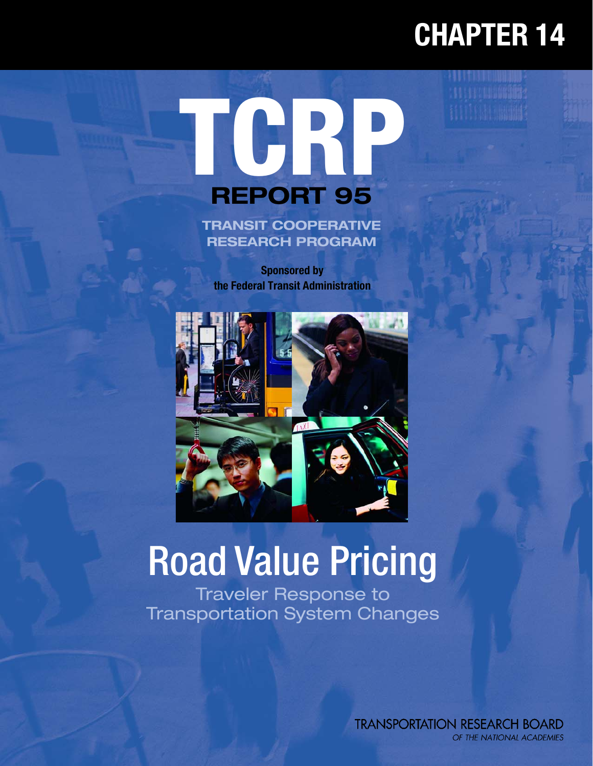## **CHAPTER 14**

**WEBSTERN** 

# **TCRP REPORT 95**

**TRANSIT COOPERATIVE RESEARCH PROGRAM**

**Sponsored by the Federal Transit Administration**



## Road Value Pricing

Traveler Response to Transportation System Changes

> **TRANSPORTATION RESEARCH BOARD** OF THE NATIONAL ACADEMIES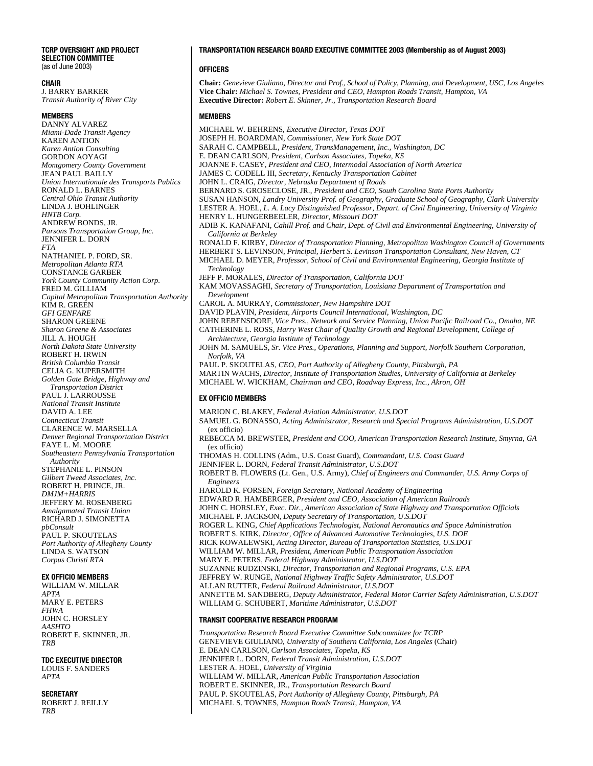#### **TCRP OVERSIGHT AND PROJECT SELECTION COMMITTEE** (as of June 2003)

**CHAIR**

J. BARRY BARKER *Transit Authority of River City*

#### **MEMBERS**

DANNY ALVAREZ *Miami-Dade Transit Agency* KAREN ANTION *Karen Antion Consulting* GORDON AOYAGI *Montgomery County Government* JEAN PAUL BAILLY *Union Internationale des Transports Publics* RONALD L. BARNES *Central Ohio Transit Authority* LINDA J. BOHLINGER *HNTB Corp.* ANDREW BONDS, JR. *Parsons Transportation Group, Inc.* JENNIFER L. DORN *FTA* NATHANIEL P. FORD, SR. *Metropolitan Atlanta RTA* CONSTANCE GARBER *York County Community Action Corp.* FRED M. GILLIAM *Capital Metropolitan Transportation Authority* KIM R. GREEN *GFI GENFARE* SHARON GREENE *Sharon Greene & Associates* JILL A. HOUGH *North Dakota State University* ROBERT H. IRWIN *British Columbia Transit* CELIA G. KUPERSMITH *Golden Gate Bridge, Highway and Transportation District* PAUL J. LARROUSSE *National Transit Institute* DAVID A. LEE *Connecticut Transit* CLARENCE W. MARSELLA *Denver Regional Transportation District* FAYE L. M. MOORE *Southeastern Pennsylvania Transportation Authority* STEPHANIE L. PINSON *Gilbert Tweed Associates, Inc.* ROBERT H. PRINCE, JR. *DMJM+HARRIS* JEFFERY M. ROSENBERG *Amalgamated Transit Union* RICHARD J. SIMONETTA *pbConsult* PAUL P. SKOUTELAS *Port Authority of Allegheny County* LINDA S. WATSON *Corpus Christi RTA* 

#### **EX OFFICIO MEMBERS**

WILLIAM W. MILLAR *APTA* MARY E. PETERS *FHWA* JOHN C. HORSLEY *AASHTO* ROBERT E. SKINNER, JR. *TRB*

#### **TDC EXECUTIVE DIRECTOR**

LOUIS F. SANDERS *APTA*

#### **SECRETARY**

ROBERT J. REILLY *TRB*

#### **TRANSPORTATION RESEARCH BOARD EXECUTIVE COMMITTEE 2003 (Membership as of August 2003)**

#### **OFFICERS**

**Chair:** *Genevieve Giuliano, Director and Prof., School of Policy, Planning, and Development, USC, Los Angeles* **Vice Chair:** *Michael S. Townes, President and CEO, Hampton Roads Transit, Hampton, VA* **Executive Director:** *Robert E. Skinner, Jr., Transportation Research Board*

#### **MEMBERS**

MICHAEL W. BEHRENS, *Executive Director, Texas DOT* JOSEPH H. BOARDMAN, *Commissioner, New York State DOT* SARAH C. CAMPBELL, *President, TransManagement, Inc., Washington, DC* E. DEAN CARLSON*, President, Carlson Associates, Topeka, KS* JOANNE F. CASEY, *President and CEO, Intermodal Association of North America* JAMES C. CODELL III, *Secretary, Kentucky Transportation Cabinet* JOHN L. CRAIG, *Director, Nebraska Department of Roads* BERNARD S. GROSECLOSE, JR., *President and CEO, South Carolina State Ports Authority* SUSAN HANSON, *Landry University Prof. of Geography, Graduate School of Geography, Clark University* LESTER A. HOEL, *L. A. Lacy Distinguished Professor, Depart. of Civil Engineering, University of Virginia* HENRY L. HUNGERBEELER, *Director, Missouri DOT* ADIB K. KANAFANI, *Cahill Prof. and Chair, Dept. of Civil and Environmental Engineering, University of California at Berkeley*  RONALD F. KIRBY, *Director of Transportation Planning, Metropolitan Washington Council of Governments* HERBERT S. LEVINSON, *Principal, Herbert S. Levinson Transportation Consultant, New Haven, CT* MICHAEL D. MEYER, *Professor, School of Civil and Environmental Engineering, Georgia Institute of Technology* JEFF P. MORALES, *Director of Transportation, California DOT* KAM MOVASSAGHI, *Secretary of Transportation, Louisiana Department of Transportation and Development* CAROL A. MURRAY, *Commissioner, New Hampshire DOT* DAVID PLAVIN, *President, Airports Council International, Washington, DC*  JOHN REBENSDORF, *Vice Pres., Network and Service Planning, Union Pacific Railroad Co., Omaha, NE* CATHERINE L. ROSS, *Harry West Chair of Quality Growth and Regional Development, College of Architecture, Georgia Institute of Technology* JOHN M. SAMUELS*, Sr. Vice Pres., Operations, Planning and Support, Norfolk Southern Corporation, Norfolk, VA* PAUL P. SKOUTELAS, *CEO, Port Authority of Allegheny County, Pittsburgh, PA* MARTIN WACHS, *Director, Institute of Transportation Studies, University of California at Berkeley* MICHAEL W. WICKHAM, *Chairman and CEO, Roadway Express, Inc., Akron, OH* **EX OFFICIO MEMBERS** MARION C. BLAKEY, *Federal Aviation Administrator, U.S.DOT* SAMUEL G. BONASSO, *Acting Administrator, Research and Special Programs Administration, U.S.DOT* (ex officio) REBECCA M. BREWSTER, *President and COO, American Transportation Research Institute, Smyrna, GA* (ex officio) THOMAS H. COLLINS (Adm., U.S. Coast Guard), *Commandant, U.S. Coast Guard* JENNIFER L. DORN, *Federal Transit Administrator, U.S.DOT*  ROBERT B. FLOWERS (Lt. Gen., U.S. Army), *Chief of Engineers and Commander, U.S. Army Corps of Engineers* HAROLD K. FORSEN, *Foreign Secretary, National Academy of Engineering* EDWARD R. HAMBERGER, *President and CEO, Association of American Railroads* JOHN C. HORSLEY, *Exec. Dir., American Association of State Highway and Transportation Officials* MICHAEL P. JACKSON, *Deputy Secretary of Transportation, U.S.DOT* ROGER L. KING, *Chief Applications Technologist, National Aeronautics and Space Administration* ROBERT S. KIRK, *Director, Office of Advanced Automotive Technologies, U.S. DOE* RICK KOWALEWSKI, *Acting Director, Bureau of Transportation Statistics, U.S.DOT* WILLIAM W. MILLAR, *President, American Public Transportation Association* MARY E. PETERS, *Federal Highway Administrator, U.S.DOT* SUZANNE RUDZINSKI, *Director, Transportation and Regional Programs, U.S. EPA* JEFFREY W. RUNGE, *National Highway Traffic Safety Administrator, U.S.DOT* ALLAN RUTTER, *Federal Railroad Administrator, U.S.DOT* ANNETTE M. SANDBERG, *Deputy Administrator, Federal Motor Carrier Safety Administration, U.S.DOT*  WILLIAM G. SCHUBERT, *Maritime Administrator, U.S.DOT* **TRANSIT COOPERATIVE RESEARCH PROGRAM** *Transportation Research Board Executive Committee Subcommittee for TCRP*

GENEVIEVE GIULIANO, *University of Southern California, Los Angeles* (Chair) E. DEAN CARLSON, *Carlson Associates, Topeka, KS* JENNIFER L. DORN, *Federal Transit Administration, U.S.DOT*  LESTER A. HOEL, *University of Virginia* WILLIAM W. MILLAR, *American Public Transportation Association* ROBERT E. SKINNER, JR., *Transportation Research Board* PAUL P. SKOUTELAS, *Port Authority of Allegheny County, Pittsburgh, PA* MICHAEL S. TOWNES, *Hampton Roads Transit, Hampton, VA*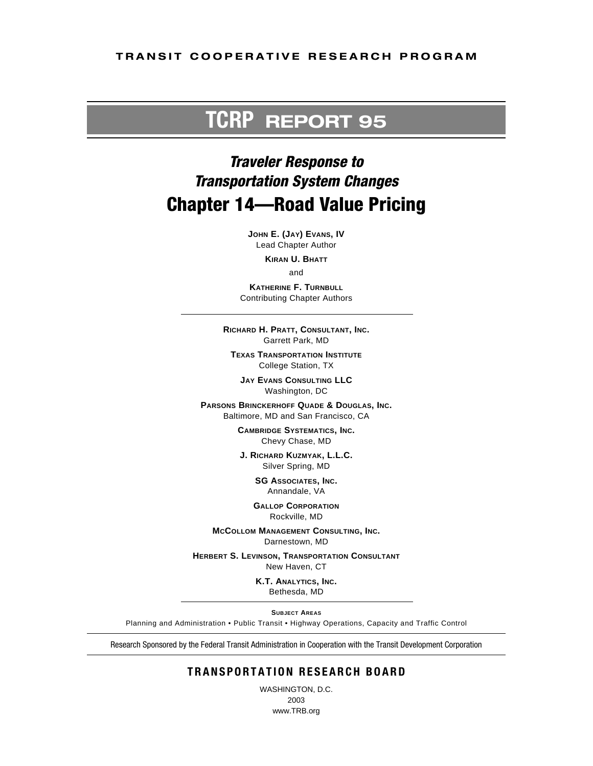#### **TRANSIT COOPERATIVE RESEARCH PROGRAM**

## **TCRP REPORT 95**

## *Traveler Response to Transportation System Changes* **Chapter 14—Road Value Pricing**

**JOHN E. (JAY) EVANS, IV** Lead Chapter Author

**KIRAN U. BHATT**

and

**KATHERINE F. TURNBULL** Contributing Chapter Authors

**RICHARD H. PRATT, CONSULTANT, INC.** Garrett Park, MD

**TEXAS TRANSPORTATION INSTITUTE** College Station, TX

**JAY EVANS CONSULTING LLC** Washington, DC

**PARSONS BRINCKERHOFF QUADE & DOUGLAS, INC.** Baltimore, MD and San Francisco, CA

> **CAMBRIDGE SYSTEMATICS, INC.** Chevy Chase, MD

**J. RICHARD KUZMYAK, L.L.C.** Silver Spring, MD

> **SG ASSOCIATES, INC.** Annandale, VA

**GALLOP CORPORATION** Rockville, MD

**MCCOLLOM MANAGEMENT CONSULTING, INC.** Darnestown, MD

**HERBERT S. LEVINSON, TRANSPORTATION CONSULTANT**

New Haven, CT

**K.T. ANALYTICS, INC.** Bethesda, MD

**SUBJECT AREAS**

Planning and Administration • Public Transit • Highway Operations, Capacity and Traffic Control

Research Sponsored by the Federal Transit Administration in Cooperation with the Transit Development Corporation

### **TRANSPORTATION RESEARCH BOARD**

WASHINGTON, D.C. 2003 www.TRB.org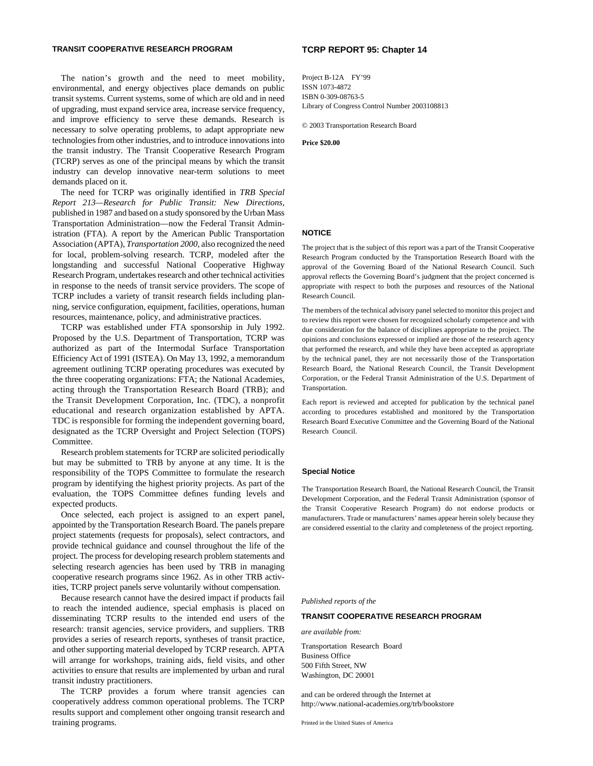#### **TRANSIT COOPERATIVE RESEARCH PROGRAM**

The nation's growth and the need to meet mobility, environmental, and energy objectives place demands on public transit systems. Current systems, some of which are old and in need of upgrading, must expand service area, increase service frequency, and improve efficiency to serve these demands. Research is necessary to solve operating problems, to adapt appropriate new technologies from other industries, and to introduce innovations into the transit industry. The Transit Cooperative Research Program (TCRP) serves as one of the principal means by which the transit industry can develop innovative near-term solutions to meet demands placed on it.

The need for TCRP was originally identified in *TRB Special Report 213—Research for Public Transit: New Directions,* published in 1987 and based on a study sponsored by the Urban Mass Transportation Administration—now the Federal Transit Administration (FTA). A report by the American Public Transportation Association (APTA), *Transportation 2000*, also recognized the need for local, problem-solving research. TCRP, modeled after the longstanding and successful National Cooperative Highway Research Program, undertakes research and other technical activities in response to the needs of transit service providers. The scope of TCRP includes a variety of transit research fields including planning, service configuration, equipment, facilities, operations, human resources, maintenance, policy, and administrative practices.

TCRP was established under FTA sponsorship in July 1992. Proposed by the U.S. Department of Transportation, TCRP was authorized as part of the Intermodal Surface Transportation Efficiency Act of 1991 (ISTEA). On May 13, 1992, a memorandum agreement outlining TCRP operating procedures was executed by the three cooperating organizations: FTA; the National Academies, acting through the Transportation Research Board (TRB); and the Transit Development Corporation, Inc. (TDC), a nonprofit educational and research organization established by APTA. TDC is responsible for forming the independent governing board, designated as the TCRP Oversight and Project Selection (TOPS) Committee.

Research problem statements for TCRP are solicited periodically but may be submitted to TRB by anyone at any time. It is the responsibility of the TOPS Committee to formulate the research program by identifying the highest priority projects. As part of the evaluation, the TOPS Committee defines funding levels and expected products.

Once selected, each project is assigned to an expert panel, appointed by the Transportation Research Board. The panels prepare project statements (requests for proposals), select contractors, and provide technical guidance and counsel throughout the life of the project. The process for developing research problem statements and selecting research agencies has been used by TRB in managing cooperative research programs since 1962. As in other TRB activities, TCRP project panels serve voluntarily without compensation.

Because research cannot have the desired impact if products fail to reach the intended audience, special emphasis is placed on disseminating TCRP results to the intended end users of the research: transit agencies, service providers, and suppliers. TRB provides a series of research reports, syntheses of transit practice, and other supporting material developed by TCRP research. APTA will arrange for workshops, training aids, field visits, and other activities to ensure that results are implemented by urban and rural transit industry practitioners.

The TCRP provides a forum where transit agencies can cooperatively address common operational problems. The TCRP results support and complement other ongoing transit research and training programs.

#### **TCRP REPORT 95: Chapter 14**

Project B-12A FY'99 ISSN 1073-4872 ISBN 0-309-08763-5 Library of Congress Control Number 2003108813

© 2003 Transportation Research Board

**Price \$20.00**

#### **NOTICE**

The project that is the subject of this report was a part of the Transit Cooperative Research Program conducted by the Transportation Research Board with the approval of the Governing Board of the National Research Council. Such approval reflects the Governing Board's judgment that the project concerned is appropriate with respect to both the purposes and resources of the National Research Council.

The members of the technical advisory panel selected to monitor this project and to review this report were chosen for recognized scholarly competence and with due consideration for the balance of disciplines appropriate to the project. The opinions and conclusions expressed or implied are those of the research agency that performed the research, and while they have been accepted as appropriate by the technical panel, they are not necessarily those of the Transportation Research Board, the National Research Council, the Transit Development Corporation, or the Federal Transit Administration of the U.S. Department of Transportation.

Each report is reviewed and accepted for publication by the technical panel according to procedures established and monitored by the Transportation Research Board Executive Committee and the Governing Board of the National Research Council.

#### **Special Notice**

The Transportation Research Board, the National Research Council, the Transit Development Corporation, and the Federal Transit Administration (sponsor of the Transit Cooperative Research Program) do not endorse products or manufacturers. Trade or manufacturers' names appear herein solely because they are considered essential to the clarity and completeness of the project reporting.

*Published reports of the* 

#### **TRANSIT COOPERATIVE RESEARCH PROGRAM**

*are available from:*

Transportation Research Board Business Office 500 Fifth Street, NW Washington, DC 20001

and can be ordered through the Internet at http://www.national-academies.org/trb/bookstore

Printed in the United States of America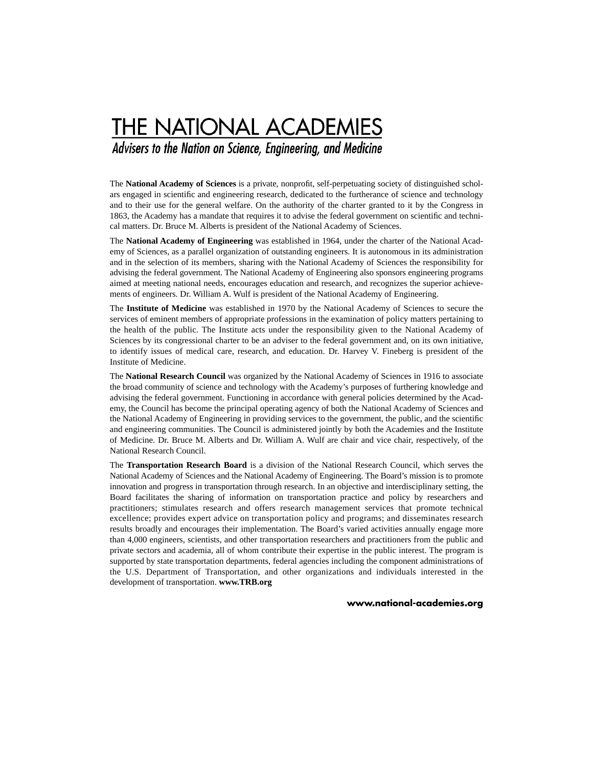## **THE NATIONAL ACADEMIES**

Advisers to the Nation on Science, Engineering, and Medicine

The **National Academy of Sciences** is a private, nonprofit, self-perpetuating society of distinguished scholars engaged in scientific and engineering research, dedicated to the furtherance of science and technology and to their use for the general welfare. On the authority of the charter granted to it by the Congress in 1863, the Academy has a mandate that requires it to advise the federal government on scientific and technical matters. Dr. Bruce M. Alberts is president of the National Academy of Sciences.

The **National Academy of Engineering** was established in 1964, under the charter of the National Academy of Sciences, as a parallel organization of outstanding engineers. It is autonomous in its administration and in the selection of its members, sharing with the National Academy of Sciences the responsibility for advising the federal government. The National Academy of Engineering also sponsors engineering programs aimed at meeting national needs, encourages education and research, and recognizes the superior achievements of engineers. Dr. William A. Wulf is president of the National Academy of Engineering.

The **Institute of Medicine** was established in 1970 by the National Academy of Sciences to secure the services of eminent members of appropriate professions in the examination of policy matters pertaining to the health of the public. The Institute acts under the responsibility given to the National Academy of Sciences by its congressional charter to be an adviser to the federal government and, on its own initiative, to identify issues of medical care, research, and education. Dr. Harvey V. Fineberg is president of the Institute of Medicine.

The **National Research Council** was organized by the National Academy of Sciences in 1916 to associate the broad community of science and technology with the Academy's purposes of furthering knowledge and advising the federal government. Functioning in accordance with general policies determined by the Academy, the Council has become the principal operating agency of both the National Academy of Sciences and the National Academy of Engineering in providing services to the government, the public, and the scientific and engineering communities. The Council is administered jointly by both the Academies and the Institute of Medicine. Dr. Bruce M. Alberts and Dr. William A. Wulf are chair and vice chair, respectively, of the National Research Council.

The **Transportation Research Board** is a division of the National Research Council, which serves the National Academy of Sciences and the National Academy of Engineering. The Board's mission is to promote innovation and progress in transportation through research. In an objective and interdisciplinary setting, the Board facilitates the sharing of information on transportation practice and policy by researchers and practitioners; stimulates research and offers research management services that promote technical excellence; provides expert advice on transportation policy and programs; and disseminates research results broadly and encourages their implementation. The Board's varied activities annually engage more than 4,000 engineers, scientists, and other transportation researchers and practitioners from the public and private sectors and academia, all of whom contribute their expertise in the public interest. The program is supported by state transportation departments, federal agencies including the component administrations of the U.S. Department of Transportation, and other organizations and individuals interested in the development of transportation. **www.TRB.org**

#### **www.national-academies.org**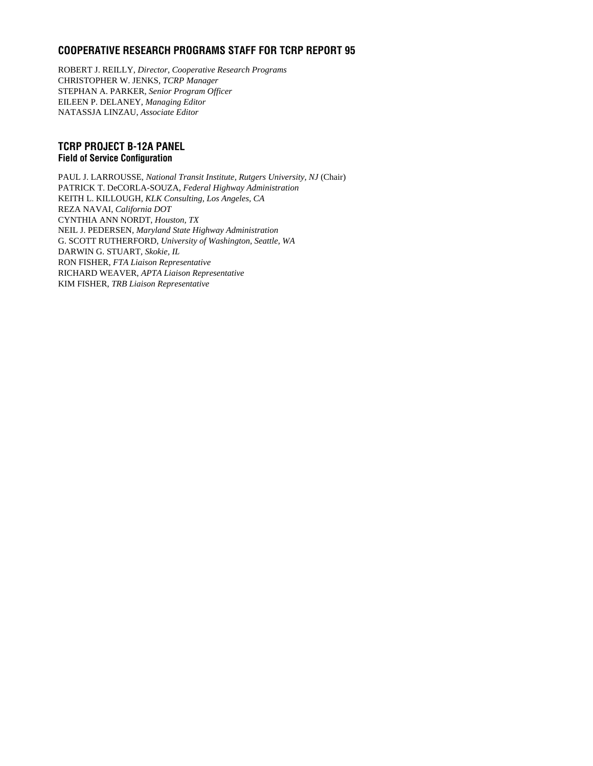### **COOPERATIVE RESEARCH PROGRAMS STAFF FOR TCRP REPORT 95**

ROBERT J. REILLY, *Director, Cooperative Research Programs* CHRISTOPHER W. JENKS, *TCRP Manager* STEPHAN A. PARKER, *Senior Program Officer* EILEEN P. DELANEY, *Managing Editor* NATASSJA LINZAU, *Associate Editor*

#### **TCRP PROJECT B-12A PANEL Field of Service Configuration**

PAUL J. LARROUSSE, *National Transit Institute, Rutgers University, NJ* (Chair) PATRICK T. DeCORLA-SOUZA, *Federal Highway Administration* KEITH L. KILLOUGH, *KLK Consulting, Los Angeles, CA*  REZA NAVAI, *California DOT* CYNTHIA ANN NORDT, *Houston, TX* NEIL J. PEDERSEN, *Maryland State Highway Administration* G. SCOTT RUTHERFORD, *University of Washington, Seattle, WA* DARWIN G. STUART*, Skokie, IL* RON FISHER, *FTA Liaison Representative* RICHARD WEAVER, *APTA Liaison Representative* KIM FISHER, *TRB Liaison Representative*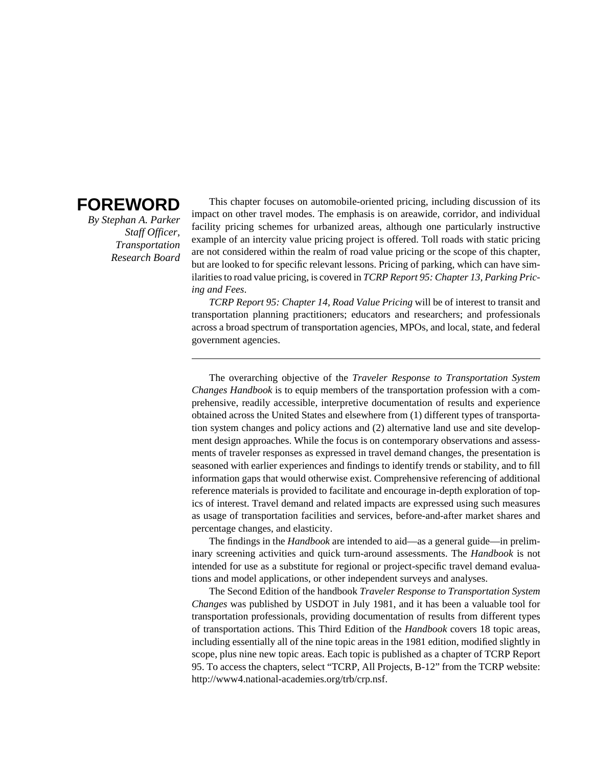## **FOREWORD**

*By Stephan A. Parker Staff Officer, Transportation Research Board*

This chapter focuses on automobile-oriented pricing, including discussion of its impact on other travel modes. The emphasis is on areawide, corridor, and individual facility pricing schemes for urbanized areas, although one particularly instructive example of an intercity value pricing project is offered. Toll roads with static pricing are not considered within the realm of road value pricing or the scope of this chapter, but are looked to for specific relevant lessons. Pricing of parking, which can have similarities to road value pricing, is covered in *TCRP Report 95: Chapter 13, Parking Pricing and Fees*.

*TCRP Report 95: Chapter 14, Road Value Pricing* will be of interest to transit and transportation planning practitioners; educators and researchers; and professionals across a broad spectrum of transportation agencies, MPOs, and local, state, and federal government agencies.

The overarching objective of the *Traveler Response to Transportation System Changes Handbook* is to equip members of the transportation profession with a comprehensive, readily accessible, interpretive documentation of results and experience obtained across the United States and elsewhere from (1) different types of transportation system changes and policy actions and (2) alternative land use and site development design approaches. While the focus is on contemporary observations and assessments of traveler responses as expressed in travel demand changes, the presentation is seasoned with earlier experiences and findings to identify trends or stability, and to fill information gaps that would otherwise exist. Comprehensive referencing of additional reference materials is provided to facilitate and encourage in-depth exploration of topics of interest. Travel demand and related impacts are expressed using such measures as usage of transportation facilities and services, before-and-after market shares and percentage changes, and elasticity.

The findings in the *Handbook* are intended to aid—as a general guide—in preliminary screening activities and quick turn-around assessments. The *Handbook* is not intended for use as a substitute for regional or project-specific travel demand evaluations and model applications, or other independent surveys and analyses.

The Second Edition of the handbook *Traveler Response to Transportation System Changes* was published by USDOT in July 1981, and it has been a valuable tool for transportation professionals, providing documentation of results from different types of transportation actions. This Third Edition of the *Handbook* covers 18 topic areas, including essentially all of the nine topic areas in the 1981 edition, modified slightly in scope, plus nine new topic areas. Each topic is published as a chapter of TCRP Report 95. To access the chapters, select "TCRP, All Projects, B-12" from the TCRP website: http://www4.national-academies.org/trb/crp.nsf.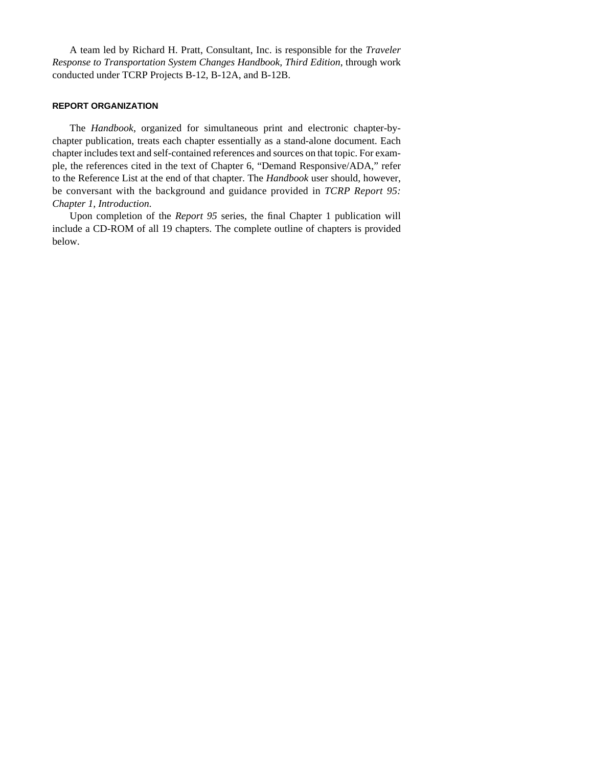A team led by Richard H. Pratt, Consultant, Inc. is responsible for the *Traveler Response to Transportation System Changes Handbook, Third Edition*, through work conducted under TCRP Projects B-12, B-12A, and B-12B.

#### **REPORT ORGANIZATION**

The *Handbook*, organized for simultaneous print and electronic chapter-bychapter publication, treats each chapter essentially as a stand-alone document. Each chapter includes text and self-contained references and sources on that topic. For example, the references cited in the text of Chapter 6, "Demand Responsive/ADA," refer to the Reference List at the end of that chapter. The *Handbook* user should, however, be conversant with the background and guidance provided in *TCRP Report 95: Chapter 1, Introduction*.

Upon completion of the *Report 95* series, the final Chapter 1 publication will include a CD-ROM of all 19 chapters. The complete outline of chapters is provided below.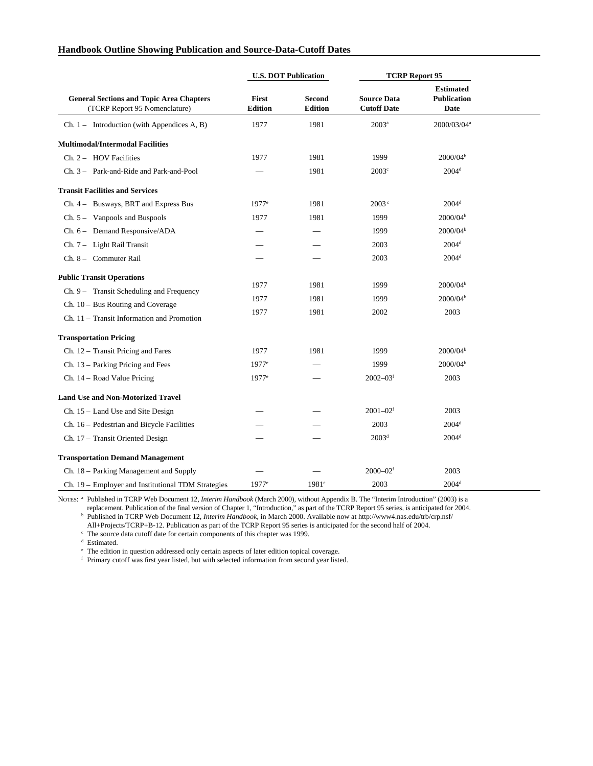|                                                                                                                                                                     |                         | <b>U.S. DOT Publication</b>     | <b>TCRP Report 95</b>                    |                                                      |  |
|---------------------------------------------------------------------------------------------------------------------------------------------------------------------|-------------------------|---------------------------------|------------------------------------------|------------------------------------------------------|--|
| <b>General Sections and Topic Area Chapters</b><br>(TCRP Report 95 Nomenclature)                                                                                    | First<br><b>Edition</b> | <b>Second</b><br><b>Edition</b> | <b>Source Data</b><br><b>Cutoff Date</b> | <b>Estimated</b><br><b>Publication</b><br>Date       |  |
| $Ch. 1 - Introduction (with Appendices A, B)$                                                                                                                       | 1977                    | 1981                            | $2003^a$                                 | 2000/03/04 <sup>a</sup>                              |  |
| <b>Multimodal/Intermodal Facilities</b>                                                                                                                             |                         |                                 |                                          |                                                      |  |
| Ch. 2 - HOV Facilities                                                                                                                                              | 1977                    | 1981                            | 1999                                     | 2000/04 <sup>b</sup>                                 |  |
| Ch. 3 – Park-and-Ride and Park-and-Pool                                                                                                                             |                         | 1981                            | $2003^{\circ}$                           | $2004^{\rm d}$                                       |  |
| <b>Transit Facilities and Services</b>                                                                                                                              |                         |                                 |                                          |                                                      |  |
| Ch. 4 - Busways, BRT and Express Bus                                                                                                                                | $1977$ <sup>e</sup>     | 1981                            | 2003 <sup>c</sup>                        | $2004^{\rm d}$                                       |  |
| $Ch. 5 - Vanpools$ and Buspools                                                                                                                                     | 1977                    | 1981                            | 1999                                     | 2000/04 <sup>b</sup>                                 |  |
| $Ch. 6$ – Demand Responsive/ADA                                                                                                                                     |                         |                                 | 1999                                     | 2000/04 <sup>b</sup>                                 |  |
| Ch. 7 - Light Rail Transit                                                                                                                                          |                         |                                 | 2003                                     | $2004^d$                                             |  |
| Ch. 8 - Commuter Rail                                                                                                                                               |                         |                                 | 2003                                     | $2004^d$                                             |  |
| <b>Public Transit Operations</b><br>$Ch. 9 - Transit Scheduling and Frequency$<br>$Ch. 10 - Bus$ Routing and Coverage<br>Ch. 11 - Transit Information and Promotion | 1977<br>1977<br>1977    | 1981<br>1981<br>1981            | 1999<br>1999<br>2002                     | 2000/04 <sup>b</sup><br>2000/04 <sup>b</sup><br>2003 |  |
| <b>Transportation Pricing</b>                                                                                                                                       |                         |                                 |                                          |                                                      |  |
| $Ch. 12$ – Transit Pricing and Fares                                                                                                                                | 1977                    | 1981                            | 1999                                     | 2000/04 <sup>b</sup>                                 |  |
| Ch. 13 - Parking Pricing and Fees                                                                                                                                   | $1977$ <sup>e</sup>     |                                 | 1999                                     | 2000/04 <sup>b</sup>                                 |  |
| Ch. 14 – Road Value Pricing                                                                                                                                         | $1977$ <sup>e</sup>     |                                 | $2002 - 03$ <sup>f</sup>                 | 2003                                                 |  |
| <b>Land Use and Non-Motorized Travel</b>                                                                                                                            |                         |                                 |                                          |                                                      |  |
| Ch. 15 – Land Use and Site Design                                                                                                                                   |                         |                                 | $2001 - 02$ <sup>f</sup>                 | 2003                                                 |  |
| Ch. 16 - Pedestrian and Bicycle Facilities                                                                                                                          |                         |                                 | 2003                                     | $2004^d$                                             |  |
| Ch. 17 - Transit Oriented Design                                                                                                                                    |                         |                                 | 2003 <sup>d</sup>                        | $2004^d$                                             |  |
| <b>Transportation Demand Management</b>                                                                                                                             |                         |                                 |                                          |                                                      |  |
| Ch. 18 - Parking Management and Supply                                                                                                                              |                         |                                 | $2000 - 02$ <sup>f</sup>                 | 2003                                                 |  |
| Ch. 19 - Employer and Institutional TDM Strategies                                                                                                                  | $1977$ <sup>e</sup>     | $1981^\circ$                    | 2003                                     | $2004^d$                                             |  |

#### **Handbook Outline Showing Publication and Source-Data-Cutoff Dates**

NOTES: <sup>a</sup> Published in TCRP Web Document 12, *Interim Handbook* (March 2000), without Appendix B. The "Interim Introduction" (2003) is a replacement. Publication of the final version of Chapter 1, "Introduction," as part of the TCRP Report 95 series, is anticipated for 2004. <sup>b</sup> Published in TCRP Web Document 12, *Interim Handbook*, in March 2000. Available now at http://www4.nas.edu/trb/crp.nsf/

All+Projects/TCRP+B-12. Publication as part of the TCRP Report 95 series is anticipated for the second half of 2004.

<sup>c</sup> The source data cutoff date for certain components of this chapter was 1999.

 $^{\text{d}}$  Estimated.

<sup>e</sup> The edition in question addressed only certain aspects of later edition topical coverage.

<sup>f</sup> Primary cutoff was first year listed, but with selected information from second year listed.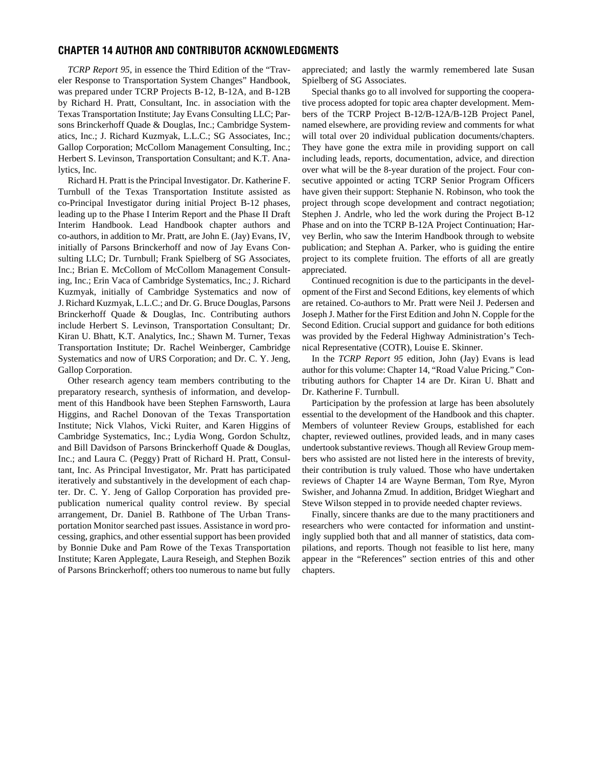#### **CHAPTER 14 AUTHOR AND CONTRIBUTOR ACKNOWLEDGMENTS**

*TCRP Report 95*, in essence the Third Edition of the "Traveler Response to Transportation System Changes" Handbook, was prepared under TCRP Projects B-12, B-12A, and B-12B by Richard H. Pratt, Consultant, Inc. in association with the Texas Transportation Institute; Jay Evans Consulting LLC; Parsons Brinckerhoff Quade & Douglas, Inc.; Cambridge Systematics, Inc.; J. Richard Kuzmyak, L.L.C.; SG Associates, Inc.; Gallop Corporation; McCollom Management Consulting, Inc.; Herbert S. Levinson, Transportation Consultant; and K.T. Analytics, Inc.

Richard H. Pratt is the Principal Investigator. Dr. Katherine F. Turnbull of the Texas Transportation Institute assisted as co-Principal Investigator during initial Project B-12 phases, leading up to the Phase I Interim Report and the Phase II Draft Interim Handbook. Lead Handbook chapter authors and co-authors, in addition to Mr. Pratt, are John E. (Jay) Evans, IV, initially of Parsons Brinckerhoff and now of Jay Evans Consulting LLC; Dr. Turnbull; Frank Spielberg of SG Associates, Inc.; Brian E. McCollom of McCollom Management Consulting, Inc.; Erin Vaca of Cambridge Systematics, Inc.; J. Richard Kuzmyak, initially of Cambridge Systematics and now of J. Richard Kuzmyak, L.L.C.; and Dr. G. Bruce Douglas, Parsons Brinckerhoff Quade & Douglas, Inc. Contributing authors include Herbert S. Levinson, Transportation Consultant; Dr. Kiran U. Bhatt, K.T. Analytics, Inc.; Shawn M. Turner, Texas Transportation Institute; Dr. Rachel Weinberger, Cambridge Systematics and now of URS Corporation; and Dr. C. Y. Jeng, Gallop Corporation.

Other research agency team members contributing to the preparatory research, synthesis of information, and development of this Handbook have been Stephen Farnsworth, Laura Higgins, and Rachel Donovan of the Texas Transportation Institute; Nick Vlahos, Vicki Ruiter, and Karen Higgins of Cambridge Systematics, Inc.; Lydia Wong, Gordon Schultz, and Bill Davidson of Parsons Brinckerhoff Quade & Douglas, Inc.; and Laura C. (Peggy) Pratt of Richard H. Pratt, Consultant, Inc. As Principal Investigator, Mr. Pratt has participated iteratively and substantively in the development of each chapter. Dr. C. Y. Jeng of Gallop Corporation has provided prepublication numerical quality control review. By special arrangement, Dr. Daniel B. Rathbone of The Urban Transportation Monitor searched past issues. Assistance in word processing, graphics, and other essential support has been provided by Bonnie Duke and Pam Rowe of the Texas Transportation Institute; Karen Applegate, Laura Reseigh, and Stephen Bozik of Parsons Brinckerhoff; others too numerous to name but fully appreciated; and lastly the warmly remembered late Susan Spielberg of SG Associates.

Special thanks go to all involved for supporting the cooperative process adopted for topic area chapter development. Members of the TCRP Project B-12/B-12A/B-12B Project Panel, named elsewhere, are providing review and comments for what will total over 20 individual publication documents/chapters. They have gone the extra mile in providing support on call including leads, reports, documentation, advice, and direction over what will be the 8-year duration of the project. Four consecutive appointed or acting TCRP Senior Program Officers have given their support: Stephanie N. Robinson, who took the project through scope development and contract negotiation; Stephen J. Andrle, who led the work during the Project B-12 Phase and on into the TCRP B-12A Project Continuation; Harvey Berlin, who saw the Interim Handbook through to website publication; and Stephan A. Parker, who is guiding the entire project to its complete fruition. The efforts of all are greatly appreciated.

Continued recognition is due to the participants in the development of the First and Second Editions, key elements of which are retained. Co-authors to Mr. Pratt were Neil J. Pedersen and Joseph J. Mather for the First Edition and John N. Copple for the Second Edition. Crucial support and guidance for both editions was provided by the Federal Highway Administration's Technical Representative (COTR), Louise E. Skinner.

In the *TCRP Report 95* edition, John (Jay) Evans is lead author for this volume: Chapter 14, "Road Value Pricing." Contributing authors for Chapter 14 are Dr. Kiran U. Bhatt and Dr. Katherine F. Turnbull.

Participation by the profession at large has been absolutely essential to the development of the Handbook and this chapter. Members of volunteer Review Groups, established for each chapter, reviewed outlines, provided leads, and in many cases undertook substantive reviews. Though all Review Group members who assisted are not listed here in the interests of brevity, their contribution is truly valued. Those who have undertaken reviews of Chapter 14 are Wayne Berman, Tom Rye, Myron Swisher, and Johanna Zmud. In addition, Bridget Wieghart and Steve Wilson stepped in to provide needed chapter reviews.

Finally, sincere thanks are due to the many practitioners and researchers who were contacted for information and unstintingly supplied both that and all manner of statistics, data compilations, and reports. Though not feasible to list here, many appear in the "References" section entries of this and other chapters.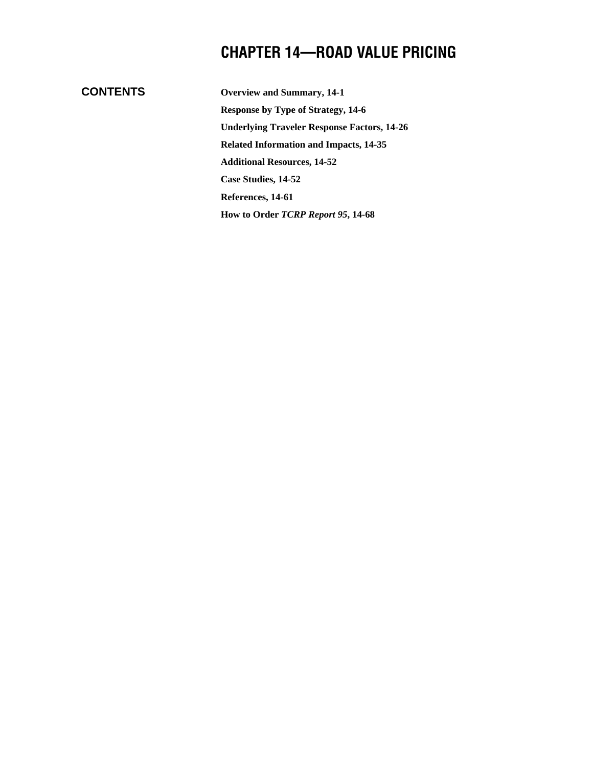## **CHAPTER 14—ROAD VALUE PRICING**

## **CONTENTS**

**Overview and Summary, 14-1 Response by Type of Strategy, 14-6 Underlying Traveler Response Factors, 14-26 Related Information and Impacts, 14-35 Additional Resources, 14-52 Case Studies, 14-52 References, 14-61 How to Order** *TCRP Report 95***, 14-68**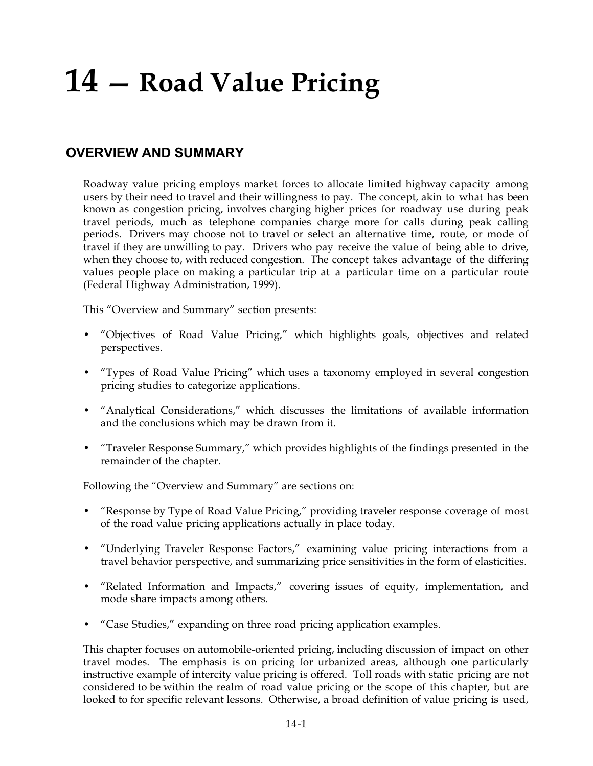## **14 — Road Value Pricing**

## **OVERVIEW AND SUMMARY**

Roadway value pricing employs market forces to allocate limited highway capacity among users by their need to travel and their willingness to pay. The concept, akin to what has been known as congestion pricing, involves charging higher prices for roadway use during peak travel periods, much as telephone companies charge more for calls during peak calling periods. Drivers may choose not to travel or select an alternative time, route, or mode of travel if they are unwilling to pay. Drivers who pay receive the value of being able to drive, when they choose to, with reduced congestion. The concept takes advantage of the differing values people place on making a particular trip at a particular time on a particular route (Federal Highway Administration, 1999).

This "Overview and Summary" section presents:

- "Objectives of Road Value Pricing," which highlights goals, objectives and related perspectives.
- "Types of Road Value Pricing" which uses a taxonomy employed in several congestion pricing studies to categorize applications.
- "Analytical Considerations," which discusses the limitations of available information and the conclusions which may be drawn from it.
- "Traveler Response Summary," which provides highlights of the findings presented in the remainder of the chapter.

Following the "Overview and Summary" are sections on:

- "Response by Type of Road Value Pricing," providing traveler response coverage of most of the road value pricing applications actually in place today.
- "Underlying Traveler Response Factors," examining value pricing interactions from a travel behavior perspective, and summarizing price sensitivities in the form of elasticities.
- "Related Information and Impacts," covering issues of equity, implementation, and mode share impacts among others.
- "Case Studies," expanding on three road pricing application examples.

This chapter focuses on automobile-oriented pricing, including discussion of impact on other travel modes. The emphasis is on pricing for urbanized areas, although one particularly instructive example of intercity value pricing is offered. Toll roads with static pricing are not considered to be within the realm of road value pricing or the scope of this chapter, but are looked to for specific relevant lessons. Otherwise, a broad definition of value pricing is used,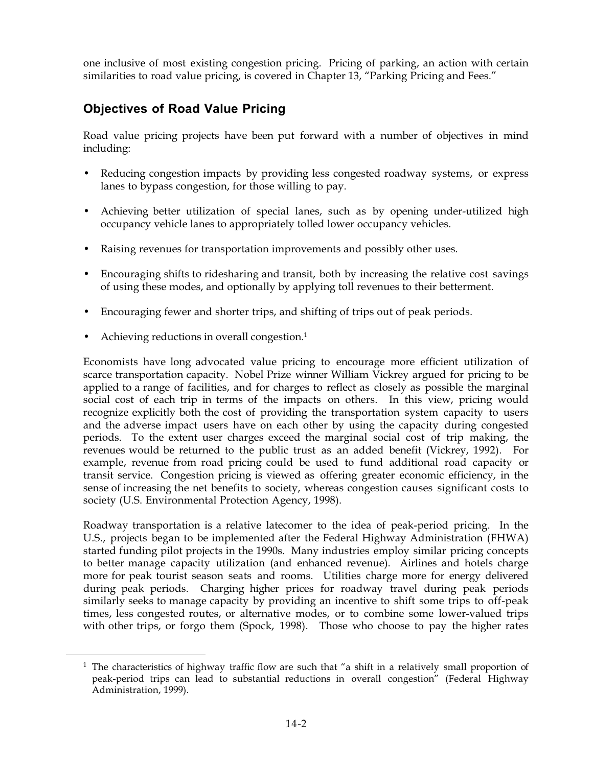one inclusive of most existing congestion pricing. Pricing of parking, an action with certain similarities to road value pricing, is covered in Chapter 13, "Parking Pricing and Fees."

## **Objectives of Road Value Pricing**

Road value pricing projects have been put forward with a number of objectives in mind including:

- Reducing congestion impacts by providing less congested roadway systems, or express lanes to bypass congestion, for those willing to pay.
- Achieving better utilization of special lanes, such as by opening under-utilized high occupancy vehicle lanes to appropriately tolled lower occupancy vehicles.
- Raising revenues for transportation improvements and possibly other uses.
- Encouraging shifts to ridesharing and transit, both by increasing the relative cost savings of using these modes, and optionally by applying toll revenues to their betterment.
- Encouraging fewer and shorter trips, and shifting of trips out of peak periods.
- Achieving reductions in overall congestion.<sup>1</sup>

Economists have long advocated value pricing to encourage more efficient utilization of scarce transportation capacity. Nobel Prize winner William Vickrey argued for pricing to be applied to a range of facilities, and for charges to reflect as closely as possible the marginal social cost of each trip in terms of the impacts on others. In this view, pricing would recognize explicitly both the cost of providing the transportation system capacity to users and the adverse impact users have on each other by using the capacity during congested periods. To the extent user charges exceed the marginal social cost of trip making, the revenues would be returned to the public trust as an added benefit (Vickrey, 1992). For example, revenue from road pricing could be used to fund additional road capacity or transit service. Congestion pricing is viewed as offering greater economic efficiency, in the sense of increasing the net benefits to society, whereas congestion causes significant costs to society (U.S. Environmental Protection Agency, 1998).

Roadway transportation is a relative latecomer to the idea of peak-period pricing. In the U.S., projects began to be implemented after the Federal Highway Administration (FHWA) started funding pilot projects in the 1990s. Many industries employ similar pricing concepts to better manage capacity utilization (and enhanced revenue). Airlines and hotels charge more for peak tourist season seats and rooms. Utilities charge more for energy delivered during peak periods. Charging higher prices for roadway travel during peak periods similarly seeks to manage capacity by providing an incentive to shift some trips to off-peak times, less congested routes, or alternative modes, or to combine some lower-valued trips with other trips, or forgo them (Spock, 1998). Those who choose to pay the higher rates

<sup>&</sup>lt;sup>1</sup> The characteristics of highway traffic flow are such that "a shift in a relatively small proportion of peak-period trips can lead to substantial reductions in overall congestion" (Federal Highway Administration, 1999).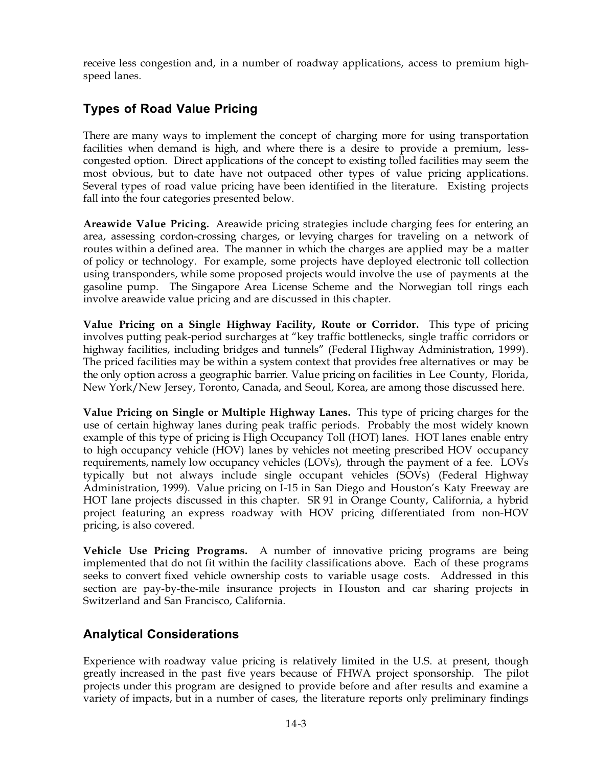receive less congestion and, in a number of roadway applications, access to premium highspeed lanes.

## **Types of Road Value Pricing**

There are many ways to implement the concept of charging more for using transportation facilities when demand is high, and where there is a desire to provide a premium, lesscongested option. Direct applications of the concept to existing tolled facilities may seem the most obvious, but to date have not outpaced other types of value pricing applications. Several types of road value pricing have been identified in the literature. Existing projects fall into the four categories presented below.

**Areawide Value Pricing.** Areawide pricing strategies include charging fees for entering an area, assessing cordon-crossing charges, or levying charges for traveling on a network of routes within a defined area. The manner in which the charges are applied may be a matter of policy or technology. For example, some projects have deployed electronic toll collection using transponders, while some proposed projects would involve the use of payments at the gasoline pump. The Singapore Area License Scheme and the Norwegian toll rings each involve areawide value pricing and are discussed in this chapter.

**Value Pricing on a Single Highway Facility, Route or Corridor.** This type of pricing involves putting peak-period surcharges at "key traffic bottlenecks, single traffic corridors or highway facilities, including bridges and tunnels" (Federal Highway Administration, 1999). The priced facilities may be within a system context that provides free alternatives or may be the only option across a geographic barrier. Value pricing on facilities in Lee County, Florida, New York/New Jersey, Toronto, Canada, and Seoul, Korea, are among those discussed here.

**Value Pricing on Single or Multiple Highway Lanes.** This type of pricing charges for the use of certain highway lanes during peak traffic periods. Probably the most widely known example of this type of pricing is High Occupancy Toll (HOT) lanes. HOT lanes enable entry to high occupancy vehicle (HOV) lanes by vehicles not meeting prescribed HOV occupancy requirements, namely low occupancy vehicles (LOVs), through the payment of a fee. LOVs typically but not always include single occupant vehicles (SOVs) (Federal Highway Administration, 1999). Value pricing on I-15 in San Diego and Houston's Katy Freeway are HOT lane projects discussed in this chapter. SR 91 in Orange County, California, a hybrid project featuring an express roadway with HOV pricing differentiated from non-HOV pricing, is also covered.

**Vehicle Use Pricing Programs.** A number of innovative pricing programs are being implemented that do not fit within the facility classifications above. Each of these programs seeks to convert fixed vehicle ownership costs to variable usage costs. Addressed in this section are pay-by-the-mile insurance projects in Houston and car sharing projects in Switzerland and San Francisco, California.

## **Analytical Considerations**

Experience with roadway value pricing is relatively limited in the U.S. at present, though greatly increased in the past five years because of FHWA project sponsorship. The pilot projects under this program are designed to provide before and after results and examine a variety of impacts, but in a number of cases, the literature reports only preliminary findings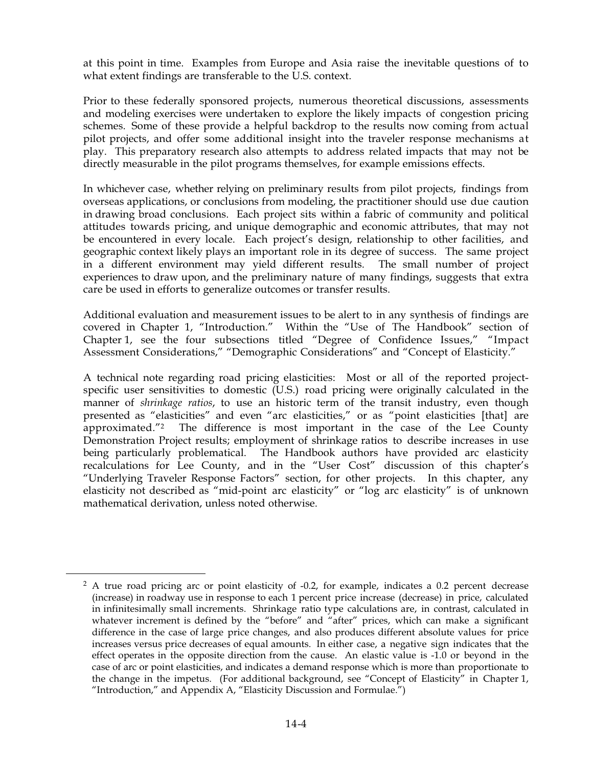at this point in time. Examples from Europe and Asia raise the inevitable questions of to what extent findings are transferable to the U.S. context.

Prior to these federally sponsored projects, numerous theoretical discussions, assessments and modeling exercises were undertaken to explore the likely impacts of congestion pricing schemes. Some of these provide a helpful backdrop to the results now coming from actual pilot projects, and offer some additional insight into the traveler response mechanisms at play. This preparatory research also attempts to address related impacts that may not be directly measurable in the pilot programs themselves, for example emissions effects.

In whichever case, whether relying on preliminary results from pilot projects, findings from overseas applications, or conclusions from modeling, the practitioner should use due caution in drawing broad conclusions. Each project sits within a fabric of community and political attitudes towards pricing, and unique demographic and economic attributes, that may not be encountered in every locale. Each project's design, relationship to other facilities, and geographic context likely plays an important role in its degree of success. The same project in a different environment may yield different results. The small number of project experiences to draw upon, and the preliminary nature of many findings, suggests that extra care be used in efforts to generalize outcomes or transfer results.

Additional evaluation and measurement issues to be alert to in any synthesis of findings are covered in Chapter 1, "Introduction." Within the "Use of The Handbook" section of Chapter 1, see the four subsections titled "Degree of Confidence Issues," "Impact Assessment Considerations," "Demographic Considerations" and "Concept of Elasticity."

A technical note regarding road pricing elasticities: Most or all of the reported projectspecific user sensitivities to domestic (U.S.) road pricing were originally calculated in the manner of *shrinkage ratios*, to use an historic term of the transit industry, even though presented as "elasticities" and even "arc elasticities," or as "point elasticities [that] are approximated."2 The difference is most important in the case of the Lee County Demonstration Project results; employment of shrinkage ratios to describe increases in use being particularly problematical. The Handbook authors have provided arc elasticity recalculations for Lee County, and in the "User Cost" discussion of this chapter's "Underlying Traveler Response Factors" section, for other projects. In this chapter, any elasticity not described as "mid-point arc elasticity" or "log arc elasticity" is of unknown mathematical derivation, unless noted otherwise.

<sup>&</sup>lt;sup>2</sup> A true road pricing arc or point elasticity of -0.2, for example, indicates a 0.2 percent decrease (increase) in roadway use in response to each 1 percent price increase (decrease) in price, calculated in infinitesimally small increments. Shrinkage ratio type calculations are, in contrast, calculated in whatever increment is defined by the "before" and "after" prices, which can make a significant difference in the case of large price changes, and also produces different absolute values for price increases versus price decreases of equal amounts. In either case, a negative sign indicates that the effect operates in the opposite direction from the cause. An elastic value is -1.0 or beyond in the case of arc or point elasticities, and indicates a demand response which is more than proportionate to the change in the impetus. (For additional background, see "Concept of Elasticity" in Chapter 1, "Introduction," and Appendix A, "Elasticity Discussion and Formulae.")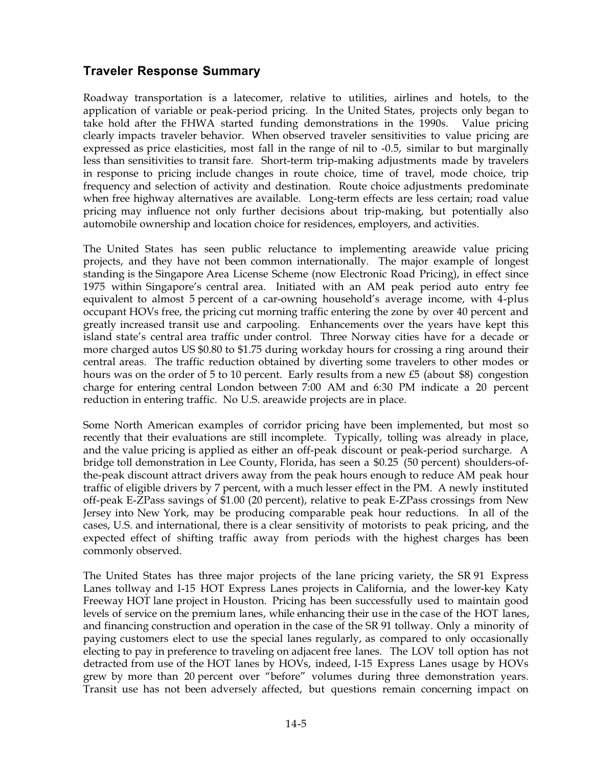## **Traveler Response Summary**

Roadway transportation is a latecomer, relative to utilities, airlines and hotels, to the application of variable or peak-period pricing. In the United States, projects only began to take hold after the FHWA started funding demonstrations in the 1990s. Value pricing clearly impacts traveler behavior. When observed traveler sensitivities to value pricing are expressed as price elasticities, most fall in the range of nil to -0.5, similar to but marginally less than sensitivities to transit fare. Short-term trip-making adjustments made by travelers in response to pricing include changes in route choice, time of travel, mode choice, trip frequency and selection of activity and destination. Route choice adjustments predominate when free highway alternatives are available. Long-term effects are less certain; road value pricing may influence not only further decisions about trip-making, but potentially also automobile ownership and location choice for residences, employers, and activities.

The United States has seen public reluctance to implementing areawide value pricing projects, and they have not been common internationally. The major example of longest standing is the Singapore Area License Scheme (now Electronic Road Pricing), in effect since 1975 within Singapore's central area. Initiated with an AM peak period auto entry fee equivalent to almost 5 percent of a car-owning household's average income, with 4-plus occupant HOVs free, the pricing cut morning traffic entering the zone by over 40 percent and greatly increased transit use and carpooling. Enhancements over the years have kept this island state's central area traffic under control. Three Norway cities have for a decade or more charged autos US \$0.80 to \$1.75 during workday hours for crossing a ring around their central areas. The traffic reduction obtained by diverting some travelers to other modes or hours was on the order of 5 to 10 percent. Early results from a new  $\text{\pounds}5$  (about \$8) congestion charge for entering central London between 7:00 AM and 6:30 PM indicate a 20 percent reduction in entering traffic. No U.S. areawide projects are in place.

Some North American examples of corridor pricing have been implemented, but most so recently that their evaluations are still incomplete. Typically, tolling was already in place, and the value pricing is applied as either an off-peak discount or peak-period surcharge. A bridge toll demonstration in Lee County, Florida, has seen a \$0.25 (50 percent) shoulders-ofthe-peak discount attract drivers away from the peak hours enough to reduce AM peak hour traffic of eligible drivers by 7 percent, with a much lesser effect in the PM. A newly instituted off-peak E-ZPass savings of  $$1.00$  (20 percent), relative to peak E-ZPass crossings from New Jersey into New York, may be producing comparable peak hour reductions. In all of the cases, U.S. and international, there is a clear sensitivity of motorists to peak pricing, and the expected effect of shifting traffic away from periods with the highest charges has been commonly observed.

The United States has three major projects of the lane pricing variety, the SR 91 Express Lanes tollway and I-15 HOT Express Lanes projects in California, and the lower-key Katy Freeway HOT lane project in Houston. Pricing has been successfully used to maintain good levels of service on the premium lanes, while enhancing their use in the case of the HOT lanes, and financing construction and operation in the case of the SR 91 tollway. Only a minority of paying customers elect to use the special lanes regularly, as compared to only occasionally electing to pay in preference to traveling on adjacent free lanes. The LOV toll option has not detracted from use of the HOT lanes by HOVs, indeed, I-15 Express Lanes usage by HOVs grew by more than 20 percent over "before" volumes during three demonstration years. Transit use has not been adversely affected, but questions remain concerning impact on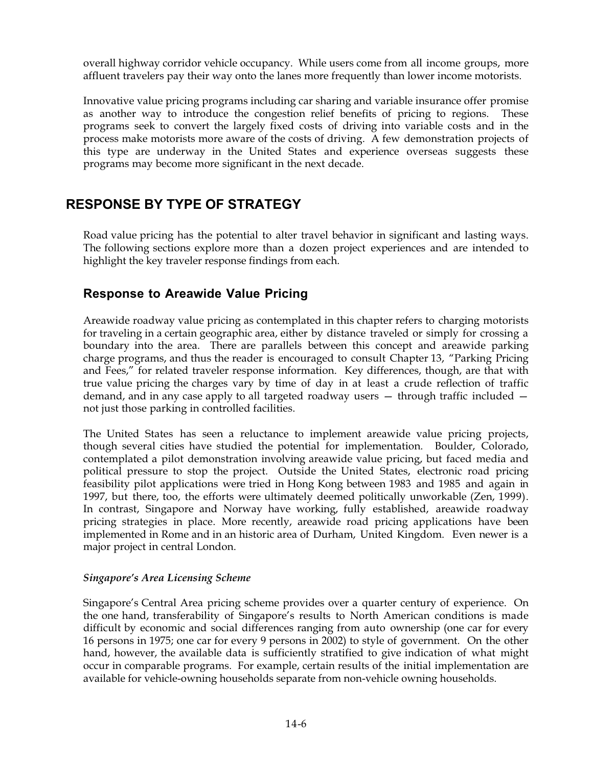overall highway corridor vehicle occupancy. While users come from all income groups, more affluent travelers pay their way onto the lanes more frequently than lower income motorists.

Innovative value pricing programs including car sharing and variable insurance offer promise as another way to introduce the congestion relief benefits of pricing to regions. These programs seek to convert the largely fixed costs of driving into variable costs and in the process make motorists more aware of the costs of driving. A few demonstration projects of this type are underway in the United States and experience overseas suggests these programs may become more significant in the next decade.

## **RESPONSE BY TYPE OF STRATEGY**

Road value pricing has the potential to alter travel behavior in significant and lasting ways. The following sections explore more than a dozen project experiences and are intended to highlight the key traveler response findings from each.

## **Response to Areawide Value Pricing**

Areawide roadway value pricing as contemplated in this chapter refers to charging motorists for traveling in a certain geographic area, either by distance traveled or simply for crossing a boundary into the area. There are parallels between this concept and areawide parking charge programs, and thus the reader is encouraged to consult Chapter 13, "Parking Pricing and Fees," for related traveler response information. Key differences, though, are that with true value pricing the charges vary by time of day in at least a crude reflection of traffic demand, and in any case apply to all targeted roadway users — through traffic included not just those parking in controlled facilities.

The United States has seen a reluctance to implement areawide value pricing projects, though several cities have studied the potential for implementation. Boulder, Colorado, contemplated a pilot demonstration involving areawide value pricing, but faced media and political pressure to stop the project. Outside the United States, electronic road pricing feasibility pilot applications were tried in Hong Kong between 1983 and 1985 and again in 1997, but there, too, the efforts were ultimately deemed politically unworkable (Zen, 1999). In contrast, Singapore and Norway have working, fully established, areawide roadway pricing strategies in place. More recently, areawide road pricing applications have been implemented in Rome and in an historic area of Durham, United Kingdom. Even newer is a major project in central London.

### *Singapore's Area Licensing Scheme*

Singapore's Central Area pricing scheme provides over a quarter century of experience. On the one hand, transferability of Singapore's results to North American conditions is made difficult by economic and social differences ranging from auto ownership (one car for every 16 persons in 1975; one car for every 9 persons in 2002) to style of government. On the other hand, however, the available data is sufficiently stratified to give indication of what might occur in comparable programs. For example, certain results of the initial implementation are available for vehicle-owning households separate from non-vehicle owning households.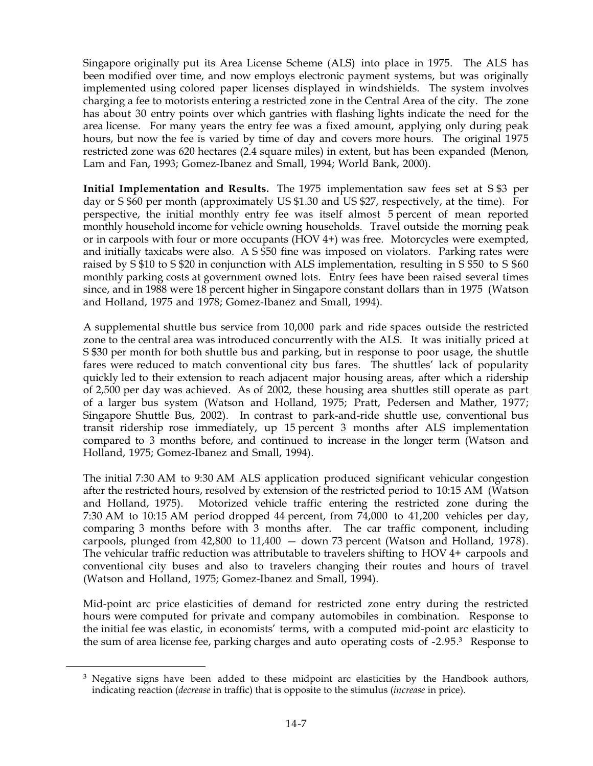Singapore originally put its Area License Scheme (ALS) into place in 1975. The ALS has been modified over time, and now employs electronic payment systems, but was originally implemented using colored paper licenses displayed in windshields. The system involves charging a fee to motorists entering a restricted zone in the Central Area of the city. The zone has about 30 entry points over which gantries with flashing lights indicate the need for the area license. For many years the entry fee was a fixed amount, applying only during peak hours, but now the fee is varied by time of day and covers more hours. The original 1975 restricted zone was 620 hectares (2.4 square miles) in extent, but has been expanded (Menon, Lam and Fan, 1993; Gomez-Ibanez and Small, 1994; World Bank, 2000).

**Initial Implementation and Results.** The 1975 implementation saw fees set at S\$3 per day or S \$60 per month (approximately US \$1.30 and US \$27, respectively, at the time). For perspective, the initial monthly entry fee was itself almost 5 percent of mean reported monthly household income for vehicle owning households. Travel outside the morning peak or in carpools with four or more occupants (HOV4+) was free. Motorcycles were exempted, and initially taxicabs were also. A  $S$  \$50 fine was imposed on violators. Parking rates were raised by  $\frac{1}{5}$  fo S \$20 in conjunction with ALS implementation, resulting in S \$50 to S \$60 monthly parking costs at government owned lots. Entry fees have been raised several times since, and in 1988 were 18 percent higher in Singapore constant dollars than in 1975 (Watson and Holland, 1975 and 1978; Gomez-Ibanez and Small, 1994).

A supplemental shuttle bus service from 10,000 park and ride spaces outside the restricted zone to the central area was introduced concurrently with the ALS. It was initially priced at S\\$30 per month for both shuttle bus and parking, but in response to poor usage, the shuttle fares were reduced to match conventional city bus fares. The shuttles' lack of popularity quickly led to their extension to reach adjacent major housing areas, after which a ridership of 2,500 per day was achieved. As of 2002, these housing area shuttles still operate as part of a larger bus system (Watson and Holland, 1975; Pratt, Pedersen and Mather, 1977; Singapore Shuttle Bus, 2002). In contrast to park-and-ride shuttle use, conventional bus transit ridership rose immediately, up  $15$  percent  $3$  months after ALS implementation compared to 3 months before, and continued to increase in the longer term (Watson and Holland, 1975; Gomez-Ibanez and Small, 1994).

The initial 7:30 AM to 9:30 AM ALS application produced significant vehicular congestion after the restricted hours, resolved by extension of the restricted period to 10:15 AM (Watson and Holland, 1975). Motorized vehicle traffic entering the restricted zone during the 7:30 AM to 10:15 AM period dropped 44 percent, from  $74,000$  to  $41,200$  vehicles per day, comparing 3 months before with 3 months after. The car traffic component, including carpools, plunged from  $42,800$  to  $11,400 -$  down 73 percent (Watson and Holland, 1978). The vehicular traffic reduction was attributable to travelers shifting to HOV4+ carpools and conventional city buses and also to travelers changing their routes and hours of travel (Watson and Holland, 1975; Gomez-Ibanez and Small, 1994).

Mid-point arc price elasticities of demand for restricted zone entry during the restricted hours were computed for private and company automobiles in combination. Response to the initial fee was elastic, in economists' terms, with a computed mid-point arc elasticity to the sum of area license fee, parking charges and auto operating costs of -2.95.3 Response to

<sup>&</sup>lt;sup>3</sup> Negative signs have been added to these midpoint arc elasticities by the Handbook authors, indicating reaction (*decrease* in traffic) that is opposite to the stimulus (*increase* in price).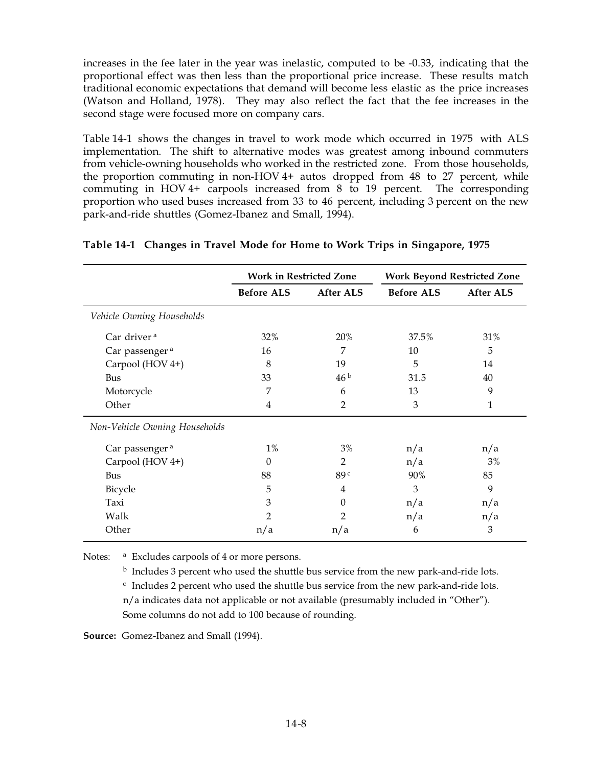increases in the fee later in the year was inelastic, computed to be -0.33, indicating that the proportional effect was then less than the proportional price increase. These results match traditional economic expectations that demand will become less elastic as the price increases (Watson and Holland, 1978). They may also reflect the fact that the fee increases in the second stage were focused more on company cars.

Table 14-1 shows the changes in travel to work mode which occurred in 1975 with ALS implementation. The shift to alternative modes was greatest among inbound commuters from vehicle-owning households who worked in the restricted zone. From those households, the proportion commuting in non-HOV4+ autos dropped from  $48$  to  $27$  percent, while commuting in HOV4+ carpools increased from 8 to 19 percent. The corresponding proportion who used buses increased from 33 to 46 percent, including 3 percent on the new park-and-ride shuttles (Gomez-Ibanez and Small, 1994).

|                               | <b>Work in Restricted Zone</b> |                 | <b>Work Beyond Restricted Zone</b> |                  |
|-------------------------------|--------------------------------|-----------------|------------------------------------|------------------|
|                               | <b>Before ALS</b>              | After ALS       | <b>Before ALS</b>                  | <b>After ALS</b> |
| Vehicle Owning Households     |                                |                 |                                    |                  |
| Car driver <sup>a</sup>       | 32%                            | 20%             | 37.5%                              | 31%              |
| Car passenger <sup>a</sup>    | 16                             | 7               | 10                                 | 5                |
| Carpool (HOV 4+)              | 8                              | 19              | 5                                  | 14               |
| Bus                           | 33                             | 46 <sup>b</sup> | 31.5                               | 40               |
| Motorcycle                    | 7                              | 6               | 13                                 | 9                |
| Other                         | 4                              | 2               | 3                                  | 1                |
| Non-Vehicle Owning Households |                                |                 |                                    |                  |
| Car passenger <sup>a</sup>    | $1\%$                          | 3%              | n/a                                | n/a              |
| Carpool (HOV 4+)              | $\Omega$                       | 2               | n/a                                | 3%               |
| Bus                           | 88                             | 89 <sup>c</sup> | 90%                                | 85               |
| Bicycle                       | 5                              | 4               | 3                                  | 9                |
| Taxi                          | 3                              | $\Omega$        | n/a                                | n/a              |
| Walk                          | $\overline{2}$                 | 2               | n/a                                | n/a              |
| Other                         | n/a                            | n/a             | 6                                  | 3                |

#### **Table'14-1 Changes in Travel Mode for Home to Work Trips in Singapore, 1975**

Notes: <sup>a</sup> Excludes carpools of 4 or more persons.

 $<sup>b</sup>$  Includes 3 percent who used the shuttle bus service from the new park-and-ride lots.</sup>

 $c$  Includes 2 percent who used the shuttle bus service from the new park-and-ride lots. n/a indicates data not applicable or not available (presumably included in "Other"). Some columns do not add to 100 because of rounding.

**Source:** Gomez-Ibanez and Small (1994).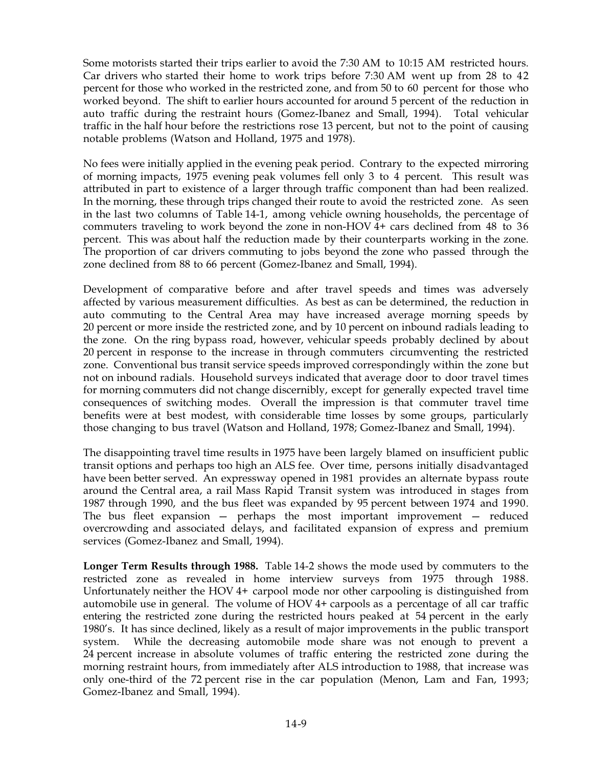Some motorists started their trips earlier to avoid the 7:30 AM to 10:15 AM restricted hours. Car drivers who started their home to work trips before  $7:30$  AM went up from 28 to  $42$ percent for those who worked in the restricted zone, and from 50 to 60 percent for those who worked beyond. The shift to earlier hours accounted for around 5 percent of the reduction in auto traffic during the restraint hours (Gomez-Ibanez and Small, 1994). Total vehicular traffic in the half hour before the restrictions rose 13 percent, but not to the point of causing notable problems (Watson and Holland, 1975 and 1978).

No fees were initially applied in the evening peak period. Contrary to the expected mirroring of morning impacts, 1975 evening peak volumes fell only 3 to 4 percent. This result was attributed in part to existence of a larger through traffic component than had been realized. In the morning, these through trips changed their route to avoid the restricted zone. As seen in the last two columns of Table 14-1, among vehicle owning households, the percentage of commuters traveling to work beyond the zone in non-HOV4+ cars declined from 48 to 36 percent. This was about half the reduction made by their counterparts working in the zone. The proportion of car drivers commuting to jobs beyond the zone who passed through the zone declined from 88 to 66 percent (Gomez-Ibanez and Small, 1994).

Development of comparative before and after travel speeds and times was adversely affected by various measurement difficulties. As best as can be determined, the reduction in auto commuting to the Central Area may have increased average morning speeds by 20 percent or more inside the restricted zone, and by 10 percent on inbound radials leading to the zone. On the ring bypass road, however, vehicular speeds probably declined by about 20 percent in response to the increase in through commuters circumventing the restricted zone. Conventional bus transit service speeds improved correspondingly within the zone but not on inbound radials. Household surveys indicated that average door to door travel times for morning commuters did not change discernibly, except for generally expected travel time consequences of switching modes. Overall the impression is that commuter travel time benefits were at best modest, with considerable time losses by some groups, particularly those changing to bus travel (Watson and Holland, 1978; Gomez-Ibanez and Small, 1994).

The disappointing travel time results in 1975 have been largely blamed on insufficient public transit options and perhaps too high an ALS fee. Over time, persons initially disadvantaged have been better served. An expressway opened in 1981 provides an alternate bypass route around the Central area, a rail Mass Rapid Transit system was introduced in stages from 1987 through 1990, and the bus fleet was expanded by 95 percent between 1974 and 1990. The bus fleet expansion — perhaps the most important improvement — reduced overcrowding and associated delays, and facilitated expansion of express and premium services (Gomez-Ibanez and Small, 1994).

**Longer Term Results through 1988.** Table 14-2 shows the mode used by commuters to the restricted zone as revealed in home interview surveys from 1975 through 1988. Unfortunately neither the HOV4+ carpool mode nor other carpooling is distinguished from automobile use in general. The volume of  $HOV_4+$  carpools as a percentage of all car traffic entering the restricted zone during the restricted hours peaked at 54 percent in the early 1980's. It has since declined, likely as a result of major improvements in the public transport system. While the decreasing automobile mode share was not enough to prevent a 24 percent increase in absolute volumes of traffic entering the restricted zone during the morning restraint hours, from immediately after ALS introduction to 1988, that increase was only one-third of the 72 percent rise in the car population (Menon, Lam and Fan, 1993; Gomez-Ibanez and Small, 1994).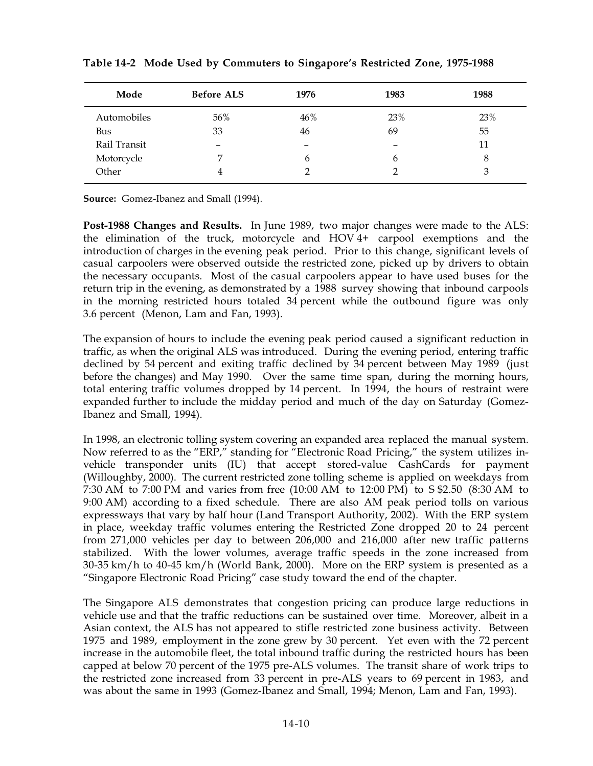| Mode         | <b>Before ALS</b>        | 1976 | 1983 | 1988 |
|--------------|--------------------------|------|------|------|
| Automobiles  | 56%                      | 46%  | 23%  | 23%  |
| Bus          | 33                       | 46   | 69   | 55   |
| Rail Transit | $\overline{\phantom{m}}$ | -    | -    | 11   |
| Motorcycle   |                          | b    | b    | 8    |
| Other        | 4                        |      |      | 3    |

**Table'14-2 Mode Used by Commuters to Singapore's Restricted Zone, 1975-1988**

**Source:** Gomez-Ibanez and Small (1994).

**Post-1988 Changes and Results.** In June 1989, two major changes were made to the ALS: the elimination of the truck, motorcycle and HOV4+ carpool exemptions and the introduction of charges in the evening peak period. Prior to this change, significant levels of casual carpoolers were observed outside the restricted zone, picked up by drivers to obtain the necessary occupants. Most of the casual carpoolers appear to have used buses for the return trip in the evening, as demonstrated by a 1988 survey showing that inbound carpools in the morning restricted hours totaled 34 percent while the outbound figure was only 3.6 percent (Menon, Lam and Fan, 1993).

The expansion of hours to include the evening peak period caused a significant reduction in traffic, as when the original ALS was introduced. During the evening period, entering traffic declined by 54 percent and exiting traffic declined by 34 percent between May 1989 (just before the changes) and May 1990. Over the same time span, during the morning hours, total entering traffic volumes dropped by 14 percent. In 1994, the hours of restraint were expanded further to include the midday period and much of the day on Saturday (Gomez-Ibanez and Small, 1994).

In 1998, an electronic tolling system covering an expanded area replaced the manual system. Now referred to as the "ERP," standing for "Electronic Road Pricing," the system utilizes invehicle transponder units (IU) that accept stored-value CashCards for payment (Willoughby, 2000). The current restricted zone tolling scheme is applied on weekdays from 7:30 AM to 7:00 PM and varies from free (10:00 AM to 12:00 PM) to S \$2.50 (8:30 AM to 9:00 AM) according to a fixed schedule. There are also AM peak period tolls on various expressways that vary by half hour (Land Transport Authority, 2002). With the ERP system in place, weekday traffic volumes entering the Restricted Zone dropped 20 to 24 percent from 271,000 vehicles per day to between 206,000 and 216,000 after new traffic patterns stabilized. With the lower volumes, average traffic speeds in the zone increased from  $30-35$  km/h to  $40-45$  km/h (World Bank, 2000). More on the ERP system is presented as a "Singapore Electronic Road Pricing" case study toward the end of the chapter.

The Singapore ALS demonstrates that congestion pricing can produce large reductions in vehicle use and that the traffic reductions can be sustained over time. Moreover, albeit in a Asian context, the ALS has not appeared to stifle restricted zone business activity. Between 1975 and 1989, employment in the zone grew by 30 percent. Yet even with the 72 percent increase in the automobile fleet, the total inbound traffic during the restricted hours has been capped at below 70 percent of the 1975 pre-ALS volumes. The transit share of work trips to the restricted zone increased from 33 percent in pre-ALS years to 69 percent in 1983, and was about the same in 1993 (Gomez-Ibanez and Small, 1994; Menon, Lam and Fan, 1993).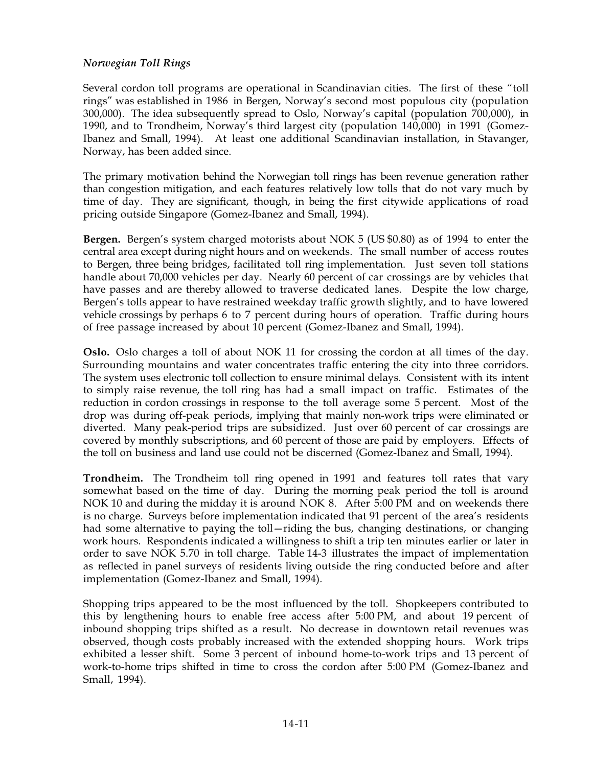### *Norwegian Toll Rings*

Several cordon toll programs are operational in Scandinavian cities. The first of these "toll rings" was established in 1986 in Bergen, Norway's second most populous city (population 300,000). The idea subsequently spread to Oslo, Norway's capital (population 700,000), in 1990, and to Trondheim, Norway's third largest city (population 140,000) in 1991 (Gomez-Ibanez and Small, 1994). At least one additional Scandinavian installation, in Stavanger, Norway, has been added since.

The primary motivation behind the Norwegian toll rings has been revenue generation rather than congestion mitigation, and each features relatively low tolls that do not vary much by time of day. They are significant, though, in being the first citywide applications of road pricing outside Singapore (Gomez-Ibanez and Small, 1994).

**Bergen.** Bergen's system charged motorists about NOK 5 (US \$0.80) as of 1994 to enter the central area except during night hours and on weekends. The small number of access routes to Bergen, three being bridges, facilitated toll ring implementation. Just seven toll stations handle about 70,000 vehicles per day. Nearly 60 percent of car crossings are by vehicles that have passes and are thereby allowed to traverse dedicated lanes. Despite the low charge, Bergen's tolls appear to have restrained weekday traffic growth slightly, and to have lowered vehicle crossings by perhaps 6 to 7 percent during hours of operation. Traffic during hours of free passage increased by about 10 percent (Gomez-Ibanez and Small, 1994).

**Oslo.** Oslo charges a toll of about NOK 11 for crossing the cordon at all times of the day. Surrounding mountains and water concentrates traffic entering the city into three corridors. The system uses electronic toll collection to ensure minimal delays. Consistent with its intent to simply raise revenue, the toll ring has had a small impact on traffic. Estimates of the reduction in cordon crossings in response to the toll average some 5 percent. Most of the drop was during off-peak periods, implying that mainly non-work trips were eliminated or diverted. Many peak-period trips are subsidized. Just over 60 percent of car crossings are covered by monthly subscriptions, and 60 percent of those are paid by employers. Effects of the toll on business and land use could not be discerned (Gomez-Ibanez and Small, 1994).

**Trondheim.** The Trondheim toll ring opened in 1991 and features toll rates that vary somewhat based on the time of day. During the morning peak period the toll is around NOK 10 and during the midday it is around NOK 8. After 5:00 PM and on weekends there is no charge. Surveys before implementation indicated that 91 percent of the area's residents had some alternative to paying the toll—riding the bus, changing destinations, or changing work hours. Respondents indicated a willingness to shift a trip ten minutes earlier or later in order to save NOK 5.70 in toll charge. Table 14-3 illustrates the impact of implementation as reflected in panel surveys of residents living outside the ring conducted before and after implementation (Gomez-Ibanez and Small, 1994).

Shopping trips appeared to be the most influenced by the toll. Shopkeepers contributed to this by lengthening hours to enable free access after 5:00 PM, and about 19 percent of inbound shopping trips shifted as a result. No decrease in downtown retail revenues was observed, though costs probably increased with the extended shopping hours. Work trips exhibited a lesser shift. Some 3 percent of inbound home-to-work trips and 13 percent of work-to-home trips shifted in time to cross the cordon after 5:00 PM (Gomez-Ibanez and Small, 1994).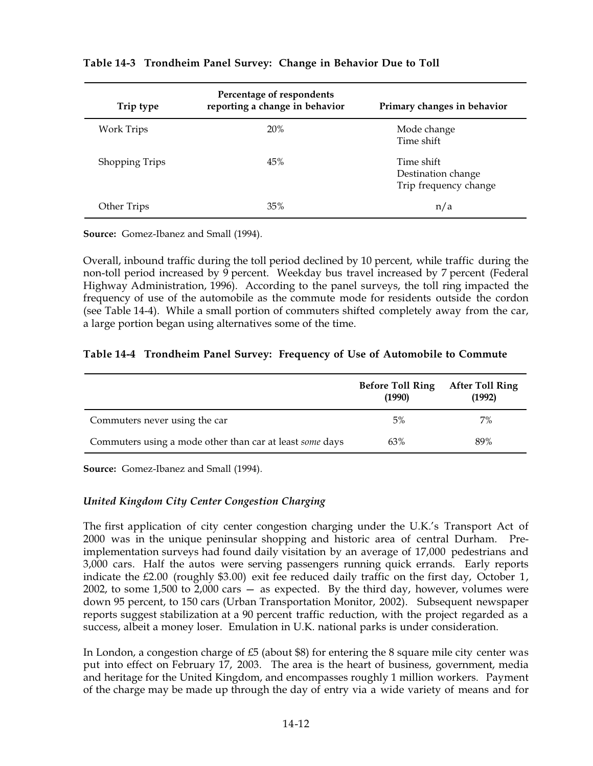| Trip type             | Percentage of respondents<br>reporting a change in behavior | Primary changes in behavior                               |
|-----------------------|-------------------------------------------------------------|-----------------------------------------------------------|
| Work Trips            | 20%                                                         | Mode change<br>Time shift                                 |
| <b>Shopping Trips</b> | 45%                                                         | Time shift<br>Destination change<br>Trip frequency change |
| Other Trips           | 35%                                                         | n/a                                                       |

#### **Table'14-3 Trondheim Panel Survey: Change in Behavior Due to Toll**

**Source:** Gomez-Ibanez and Small (1994).

Overall, inbound traffic during the toll period declined by 10 percent, while traffic during the non-toll period increased by 9 percent. Weekday bus travel increased by 7 percent (Federal Highway Administration, 1996). According to the panel surveys, the toll ring impacted the frequency of use of the automobile as the commute mode for residents outside the cordon (see Table  $14-4$ ). While a small portion of commuters shifted completely away from the car, a large portion began using alternatives some of the time.

### **Table'14-4 Trondheim Panel Survey: Frequency of Use of Automobile to Commute**

|                                                          | <b>Before Toll Ring</b><br>(1990) | <b>After Toll Ring</b><br>(1992) |
|----------------------------------------------------------|-----------------------------------|----------------------------------|
| Commuters never using the car                            | 5%                                | 7%                               |
| Commuters using a mode other than car at least some days | 63%                               | 89%                              |

**Source:** Gomez-Ibanez and Small (1994).

### *United Kingdom City Center Congestion Charging*

The first application of city center congestion charging under the U.K.'s Transport Act of 2000 was in the unique peninsular shopping and historic area of central Durham. Preimplementation surveys had found daily visitation by an average of 17,000 pedestrians and 3,000 cars. Half the autos were serving passengers running quick errands. Early reports indicate the £2.00 (roughly \$3.00) exit fee reduced daily traffic on the first day, October 1, 2002, to some  $1,500$  to  $2,000$  cars  $-$  as expected. By the third day, however, volumes were down 95 percent, to 150 cars (Urban Transportation Monitor, 2002). Subsequent newspaper reports suggest stabilization at a 90 percent traffic reduction, with the project regarded as a success, albeit a money loser. Emulation in U.K. national parks is under consideration.

In London, a congestion charge of  $£5$  (about  $$8$ ) for entering the 8 square mile city center was put into effect on February 17, 2003. The area is the heart of business, government, media and heritage for the United Kingdom, and encompasses roughly 1 million workers. Payment of the charge may be made up through the day of entry via a wide variety of means and for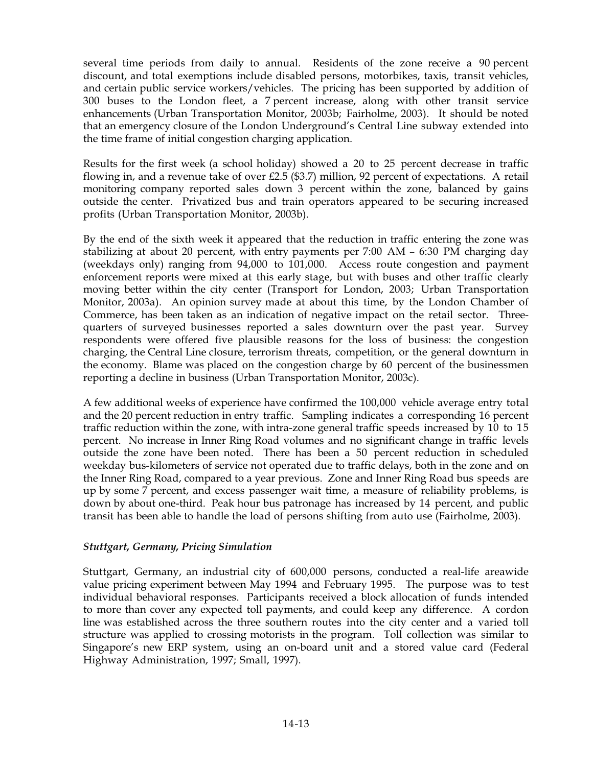several time periods from daily to annual. Residents of the zone receive a 90 percent discount, and total exemptions include disabled persons, motorbikes, taxis, transit vehicles, and certain public service workers/vehicles. The pricing has been supported by addition of 300 buses to the London fleet, a 7 percent increase, along with other transit service enhancements (Urban Transportation Monitor, 2003b; Fairholme, 2003). It should be noted that an emergency closure of the London Underground's Central Line subway extended into the time frame of initial congestion charging application.

Results for the first week (a school holiday) showed a 20 to 25 percent decrease in traffic flowing in, and a revenue take of over £2.5 (\$3.7) million, 92 percent of expectations. A retail monitoring company reported sales down 3 percent within the zone, balanced by gains outside the center. Privatized bus and train operators appeared to be securing increased profits (Urban Transportation Monitor, 2003b).

By the end of the sixth week it appeared that the reduction in traffic entering the zone was stabilizing at about 20 percent, with entry payments per 7:00 AM – 6:30 PM charging day (weekdays only) ranging from 94,000 to 101,000. Access route congestion and payment enforcement reports were mixed at this early stage, but with buses and other traffic clearly moving better within the city center (Transport for London, 2003; Urban Transportation Monitor, 2003a). An opinion survey made at about this time, by the London Chamber of Commerce, has been taken as an indication of negative impact on the retail sector. Threequarters of surveyed businesses reported a sales downturn over the past year. Survey respondents were offered five plausible reasons for the loss of business: the congestion charging, the Central Line closure, terrorism threats, competition, or the general downturn in the economy. Blame was placed on the congestion charge by 60 percent of the businessmen reporting a decline in business (Urban Transportation Monitor, 2003c).

A few additional weeks of experience have confirmed the 100,000 vehicle average entry total and the 20 percent reduction in entry traffic. Sampling indicates a corresponding 16 percent traffic reduction within the zone, with intra-zone general traffic speeds increased by 10 to 15 percent. No increase in Inner Ring Road volumes and no significant change in traffic levels outside the zone have been noted. There has been a 50 percent reduction in scheduled weekday bus-kilometers of service not operated due to traffic delays, both in the zone and on the Inner Ring Road, compared to a year previous. Zone and Inner Ring Road bus speeds are up by some 7 percent, and excess passenger wait time, a measure of reliability problems, is down by about one-third. Peak hour bus patronage has increased by 14 percent, and public transit has been able to handle the load of persons shifting from auto use (Fairholme, 2003).

### *Stuttgart, Germany, Pricing Simulation*

Stuttgart, Germany, an industrial city of 600,000 persons, conducted a real-life areawide value pricing experiment between May 1994 and February 1995. The purpose was to test individual behavioral responses. Participants received a block allocation of funds intended to more than cover any expected toll payments, and could keep any difference. A cordon line was established across the three southern routes into the city center and a varied toll structure was applied to crossing motorists in the program. Toll collection was similar to Singapore's new ERP system, using an on-board unit and a stored value card (Federal Highway Administration, 1997; Small, 1997).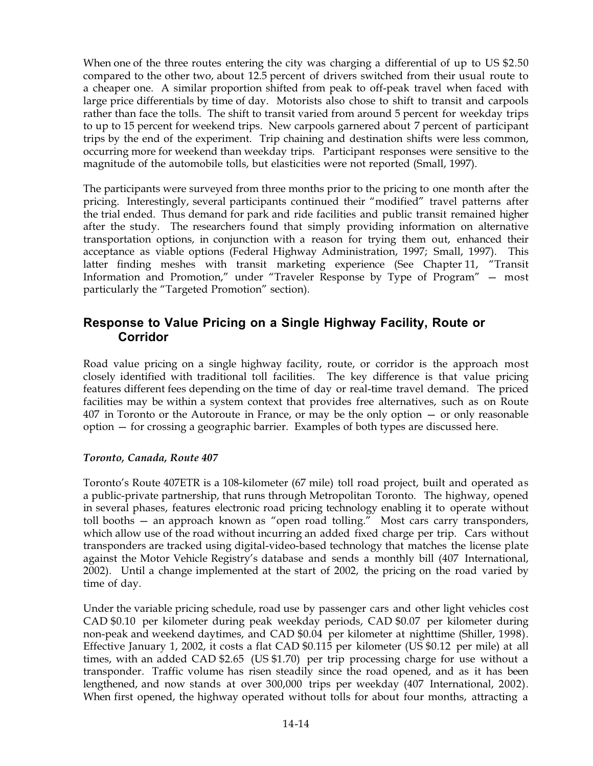When one of the three routes entering the city was charging a differential of up to  $US $2.50$ compared to the other two, about 12.5 percent of drivers switched from their usual route to a cheaper one. A similar proportion shifted from peak to off-peak travel when faced with large price differentials by time of day. Motorists also chose to shift to transit and carpools rather than face the tolls. The shift to transit varied from around 5 percent for weekday trips to up to 15 percent for weekend trips. New carpools garnered about 7 percent of participant trips by the end of the experiment. Trip chaining and destination shifts were less common, occurring more for weekend than weekday trips. Participant responses were sensitive to the magnitude of the automobile tolls, but elasticities were not reported (Small, 1997).

The participants were surveyed from three months prior to the pricing to one month after the pricing. Interestingly, several participants continued their "modified" travel patterns after the trial ended. Thus demand for park and ride facilities and public transit remained higher after the study. The researchers found that simply providing information on alternative transportation options, in conjunction with a reason for trying them out, enhanced their acceptance as viable options (Federal Highway Administration, 1997; Small, 1997). This latter finding meshes with transit marketing experience (See Chapter 11, "Transit Information and Promotion," under "Traveler Response by Type of Program" — most particularly the "Targeted Promotion" section).

## **Response to Value Pricing on a Single Highway Facility, Route or Corridor**

Road value pricing on a single highway facility, route, or corridor is the approach most closely identified with traditional toll facilities. The key difference is that value pricing features different fees depending on the time of day or real-time travel demand. The priced facilities may be within a system context that provides free alternatives, such as on Route 407 in Toronto or the Autoroute in France, or may be the only option — or only reasonable option — for crossing a geographic barrier. Examples of both types are discussed here.

### *Toronto, Canada, Route 407*

Toronto's Route 407ETR is a 108-kilometer (67 mile) toll road project, built and operated as a public-private partnership, that runs through Metropolitan Toronto. The highway, opened in several phases, features electronic road pricing technology enabling it to operate without toll booths — an approach known as "open road tolling." Most cars carry transponders, which allow use of the road without incurring an added fixed charge per trip. Cars without transponders are tracked using digital-video-based technology that matches the license plate against the Motor Vehicle Registry's database and sends a monthly bill (407 International, 2002). Until a change implemented at the start of 2002, the pricing on the road varied by time of day.

Under the variable pricing schedule, road use by passenger cars and other light vehicles cost CAD \$0.10 per kilometer during peak weekday periods, CAD \$0.07 per kilometer during non-peak and weekend daytimes, and CAD \$0.04 per kilometer at nighttime (Shiller, 1998). Effective January 1, 2002, it costs a flat CAD \$0.115 per kilometer (US \$0.12 per mile) at all times, with an added CAD  $$2.65$  (US  $$1.70$ ) per trip processing charge for use without a transponder. Traffic volume has risen steadily since the road opened, and as it has been lengthened, and now stands at over 300,000 trips per weekday (407 International, 2002). When first opened, the highway operated without tolls for about four months, attracting a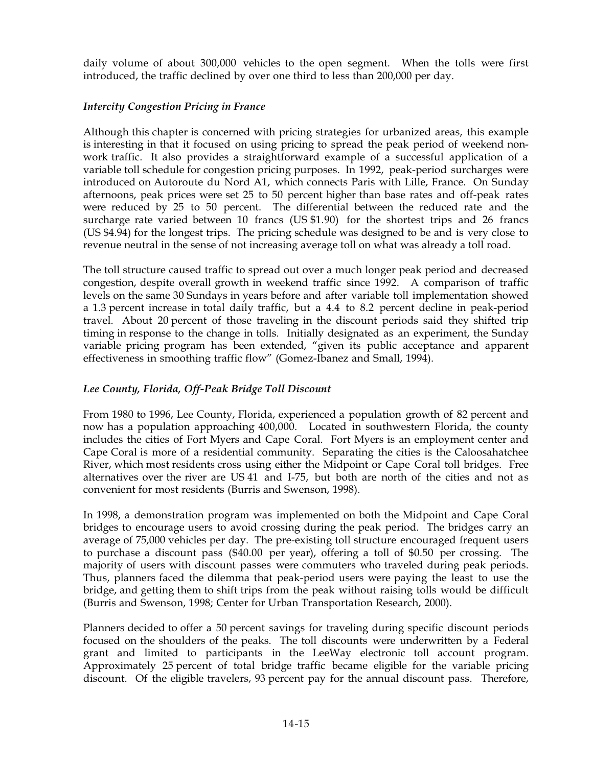daily volume of about 300,000 vehicles to the open segment. When the tolls were first introduced, the traffic declined by over one third to less than 200,000 per day.

## *Intercity Congestion Pricing in France*

Although this chapter is concerned with pricing strategies for urbanized areas, this example is interesting in that it focused on using pricing to spread the peak period of weekend nonwork traffic. It also provides a straightforward example of a successful application of a variable toll schedule for congestion pricing purposes. In 1992, peak-period surcharges were introduced on Autoroute du Nord A1, which connects Paris with Lille, France. On Sunday afternoons, peak prices were set 25 to 50 percent higher than base rates and off-peak rates were reduced by 25 to 50 percent. The differential between the reduced rate and the surcharge rate varied between  $10$  francs (US \$1.90) for the shortest trips and  $26$  francs (US \$4.94) for the longest trips. The pricing schedule was designed to be and is very close to revenue neutral in the sense of not increasing average toll on what was already a toll road.

The toll structure caused traffic to spread out over a much longer peak period and decreased congestion, despite overall growth in weekend traffic since 1992. A comparison of traffic levels on the same 30 Sundays in years before and after variable toll implementation showed a 1.3 percent increase in total daily traffic, but a 4.4 to 8.2 percent decline in peak-period travel. About 20 percent of those traveling in the discount periods said they shifted trip timing in response to the change in tolls. Initially designated as an experiment, the Sunday variable pricing program has been extended, "given its public acceptance and apparent effectiveness in smoothing traffic flow" (Gomez-Ibanez and Small, 1994).

## *Lee County, Florida, Off-Peak Bridge Toll Discount*

From 1980 to 1996, Lee County, Florida, experienced a population growth of 82 percent and now has a population approaching 400,000. Located in southwestern Florida, the county includes the cities of Fort Myers and Cape Coral. Fort Myers is an employment center and Cape Coral is more of a residential community. Separating the cities is the Caloosahatchee River, which most residents cross using either the Midpoint or Cape Coral toll bridges. Free alternatives over the river are US41 and I-75, but both are north of the cities and not as convenient for most residents (Burris and Swenson, 1998).

In 1998, a demonstration program was implemented on both the Midpoint and Cape Coral bridges to encourage users to avoid crossing during the peak period. The bridges carry an average of 75,000 vehicles per day. The pre-existing toll structure encouraged frequent users to purchase a discount pass (\$40.00 per year), offering a toll of \$0.50 per crossing. The majority of users with discount passes were commuters who traveled during peak periods. Thus, planners faced the dilemma that peak-period users were paying the least to use the bridge, and getting them to shift trips from the peak without raising tolls would be difficult (Burris and Swenson, 1998; Center for Urban Transportation Research, 2000).

Planners decided to offer a 50 percent savings for traveling during specific discount periods focused on the shoulders of the peaks. The toll discounts were underwritten by a Federal grant and limited to participants in the LeeWay electronic toll account program. Approximately 25 percent of total bridge traffic became eligible for the variable pricing discount. Of the eligible travelers, 93 percent pay for the annual discount pass. Therefore,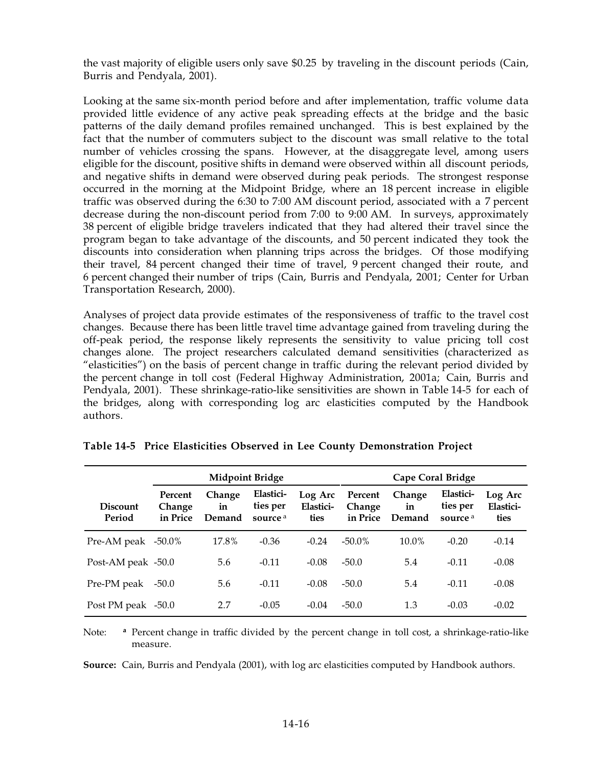the vast majority of eligible users only save \$0.25 by traveling in the discount periods (Cain, Burris and Pendyala, 2001).

Looking at the same six-month period before and after implementation, traffic volume data provided little evidence of any active peak spreading effects at the bridge and the basic patterns of the daily demand profiles remained unchanged. This is best explained by the fact that the number of commuters subject to the discount was small relative to the total number of vehicles crossing the spans. However, at the disaggregate level, among users eligible for the discount, positive shifts in demand were observed within all discount periods, and negative shifts in demand were observed during peak periods. The strongest response occurred in the morning at the Midpoint Bridge, where an 18 percent increase in eligible traffic was observed during the 6:30 to 7:00 AM discount period, associated with a 7 percent decrease during the non-discount period from 7:00 to 9:00 AM. In surveys, approximately 38 percent of eligible bridge travelers indicated that they had altered their travel since the program began to take advantage of the discounts, and 50 percent indicated they took the discounts into consideration when planning trips across the bridges. Of those modifying their travel, 84 percent changed their time of travel, 9 percent changed their route, and 66percent changed their number of trips (Cain, Burris and Pendyala, 2001; Center for Urban Transportation Research, 2000).

Analyses of project data provide estimates of the responsiveness of traffic to the travel cost changes. Because there has been little travel time advantage gained from traveling during the off-peak period, the response likely represents the sensitivity to value pricing toll cost changes alone. The project researchers calculated demand sensitivities (characterized as "elasticities") on the basis of percent change in traffic during the relevant period divided by the percent change in toll cost (Federal Highway Administration, 2001a; Cain, Burris and Pendyala, 2001). These shrinkage-ratio-like sensitivities are shown in Table 14-5 for each of the bridges, along with corresponding log arc elasticities computed by the Handbook authors.

|                           | <b>Midpoint Bridge</b>        |                        |                                              |                              | Cape Coral Bridge             |                        |                                              |                              |
|---------------------------|-------------------------------|------------------------|----------------------------------------------|------------------------------|-------------------------------|------------------------|----------------------------------------------|------------------------------|
| <b>Discount</b><br>Period | Percent<br>Change<br>in Price | Change<br>in<br>Demand | Elastici-<br>ties per<br>source <sup>a</sup> | Log Arc<br>Elastici-<br>ties | Percent<br>Change<br>in Price | Change<br>in<br>Demand | Elastici-<br>ties per<br>source <sup>a</sup> | Log Arc<br>Elastici-<br>ties |
| Pre-AM peak $-50.0\%$     |                               | 17.8%                  | $-0.36$                                      | $-0.24$                      | $-50.0\%$                     | $10.0\%$               | $-0.20$                                      | $-0.14$                      |
| Post-AM peak -50.0        |                               | 5.6                    | $-0.11$                                      | $-0.08$                      | $-50.0$                       | 5.4                    | $-0.11$                                      | $-0.08$                      |
| Pre-PM peak               | $-50.0$                       | 5.6                    | $-0.11$                                      | $-0.08$                      | $-50.0$                       | 5.4                    | $-0.11$                                      | $-0.08$                      |
| Post PM peak -50.0        |                               | 2.7                    | $-0.05$                                      | $-0.04$                      | $-50.0$                       | 1.3                    | $-0.03$                                      | $-0.02$                      |

**Table'14-5 Price Elasticities Observed in Lee County Demonstration Project**

Note: **<sup>a</sup>** Percent change in traffic divided by the percent change in toll cost, a shrinkage-ratio-like measure.

**Source:** Cain, Burris and Pendyala (2001), with log arc elasticities computed by Handbook authors.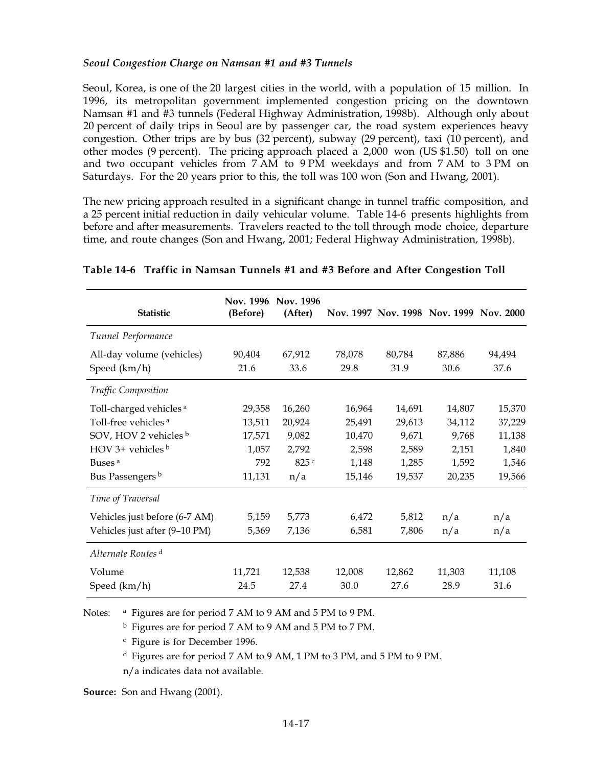#### *Seoul Congestion Charge on Namsan #1 and #3 Tunnels*

Seoul, Korea, is one of the 20 largest cities in the world, with a population of 15 million. In 1996, its metropolitan government implemented congestion pricing on the downtown Namsan #1 and #3 tunnels (Federal Highway Administration, 1998b). Although only about 20 percent of daily trips in Seoul are by passenger car, the road system experiences heavy congestion. Other trips are by bus (32 percent), subway (29 percent), taxi (10 percent), and other modes (9 percent). The pricing approach placed a  $2,000$  won (US \$1.50) toll on one and two occupant vehicles from  $7AM$  to  $9PM$  weekdays and from  $7AM$  to  $3PM$  on Saturdays. For the 20 years prior to this, the toll was 100 won (Son and Hwang, 2001).

The new pricing approach resulted in a significant change in tunnel traffic composition, and a 25 percent initial reduction in daily vehicular volume. Table 14-6 presents highlights from before and after measurements. Travelers reacted to the toll through mode choice, departure time, and route changes (Son and Hwang, 2001; Federal Highway Administration, 1998b).

| <b>Statistic</b>                          | Nov. 1996<br>(Before) | Nov. 1996<br>(After) |                |                | Nov. 1997 Nov. 1998 Nov. 1999 Nov. 2000 |                |
|-------------------------------------------|-----------------------|----------------------|----------------|----------------|-----------------------------------------|----------------|
| Tunnel Performance                        |                       |                      |                |                |                                         |                |
| All-day volume (vehicles)<br>Speed (km/h) | 90,404<br>21.6        | 67,912<br>33.6       | 78,078<br>29.8 | 80,784<br>31.9 | 87,886<br>30.6                          | 94,494<br>37.6 |
| <b>Traffic Composition</b>                |                       |                      |                |                |                                         |                |
| Toll-charged vehicles <sup>a</sup>        | 29,358                | 16,260               | 16,964         | 14,691         | 14,807                                  | 15,370         |
| Toll-free vehicles <sup>a</sup>           | 13,511                | 20,924               | 25,491         | 29,613         | 34,112                                  | 37,229         |
| SOV, HOV 2 vehicles b                     | 17,571                | 9,082                | 10,470         | 9,671          | 9,768                                   | 11,138         |
| HOV 3+ vehicles $b$                       | 1,057                 | 2,792                | 2,598          | 2,589          | 2,151                                   | 1,840          |
| Buses <sup>a</sup>                        | 792                   | 825c                 | 1,148          | 1,285          | 1,592                                   | 1,546          |
| Bus Passengers <sup>b</sup>               | 11,131                | n/a                  | 15,146         | 19,537         | 20,235                                  | 19,566         |
| Time of Traversal                         |                       |                      |                |                |                                         |                |
| Vehicles just before (6-7 AM)             | 5,159                 | 5,773                | 6,472          | 5,812          | n/a                                     | n/a            |
| Vehicles just after (9-10 PM)             | 5,369                 | 7,136                | 6,581          | 7,806          | n/a                                     | n/a            |
| Alternate Routes <sup>d</sup>             |                       |                      |                |                |                                         |                |
| Volume                                    | 11,721                | 12,538               | 12,008         | 12,862         | 11,303                                  | 11,108         |
| Speed (km/h)                              | 24.5                  | 27.4                 | 30.0           | 27.6           | 28.9                                    | 31.6           |

#### **Table'14-6 Traffic in Namsan Tunnels #1 and #3 Before and After Congestion Toll**

Notes: <sup>a</sup> Figures are for period 7 AM to 9 AM and 5 PM to 9 PM.

<sup>b</sup> Figures are for period 7 AM to 9 AM and 5 PM to 7 PM.

<sup>c</sup> Figure is for December 1996.

<sup>d</sup> Figures are for period 7 AM to 9 AM, 1 PM to 3 PM, and 5 PM to 9 PM.

n/a indicates data not available.

**Source:** Son and Hwang (2001).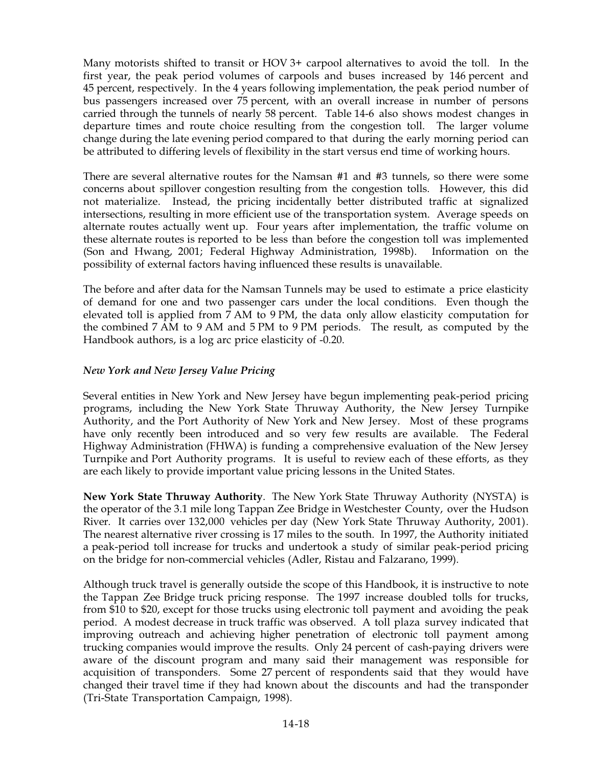Many motorists shifted to transit or  $HOV3+$  carpool alternatives to avoid the toll. In the first year, the peak period volumes of carpools and buses increased by 146 percent and 45 percent, respectively. In the 4 years following implementation, the peak period number of bus passengers increased over 75 percent, with an overall increase in number of persons carried through the tunnels of nearly 58 percent. Table 14-6 also shows modest changes in departure times and route choice resulting from the congestion toll. The larger volume change during the late evening period compared to that during the early morning period can be attributed to differing levels of flexibility in the start versus end time of working hours.

There are several alternative routes for the Namsan #1 and #3 tunnels, so there were some concerns about spillover congestion resulting from the congestion tolls. However, this did not materialize. Instead, the pricing incidentally better distributed traffic at signalized intersections, resulting in more efficient use of the transportation system. Average speeds on alternate routes actually went up. Four years after implementation, the traffic volume on these alternate routes is reported to be less than before the congestion toll was implemented (Son and Hwang, 2001; Federal Highway Administration, 1998b). Information on the possibility of external factors having influenced these results is unavailable.

The before and after data for the Namsan Tunnels may be used to estimate a price elasticity of demand for one and two passenger cars under the local conditions. Even though the elevated toll is applied from 7 AM to 9 PM, the data only allow elasticity computation for the combined 7 AM to 9 AM and 5 PM to 9 PM periods. The result, as computed by the Handbook authors, is a log arc price elasticity of -0.20.

### *New York and New Jersey Value Pricing*

Several entities in New York and New Jersey have begun implementing peak-period pricing programs, including the New York State Thruway Authority, the New Jersey Turnpike Authority, and the Port Authority of New York and New Jersey. Most of these programs have only recently been introduced and so very few results are available. The Federal Highway Administration (FHWA) is funding a comprehensive evaluation of the New Jersey Turnpike and Port Authority programs. It is useful to review each of these efforts, as they are each likely to provide important value pricing lessons in the United States.

**New York State Thruway Authority**. The New York State Thruway Authority (NYSTA) is the operator of the 3.1 mile long Tappan Zee Bridge in Westchester County, over the Hudson River. It carries over 132,000 vehicles per day (New York State Thruway Authority, 2001). The nearest alternative river crossing is 17 miles to the south. In 1997, the Authority initiated a peak-period toll increase for trucks and undertook a study of similar peak-period pricing on the bridge for non-commercial vehicles (Adler, Ristau and Falzarano, 1999).

Although truck travel is generally outside the scope of this Handbook, it is instructive to note the Tappan Zee Bridge truck pricing response. The 1997 increase doubled tolls for trucks, from \$10 to \$20, except for those trucks using electronic toll payment and avoiding the peak period. A modest decrease in truck traffic was observed. A toll plaza survey indicated that improving outreach and achieving higher penetration of electronic toll payment among trucking companies would improve the results. Only 24 percent of cash-paying drivers were aware of the discount program and many said their management was responsible for acquisition of transponders. Some 27 percent of respondents said that they would have changed their travel time if they had known about the discounts and had the transponder (Tri-State Transportation Campaign, 1998).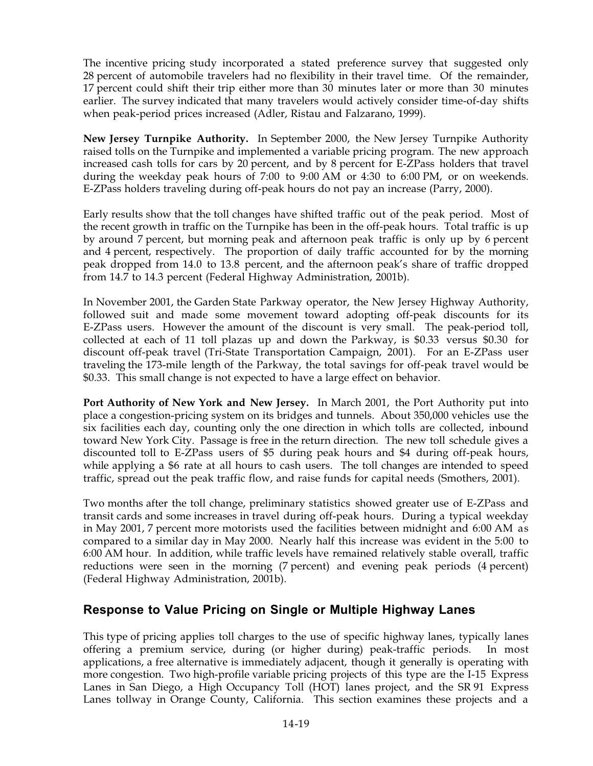The incentive pricing study incorporated a stated preference survey that suggested only 28 percent of automobile travelers had no flexibility in their travel time. Of the remainder, 17 percent could shift their trip either more than 30 minutes later or more than 30 minutes earlier. The survey indicated that many travelers would actively consider time-of-day shifts when peak-period prices increased (Adler, Ristau and Falzarano, 1999).

**New Jersey Turnpike Authority.** In September 2000, the New Jersey Turnpike Authority raised tolls on the Turnpike and implemented a variable pricing program. The new approach increased cash tolls for cars by 20 percent, and by 8 percent for E-ZPass holders that travel during the weekday peak hours of  $7:00$  to  $9:00$  AM or  $4:30$  to  $6:00$  PM, or on weekends. E-ZPass holders traveling during off-peak hours do not pay an increase (Parry, 2000).

Early results show that the toll changes have shifted traffic out of the peak period. Most of the recent growth in traffic on the Turnpike has been in the off-peak hours. Total traffic is up by around 7 percent, but morning peak and afternoon peak traffic is only up by 6 percent and 4 percent, respectively. The proportion of daily traffic accounted for by the morning peak dropped from 14.0 to 13.8 percent, and the afternoon peak's share of traffic dropped from 14.7 to 14.3 percent (Federal Highway Administration, 2001b).

In November 2001, the Garden State Parkway operator, the New Jersey Highway Authority, followed suit and made some movement toward adopting off-peak discounts for its E-ZPass users. However the amount of the discount is very small. The peak-period toll, collected at each of 11 toll plazas up and down the Parkway, is \$0.33 versus \$0.30 for discount off-peak travel (Tri-State Transportation Campaign, 2001). For an E-ZPass user traveling the 173-mile length of the Parkway, the total savings for off-peak travel would be \$0.33. This small change is not expected to have a large effect on behavior.

**Port Authority of New York and New Jersey.** In March 2001, the Port Authority put into place a congestion-pricing system on its bridges and tunnels. About 350,000 vehicles use the six facilities each day, counting only the one direction in which tolls are collected, inbound toward New York City. Passage is free in the return direction. The new toll schedule gives a discounted toll to E-ZPass users of \$5 during peak hours and \$4 during off-peak hours, while applying a \$6 rate at all hours to cash users. The toll changes are intended to speed traffic, spread out the peak traffic flow, and raise funds for capital needs (Smothers, 2001).

Two months after the toll change, preliminary statistics showed greater use of E-ZPass and transit cards and some increases in travel during off-peak hours. During a typical weekday in May 2001, 7 percent more motorists used the facilities between midnight and  $6:00$  AM as compared to a similar day in May 2000. Nearly half this increase was evident in the 5:00 to 6:00 AM hour. In addition, while traffic levels have remained relatively stable overall, traffic reductions were seen in the morning (7 percent) and evening peak periods (4 percent) (Federal Highway Administration, 2001b).

## **Response to Value Pricing on Single or Multiple Highway Lanes**

This type of pricing applies toll charges to the use of specific highway lanes, typically lanes offering a premium service, during (or higher during) peak-traffic periods. In most applications, a free alternative is immediately adjacent, though it generally is operating with more congestion. Two high-profile variable pricing projects of this type are the I-15 Express Lanes in San Diego, a High Occupancy Toll (HOT) lanes project, and the SR 91 Express Lanes tollway in Orange County, California. This section examines these projects and a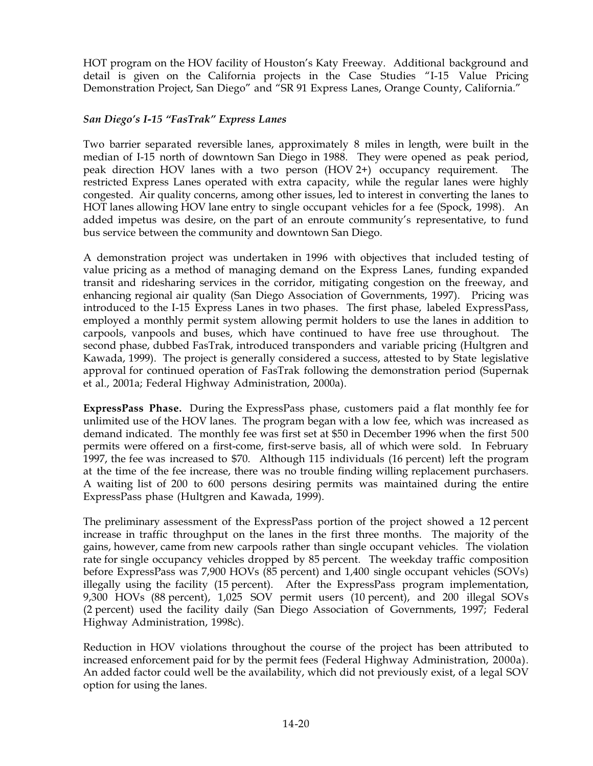HOT program on the HOV facility of Houston's Katy Freeway. Additional background and detail is given on the California projects in the Case Studies "I-15 Value Pricing Demonstration Project, San Diego" and "SR 91 Express Lanes, Orange County, California."

### *San Diego's I-15 "FasTrak" Express Lanes*

Two barrier separated reversible lanes, approximately 8 miles in length, were built in the median of I-15 north of downtown San Diego in 1988. They were opened as peak period, peak direction HOV lanes with a two person (HOV2+) occupancy requirement. The restricted Express Lanes operated with extra capacity, while the regular lanes were highly congested. Air quality concerns, among other issues, led to interest in converting the lanes to HOT lanes allowing HOV lane entry to single occupant vehicles for a fee (Spock, 1998). An added impetus was desire, on the part of an enroute community's representative, to fund bus service between the community and downtown San Diego.

A demonstration project was undertaken in 1996 with objectives that included testing of value pricing as a method of managing demand on the Express Lanes, funding expanded transit and ridesharing services in the corridor, mitigating congestion on the freeway, and enhancing regional air quality (San Diego Association of Governments, 1997). Pricing was introduced to the I-15 Express Lanes in two phases. The first phase, labeled ExpressPass, employed a monthly permit system allowing permit holders to use the lanes in addition to carpools, vanpools and buses, which have continued to have free use throughout. The second phase, dubbed FasTrak, introduced transponders and variable pricing (Hultgren and Kawada, 1999). The project is generally considered a success, attested to by State legislative approval for continued operation of FasTrak following the demonstration period (Supernak et al., 2001a; Federal Highway Administration, 2000a).

**ExpressPass Phase.** During the ExpressPass phase, customers paid a flat monthly fee for unlimited use of the HOV lanes. The program began with a low fee, which was increased as demand indicated. The monthly fee was first set at \$50 in December 1996 when the first 500 permits were offered on a first-come, first-serve basis, all of which were sold. In February 1997, the fee was increased to \$70. Although 115 individuals (16 percent) left the program at the time of the fee increase, there was no trouble finding willing replacement purchasers. A waiting list of 200 to 600 persons desiring permits was maintained during the entire ExpressPass phase (Hultgren and Kawada, 1999).

The preliminary assessment of the ExpressPass portion of the project showed a 12 percent increase in traffic throughput on the lanes in the first three months. The majority of the gains, however, came from new carpools rather than single occupant vehicles. The violation rate for single occupancy vehicles dropped by 85 percent. The weekday traffic composition before ExpressPass was 7,900 HOVs (85 percent) and 1,400 single occupant vehicles (SOVs) illegally using the facility (15 percent). After the ExpressPass program implementation,  $9,300$  HOVs  $(88$  percent),  $1,025$  SOV permit users  $(10$  percent), and 200 illegal SOVs (2 percent) used the facility daily (San Diego Association of Governments, 1997; Federal Highway Administration, 1998c).

Reduction in HOV violations throughout the course of the project has been attributed to increased enforcement paid for by the permit fees (Federal Highway Administration, 2000a). An added factor could well be the availability, which did not previously exist, of a legal SOV option for using the lanes.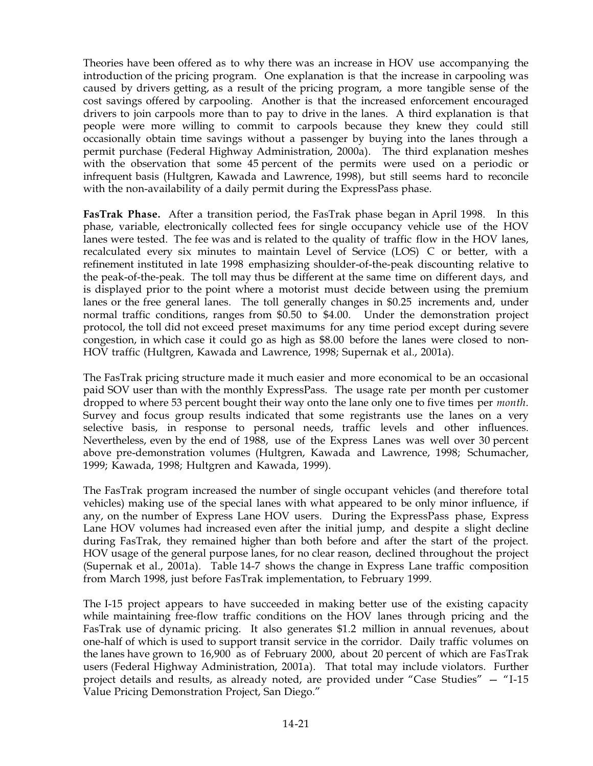Theories have been offered as to why there was an increase in HOV use accompanying the introduction of the pricing program. One explanation is that the increase in carpooling was caused by drivers getting, as a result of the pricing program, a more tangible sense of the cost savings offered by carpooling. Another is that the increased enforcement encouraged drivers to join carpools more than to pay to drive in the lanes. A third explanation is that people were more willing to commit to carpools because they knew they could still occasionally obtain time savings without a passenger by buying into the lanes through a permit purchase (Federal Highway Administration, 2000a). The third explanation meshes with the observation that some 45 percent of the permits were used on a periodic or infrequent basis (Hultgren, Kawada and Lawrence, 1998), but still seems hard to reconcile with the non-availability of a daily permit during the ExpressPass phase.

**FasTrak Phase.** After a transition period, the FasTrak phase began in April 1998. In this phase, variable, electronically collected fees for single occupancy vehicle use of the HOV lanes were tested. The fee was and is related to the quality of traffic flow in the HOV lanes, recalculated every six minutes to maintain Level of Service (LOS) C or better, with a refinement instituted in late 1998 emphasizing shoulder-of-the-peak discounting relative to the peak-of-the-peak. The toll may thus be different at the same time on different days, and is displayed prior to the point where a motorist must decide between using the premium lanes or the free general lanes. The toll generally changes in \$0.25 increments and, under normal traffic conditions, ranges from \$0.50 to \$4.00. Under the demonstration project protocol, the toll did not exceed preset maximums for any time period except during severe congestion, in which case it could go as high as \$8.00 before the lanes were closed to non-HOV traffic (Hultgren, Kawada and Lawrence, 1998; Supernak et al., 2001a).

The FasTrak pricing structure made it much easier and more economical to be an occasional paid SOV user than with the monthly ExpressPass. The usage rate per month per customer dropped to where 53 percent bought their way onto the lane only one to five times per *month*. Survey and focus group results indicated that some registrants use the lanes on a very selective basis, in response to personal needs, traffic levels and other influences. Nevertheless, even by the end of 1988, use of the Express Lanes was well over 30 percent above pre-demonstration volumes (Hultgren, Kawada and Lawrence, 1998; Schumacher, 1999; Kawada, 1998; Hultgren and Kawada, 1999).

The FasTrak program increased the number of single occupant vehicles (and therefore total vehicles) making use of the special lanes with what appeared to be only minor influence, if any, on the number of Express Lane HOV users. During the ExpressPass phase, Express Lane HOV volumes had increased even after the initial jump, and despite a slight decline during FasTrak, they remained higher than both before and after the start of the project. HOV usage of the general purpose lanes, for no clear reason, declined throughout the project (Supernak et al., 2001a). Table  $14-7$  shows the change in Express Lane traffic composition from March 1998, just before FasTrak implementation, to February 1999.

The I-15 project appears to have succeeded in making better use of the existing capacity while maintaining free-flow traffic conditions on the HOV lanes through pricing and the FasTrak use of dynamic pricing. It also generates \$1.2 million in annual revenues, about one-half of which is used to support transit service in the corridor. Daily traffic volumes on the lanes have grown to 16,900 as of February 2000, about 20 percent of which are FasTrak users (Federal Highway Administration, 2001a). That total may include violators. Further project details and results, as already noted, are provided under "Case Studies" — "I-15 Value Pricing Demonstration Project, San Diego."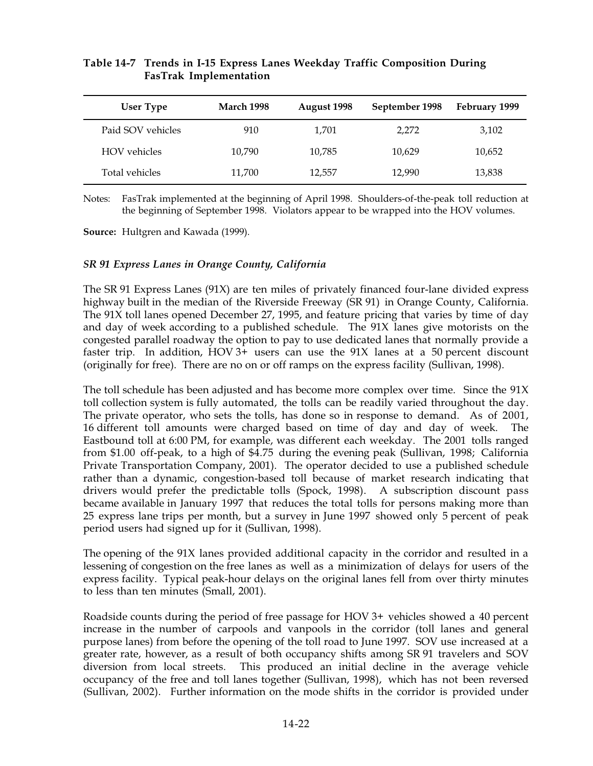| User Type           | <b>March 1998</b> | August 1998 | September 1998 | February 1999 |
|---------------------|-------------------|-------------|----------------|---------------|
| Paid SOV vehicles   | 910               | 1,701       | 2,272          | 3,102         |
| <b>HOV</b> vehicles | 10,790            | 10,785      | 10,629         | 10,652        |
|                     |                   |             |                |               |

Total vehicles **11,700** 12,557 12,990 13,838

#### **Table'14-7 Trends in I-15 Express Lanes Weekday Traffic Composition During FasTrak Implementation**

Notes: FasTrak implemented at the beginning of April 1998. Shoulders-of-the-peak toll reduction at the beginning of September 1998. Violators appear to be wrapped into the HOV volumes.

**Source:** Hultgren and Kawada (1999).

#### *SR791 Express Lanes in Orange County, California*

The SR691 Express Lanes (91X) are ten miles of privately financed four-lane divided express highway built in the median of the Riverside Freeway (SR 91) in Orange County, California. The 91X toll lanes opened December 27, 1995, and feature pricing that varies by time of day and day of week according to a published schedule. The 91X lanes give motorists on the congested parallel roadway the option to pay to use dedicated lanes that normally provide a faster trip. In addition, HOV  $3+$  users can use the  $91X$  lanes at a 50 percent discount (originally for free). There are no on or off ramps on the express facility (Sullivan, 1998).

The toll schedule has been adjusted and has become more complex over time. Since the 91X toll collection system is fully automated, the tolls can be readily varied throughout the day. The private operator, who sets the tolls, has done so in response to demand. As of 2001, 16 different toll amounts were charged based on time of day and day of week. The Eastbound toll at 6:00 PM, for example, was different each weekday. The 2001 tolls ranged from \$1.00 off-peak, to a high of \$4.75 during the evening peak (Sullivan, 1998; California Private Transportation Company, 2001). The operator decided to use a published schedule rather than a dynamic, congestion-based toll because of market research indicating that drivers would prefer the predictable tolls (Spock, 1998). A subscription discount pass became available in January 1997 that reduces the total tolls for persons making more than 25 express lane trips per month, but a survey in June 1997 showed only 5 percent of peak period users had signed up for it (Sullivan, 1998).

The opening of the 91X lanes provided additional capacity in the corridor and resulted in a lessening of congestion on the free lanes as well as a minimization of delays for users of the express facility. Typical peak-hour delays on the original lanes fell from over thirty minutes to less than ten minutes (Small, 2001).

Roadside counts during the period of free passage for HOV  $3+$  vehicles showed a 40 percent increase in the number of carpools and vanpools in the corridor (toll lanes and general purpose lanes) from before the opening of the toll road to June 1997. SOV use increased at a greater rate, however, as a result of both occupancy shifts among SR 91 travelers and SOV diversion from local streets. This produced an initial decline in the average vehicle occupancy of the free and toll lanes together (Sullivan, 1998), which has not been reversed (Sullivan, 2002). Further information on the mode shifts in the corridor is provided under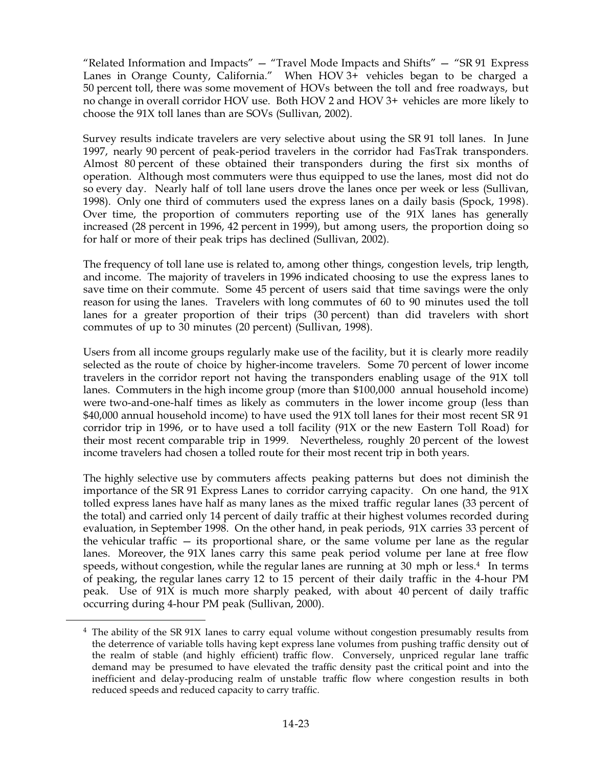"Related Information and Impacts"  $-$  "Travel Mode Impacts and Shifts"  $-$  "SR 91 Express Lanes in Orange County, California." When  $HOV3+$  vehicles began to be charged a 50 percent toll, there was some movement of HOVs between the toll and free roadways, but no change in overall corridor HOV use. Both HOV 2 and HOV 3+ vehicles are more likely to choose the 91X toll lanes than are SOVs (Sullivan, 2002).

Survey results indicate travelers are very selective about using the SR 91 toll lanes. In June 1997, nearly 90 percent of peak-period travelers in the corridor had FasTrak transponders. Almost 80 percent of these obtained their transponders during the first six months of operation. Although most commuters were thus equipped to use the lanes, most did not do so every day. Nearly half of toll lane users drove the lanes once per week or less (Sullivan, 1998). Only one third of commuters used the express lanes on a daily basis (Spock, 1998). Over time, the proportion of commuters reporting use of the 91X lanes has generally increased  $(28)$  percent in 1996, 42 percent in 1999), but among users, the proportion doing so for half or more of their peak trips has declined (Sullivan, 2002).

The frequency of toll lane use is related to, among other things, congestion levels, trip length, and income. The majority of travelers in 1996 indicated choosing to use the express lanes to save time on their commute. Some 45 percent of users said that time savings were the only reason for using the lanes. Travelers with long commutes of 60 to 90 minutes used the toll lanes for a greater proportion of their trips (30 percent) than did travelers with short commutes of up to 30 minutes (20 percent) (Sullivan, 1998).

Users from all income groups regularly make use of the facility, but it is clearly more readily selected as the route of choice by higher-income travelers. Some 70 percent of lower income travelers in the corridor report not having the transponders enabling usage of the 91X toll lanes. Commuters in the high income group (more than \$100,000 annual household income) were two-and-one-half times as likely as commuters in the lower income group (less than  $$40,000$  annual household income) to have used the 91X toll lanes for their most recent SR 91 corridor trip in 1996, or to have used a toll facility (91X or the new Eastern Toll Road) for their most recent comparable trip in 1999. Nevertheless, roughly 20 percent of the lowest income travelers had chosen a tolled route for their most recent trip in both years.

The highly selective use by commuters affects peaking patterns but does not diminish the importance of the SR 91 Express Lanes to corridor carrying capacity. On one hand, the  $91X$ tolled express lanes have half as many lanes as the mixed traffic regular lanes (33 percent of the total) and carried only 14 percent of daily traffic at their highest volumes recorded during evaluation, in September 1998. On the other hand, in peak periods,  $91X$  carries 33 percent of the vehicular traffic — its proportional share, or the same volume per lane as the regular lanes. Moreover, the 91X lanes carry this same peak period volume per lane at free flow speeds, without congestion, while the regular lanes are running at  $30 \text{ mph}$  or less.<sup>4</sup> In terms of peaking, the regular lanes carry 12 to 15 percent of their daily traffic in the 4-hour PM peak. Use of 91X is much more sharply peaked, with about 40 percent of daily traffic occurring during 4-hour PM peak (Sullivan, 2000).

 $4$  The ability of the SR 91X lanes to carry equal volume without congestion presumably results from the deterrence of variable tolls having kept express lane volumes from pushing traffic density out of the realm of stable (and highly efficient) traffic flow. Conversely, unpriced regular lane traffic demand may be presumed to have elevated the traffic density past the critical point and into the inefficient and delay-producing realm of unstable traffic flow where congestion results in both reduced speeds and reduced capacity to carry traffic.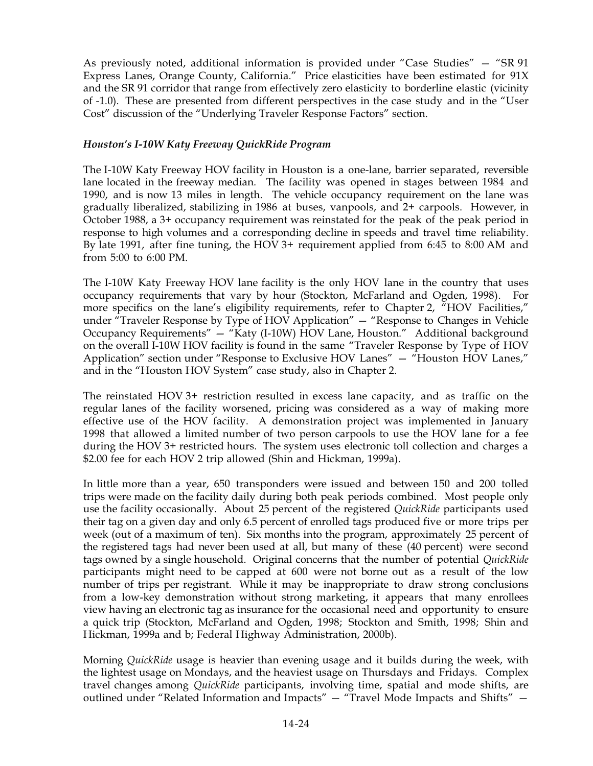As previously noted, additional information is provided under "Case Studies" – "SR 91 Express Lanes, Orange County, California." Price elasticities have been estimated for 91X and the SR 91 corridor that range from effectively zero elasticity to borderline elastic (vicinity of -1.0). These are presented from different perspectives in the case study and in the "User Cost" discussion of the "Underlying Traveler Response Factors" section.

### *Houston's I-10W Katy Freeway QuickRide Program*

The I-10W Katy Freeway HOV facility in Houston is a one-lane, barrier separated, reversible lane located in the freeway median. The facility was opened in stages between 1984 and 1990, and is now 13 miles in length. The vehicle occupancy requirement on the lane was gradually liberalized, stabilizing in 1986 at buses, vanpools, and 2+ carpools. However, in October 1988, a 3+ occupancy requirement was reinstated for the peak of the peak period in response to high volumes and a corresponding decline in speeds and travel time reliability. By late 1991, after fine tuning, the HOV 3+ requirement applied from  $6:45$  to 8:00 AM and from  $5:00$  to  $6:00$  PM.

The I-10W Katy Freeway HOV lane facility is the only HOV lane in the country that uses occupancy requirements that vary by hour (Stockton, McFarland and Ogden, 1998). For more specifics on the lane's eligibility requirements, refer to Chapter 2, "HOV Facilities," under "Traveler Response by Type of HOV Application" — "Response to Changes in Vehicle Occupancy Requirements" — "Katy (I-10W) HOV Lane, Houston." Additional background on the overall I-10W HOV facility is found in the same "Traveler Response by Type of HOV Application" section under "Response to Exclusive HOV Lanes" — "Houston HOV Lanes," and in the "Houston HOV System" case study, also in Chapter 2.

The reinstated HOV  $3+$  restriction resulted in excess lane capacity, and as traffic on the regular lanes of the facility worsened, pricing was considered as a way of making more effective use of the HOV facility. A demonstration project was implemented in January 1998 that allowed a limited number of two person carpools to use the HOV lane for a fee during the HOV 3+ restricted hours. The system uses electronic toll collection and charges a \$2.00 fee for each HOV 2 trip allowed (Shin and Hickman, 1999a).

In little more than a year, 650 transponders were issued and between 150 and 200 tolled trips were made on the facility daily during both peak periods combined. Most people only use the facility occasionally. About 25 percent of the registered *QuickRide* participants used their tag on a given day and only 6.5 percent of enrolled tags produced five or more trips per week (out of a maximum of ten). Six months into the program, approximately 25 percent of the registered tags had never been used at all, but many of these (40 percent) were second tags owned by a single household. Original concerns that the number of potential *QuickRide* participants might need to be capped at 600 were not borne out as a result of the low number of trips per registrant. While it may be inappropriate to draw strong conclusions from a low-key demonstration without strong marketing, it appears that many enrollees view having an electronic tag as insurance for the occasional need and opportunity to ensure a quick trip (Stockton, McFarland and Ogden, 1998; Stockton and Smith, 1998; Shin and Hickman, 1999a and b; Federal Highway Administration, 2000b).

Morning *QuickRide* usage is heavier than evening usage and it builds during the week, with the lightest usage on Mondays, and the heaviest usage on Thursdays and Fridays. Complex travel changes among *QuickRide* participants, involving time, spatial and mode shifts, are outlined under "Related Information and Impacts" — "Travel Mode Impacts and Shifts" —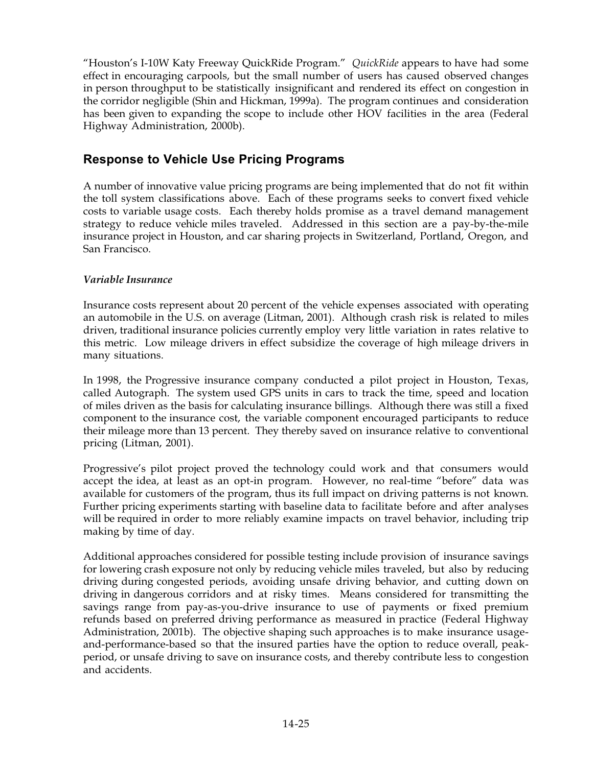"Houston's I-10W Katy Freeway QuickRide Program." *QuickRide* appears to have had some effect in encouraging carpools, but the small number of users has caused observed changes in person throughput to be statistically insignificant and rendered its effect on congestion in the corridor negligible (Shin and Hickman, 1999a). The program continues and consideration has been given to expanding the scope to include other HOV facilities in the area (Federal Highway Administration, 2000b).

## **Response to Vehicle Use Pricing Programs**

A number of innovative value pricing programs are being implemented that do not fit within the toll system classifications above. Each of these programs seeks to convert fixed vehicle costs to variable usage costs. Each thereby holds promise as a travel demand management strategy to reduce vehicle miles traveled. Addressed in this section are a pay-by-the-mile insurance project in Houston, and car sharing projects in Switzerland, Portland, Oregon, and San Francisco.

### *Variable Insurance*

Insurance costs represent about 20 percent of the vehicle expenses associated with operating an automobile in the U.S. on average (Litman, 2001). Although crash risk is related to miles driven, traditional insurance policies currently employ very little variation in rates relative to this metric. Low mileage drivers in effect subsidize the coverage of high mileage drivers in many situations.

In 1998, the Progressive insurance company conducted a pilot project in Houston, Texas, called Autograph. The system used GPS units in cars to track the time, speed and location of miles driven as the basis for calculating insurance billings. Although there was still a fixed component to the insurance cost, the variable component encouraged participants to reduce their mileage more than 13 percent. They thereby saved on insurance relative to conventional pricing (Litman, 2001).

Progressive's pilot project proved the technology could work and that consumers would accept the idea, at least as an opt-in program. However, no real-time "before" data was available for customers of the program, thus its full impact on driving patterns is not known. Further pricing experiments starting with baseline data to facilitate before and after analyses will be required in order to more reliably examine impacts on travel behavior, including trip making by time of day.

Additional approaches considered for possible testing include provision of insurance savings for lowering crash exposure not only by reducing vehicle miles traveled, but also by reducing driving during congested periods, avoiding unsafe driving behavior, and cutting down on driving in dangerous corridors and at risky times. Means considered for transmitting the savings range from pay-as-you-drive insurance to use of payments or fixed premium refunds based on preferred driving performance as measured in practice (Federal Highway Administration, 2001b). The objective shaping such approaches is to make insurance usageand-performance-based so that the insured parties have the option to reduce overall, peakperiod, or unsafe driving to save on insurance costs, and thereby contribute less to congestion and accidents.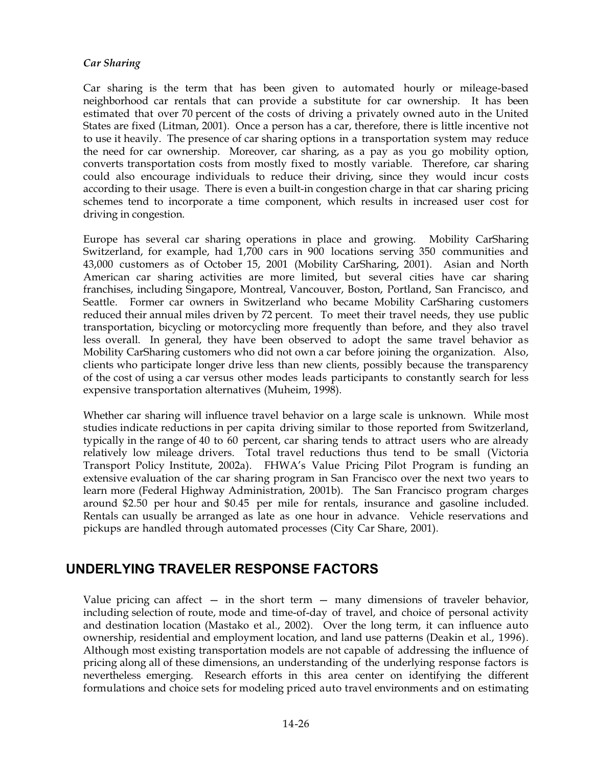#### *Car Sharing*

Car sharing is the term that has been given to automated hourly or mileage-based neighborhood car rentals that can provide a substitute for car ownership. It has been estimated that over 70 percent of the costs of driving a privately owned auto in the United States are fixed (Litman, 2001). Once a person has a car, therefore, there is little incentive not to use it heavily. The presence of car sharing options in a transportation system may reduce the need for car ownership. Moreover, car sharing, as a pay as you go mobility option, converts transportation costs from mostly fixed to mostly variable. Therefore, car sharing could also encourage individuals to reduce their driving, since they would incur costs according to their usage. There is even a built-in congestion charge in that car sharing pricing schemes tend to incorporate a time component, which results in increased user cost for driving in congestion.

Europe has several car sharing operations in place and growing. Mobility CarSharing Switzerland, for example, had 1,700 cars in 900 locations serving 350 communities and 43,000 customers as of October 15, 2001 (Mobility CarSharing, 2001). Asian and North American car sharing activities are more limited, but several cities have car sharing franchises, including Singapore, Montreal, Vancouver, Boston, Portland, San Francisco, and Seattle. Former car owners in Switzerland who became Mobility CarSharing customers reduced their annual miles driven by 72 percent. To meet their travel needs, they use public transportation, bicycling or motorcycling more frequently than before, and they also travel less overall. In general, they have been observed to adopt the same travel behavior as Mobility CarSharing customers who did not own a car before joining the organization. Also, clients who participate longer drive less than new clients, possibly because the transparency of the cost of using a car versus other modes leads participants to constantly search for less expensive transportation alternatives (Muheim, 1998).

Whether car sharing will influence travel behavior on a large scale is unknown. While most studies indicate reductions in per capita driving similar to those reported from Switzerland, typically in the range of 40 to 60 percent, car sharing tends to attract users who are already relatively low mileage drivers. Total travel reductions thus tend to be small (Victoria Transport Policy Institute, 2002a). FHWA's Value Pricing Pilot Program is funding an extensive evaluation of the car sharing program in San Francisco over the next two years to learn more (Federal Highway Administration, 2001b). The San Francisco program charges around \$2.50 per hour and \$0.45 per mile for rentals, insurance and gasoline included. Rentals can usually be arranged as late as one hour in advance. Vehicle reservations and pickups are handled through automated processes (City Car Share, 2001).

# **UNDERLYING TRAVELER RESPONSE FACTORS**

Value pricing can affect  $-$  in the short term  $-$  many dimensions of traveler behavior, including selection of route, mode and time-of-day of travel, and choice of personal activity and destination location (Mastako et al., 2002). Over the long term, it can influence auto ownership, residential and employment location, and land use patterns (Deakin et al., 1996). Although most existing transportation models are not capable of addressing the influence of pricing along all of these dimensions, an understanding of the underlying response factors is nevertheless emerging. Research efforts in this area center on identifying the different formulations and choice sets for modeling priced auto travel environments and on estimating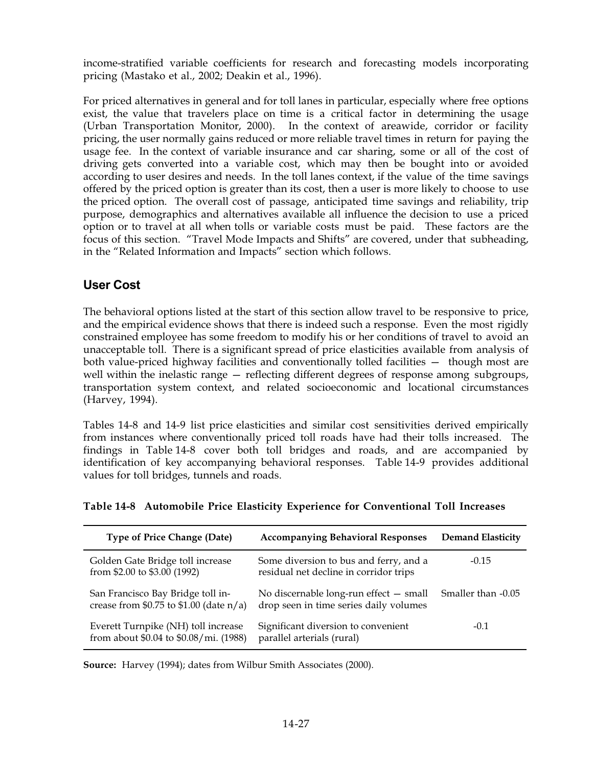income-stratified variable coefficients for research and forecasting models incorporating pricing (Mastako et al., 2002; Deakin et al., 1996).

For priced alternatives in general and for toll lanes in particular, especially where free options exist, the value that travelers place on time is a critical factor in determining the usage (Urban Transportation Monitor, 2000). In the context of areawide, corridor or facility pricing, the user normally gains reduced or more reliable travel times in return for paying the usage fee. In the context of variable insurance and car sharing, some or all of the cost of driving gets converted into a variable cost, which may then be bought into or avoided according to user desires and needs. In the toll lanes context, if the value of the time savings offered by the priced option is greater than its cost, then a user is more likely to choose to use the priced option. The overall cost of passage, anticipated time savings and reliability, trip purpose, demographics and alternatives available all influence the decision to use a priced option or to travel at all when tolls or variable costs must be paid. These factors are the focus of this section. "Travel Mode Impacts and Shifts" are covered, under that subheading, in the "Related Information and Impacts" section which follows.

## **User Cost**

The behavioral options listed at the start of this section allow travel to be responsive to price, and the empirical evidence shows that there is indeed such a response. Even the most rigidly constrained employee has some freedom to modify his or her conditions of travel to avoid an unacceptable toll. There is a significant spread of price elasticities available from analysis of both value-priced highway facilities and conventionally tolled facilities — though most are well within the inelastic range — reflecting different degrees of response among subgroups, transportation system context, and related socioeconomic and locational circumstances (Harvey, 1994).

Tables 14-8 and 14-9 list price elasticities and similar cost sensitivities derived empirically from instances where conventionally priced toll roads have had their tolls increased. The findings in Table 14-8 cover both toll bridges and roads, and are accompanied by identification of key accompanying behavioral responses. Table 14-9 provides additional values for toll bridges, tunnels and roads.

| <b>Type of Price Change (Date)</b>                                                | <b>Accompanying Behavioral Responses</b>                                         | <b>Demand Elasticity</b> |
|-----------------------------------------------------------------------------------|----------------------------------------------------------------------------------|--------------------------|
| Golden Gate Bridge toll increase<br>from \$2.00 to \$3.00 (1992)                  | Some diversion to bus and ferry, and a<br>residual net decline in corridor trips | $-0.15$                  |
| San Francisco Bay Bridge toll in-<br>crease from $$0.75$ to $$1.00$ (date $n/a$ ) | No discernable long-run effect - small<br>drop seen in time series daily volumes | Smaller than -0.05       |
| Everett Turnpike (NH) toll increase<br>from about \$0.04 to \$0.08/mi. (1988)     | Significant diversion to convenient<br>parallel arterials (rural)                | $-0.1$                   |

## **Table'14-8 Automobile Price Elasticity Experience for Conventional Toll Increases**

**Source:** Harvey (1994); dates from Wilbur Smith Associates (2000).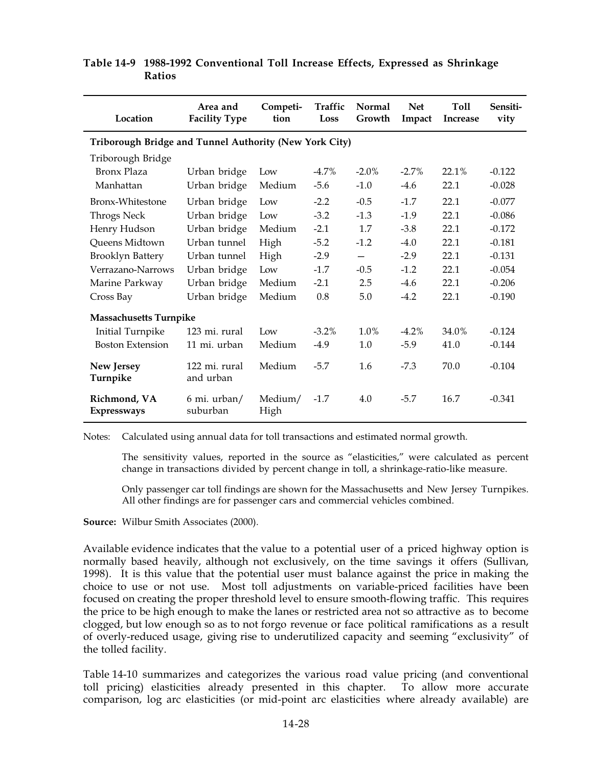| Location                                               | Area and<br><b>Facility Type</b> | Competi-<br>tion | <b>Traffic</b><br>Loss | <b>Normal</b><br>Growth | <b>Net</b><br>Impact | Toll<br><b>Increase</b> | Sensiti-<br>vity |  |  |  |
|--------------------------------------------------------|----------------------------------|------------------|------------------------|-------------------------|----------------------|-------------------------|------------------|--|--|--|
| Triborough Bridge and Tunnel Authority (New York City) |                                  |                  |                        |                         |                      |                         |                  |  |  |  |
| Triborough Bridge                                      |                                  |                  |                        |                         |                      |                         |                  |  |  |  |
| Bronx Plaza                                            | Urban bridge                     | Low              | $-4.7%$                | $-2.0\%$                | $-2.7\%$             | 22.1%                   | $-0.122$         |  |  |  |
| Manhattan                                              | Urban bridge                     | Medium           | $-5.6$                 | $-1.0$                  | $-4.6$               | 22.1                    | $-0.028$         |  |  |  |
| Bronx-Whitestone                                       | Urban bridge                     | Low              | $-2.2$                 | $-0.5$                  | $-1.7$               | 22.1                    | $-0.077$         |  |  |  |
| <b>Throgs Neck</b>                                     | Urban bridge                     | Low              | $-3.2$                 | $-1.3$                  | $-1.9$               | 22.1                    | $-0.086$         |  |  |  |
| Henry Hudson                                           | Urban bridge                     | Medium           | $-2.1$                 | 1.7                     | $-3.8$               | 22.1                    | $-0.172$         |  |  |  |
| Queens Midtown                                         | Urban tunnel                     | High             | $-5.2$                 | $-1.2$                  | $-4.0$               | 22.1                    | $-0.181$         |  |  |  |
| Brooklyn Battery                                       | Urban tunnel                     | High             | $-2.9$                 |                         | $-2.9$               | 22.1                    | $-0.131$         |  |  |  |
| Verrazano-Narrows                                      | Urban bridge                     | Low              | $-1.7$                 | $-0.5$                  | $-1.2$               | 22.1                    | $-0.054$         |  |  |  |
| Marine Parkway                                         | Urban bridge                     | Medium           | $-2.1$                 | 2.5                     | $-4.6$               | 22.1                    | $-0.206$         |  |  |  |
| Urban bridge<br>Cross Bay                              |                                  | Medium           | 0.8                    | 5.0                     | $-4.2$               | 22.1                    | $-0.190$         |  |  |  |
| <b>Massachusetts Turnpike</b>                          |                                  |                  |                        |                         |                      |                         |                  |  |  |  |
| <b>Initial Turnpike</b>                                | 123 mi. rural                    | Low              | $-3.2\%$               | 1.0%                    | $-4.2\%$             | 34.0%                   | $-0.124$         |  |  |  |
| <b>Boston Extension</b>                                | 11 mi. urban                     | Medium           | $-4.9$                 | 1.0                     | $-5.9$               | 41.0                    | $-0.144$         |  |  |  |
| New Jersey<br>Turnpike                                 | 122 mi. rural<br>and urban       | Medium           | $-5.7$                 | 1.6                     | $-7.3$               | 70.0                    | $-0.104$         |  |  |  |
| Richmond, VA<br><b>Expressways</b>                     | 6 mi. urban/<br>suburban         | Medium/<br>High  | $-1.7$                 | 4.0                     | $-5.7$               | 16.7                    | $-0.341$         |  |  |  |

#### **Table'14-9 1988-1992 Conventional Toll Increase Effects, Expressed as Shrinkage Ratios**

Notes: Calculated using annual data for toll transactions and estimated normal growth.

The sensitivity values, reported in the source as "elasticities," were calculated as percent change in transactions divided by percent change in toll, a shrinkage-ratio-like measure.

Only passenger car toll findings are shown for the Massachusetts and New Jersey Turnpikes. All other findings are for passenger cars and commercial vehicles combined.

**Source:** Wilbur Smith Associates (2000).

Available evidence indicates that the value to a potential user of a priced highway option is normally based heavily, although not exclusively, on the time savings it offers (Sullivan, 1998). It is this value that the potential user must balance against the price in making the choice to use or not use. Most toll adjustments on variable-priced facilities have been focused on creating the proper threshold level to ensure smooth-flowing traffic. This requires the price to be high enough to make the lanes or restricted area not so attractive as to become clogged, but low enough so as to not forgo revenue or face political ramifications as a result of overly-reduced usage, giving rise to underutilized capacity and seeming "exclusivity" of the tolled facility.

Table 14-10 summarizes and categorizes the various road value pricing (and conventional toll pricing) elasticities already presented in this chapter. To allow more accurate comparison, log arc elasticities (or mid-point arc elasticities where already available) are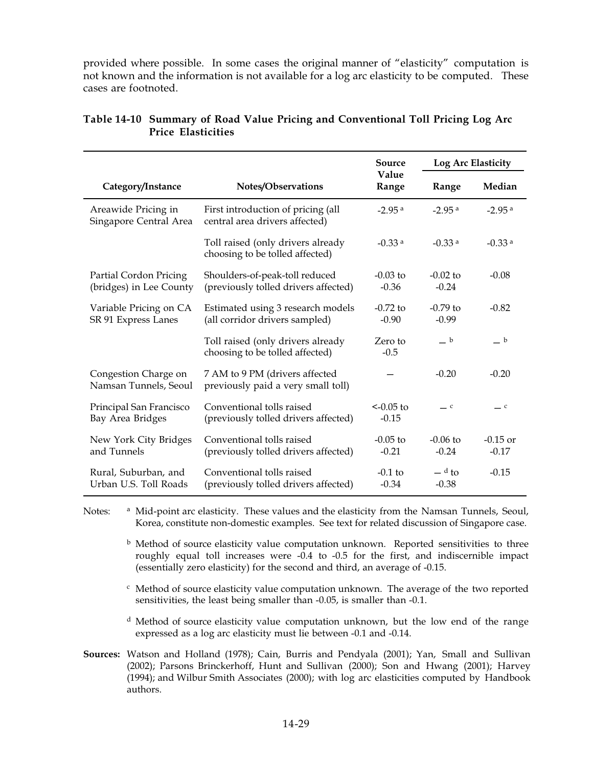provided where possible. In some cases the original manner of "elasticity" computation is not known and the information is not available for a log arc elasticity to be computed. These cases are footnoted.

|                                                   |                                                                        | Source                 | Log Arc Elasticity             |                            |  |
|---------------------------------------------------|------------------------------------------------------------------------|------------------------|--------------------------------|----------------------------|--|
| Category/Instance                                 | Notes/Observations                                                     | Value<br>Range         | Range                          | Median                     |  |
| Areawide Pricing in<br>Singapore Central Area     | First introduction of pricing (all<br>central area drivers affected)   | $-2.95$ <sup>a</sup>   | $-2.95$ <sup>a</sup>           | $-2.95$ <sup>a</sup>       |  |
|                                                   | Toll raised (only drivers already<br>choosing to be tolled affected)   | $-0.33$ <sup>a</sup>   | $-0.33$ <sup>a</sup>           | $-0.33$ <sup>a</sup>       |  |
| Partial Cordon Pricing<br>(bridges) in Lee County | Shoulders-of-peak-toll reduced<br>(previously tolled drivers affected) | $-0.03$ to<br>$-0.36$  | $-0.02$ to<br>$-0.24$          | $-0.08$                    |  |
| Variable Pricing on CA<br>SR 91 Express Lanes     | Estimated using 3 research models<br>(all corridor drivers sampled)    | $-0.72$ to<br>$-0.90$  | $-0.79$ to<br>$-0.99$          | $-0.82$                    |  |
|                                                   | Toll raised (only drivers already<br>choosing to be tolled affected)   | Zero to<br>$-0.5$      | $-$ b                          | $-$ b                      |  |
| Congestion Charge on<br>Namsan Tunnels, Seoul     | 7 AM to 9 PM (drivers affected<br>previously paid a very small toll)   |                        | $-0.20$                        | $-0.20$                    |  |
| Principal San Francisco<br>Bay Area Bridges       | Conventional tolls raised<br>(previously tolled drivers affected)      | $<-0.05$ to<br>$-0.15$ | $\overline{\phantom{0}}^c$     | $\overline{\phantom{0}}^c$ |  |
| New York City Bridges<br>and Tunnels              | Conventional tolls raised<br>(previously tolled drivers affected)      | $-0.05$ to<br>$-0.21$  | $-0.06$ to<br>$-0.24$          | $-0.15$ or<br>$-0.17$      |  |
| Rural, Suburban, and<br>Urban U.S. Toll Roads     | Conventional tolls raised<br>(previously tolled drivers affected)      | $-0.1$ to<br>$-0.34$   | $-$ <sup>d</sup> to<br>$-0.38$ | $-0.15$                    |  |

#### **Table'14-10 Summary of Road Value Pricing and Conventional Toll Pricing Log Arc Price Elasticities**

Notes: <sup>a</sup> Mid-point arc elasticity. These values and the elasticity from the Namsan Tunnels, Seoul, Korea, constitute non-domestic examples. See text for related discussion of Singapore case.

 $<sup>b</sup>$  Method of source elasticity value computation unknown. Reported sensitivities to three</sup> roughly equal toll increases were -0.4 to -0.5 for the first, and indiscernible impact (essentially zero elasticity) for the second and third, an average of -0.15.

 $\epsilon$  Method of source elasticity value computation unknown. The average of the two reported sensitivities, the least being smaller than -0.05, is smaller than -0.1.

 $d$  Method of source elasticity value computation unknown, but the low end of the range expressed as a log arc elasticity must lie between -0.1 and -0.14.

**Sources:** Watson and Holland (1978); Cain, Burris and Pendyala (2001); Yan, Small and Sullivan (2002); Parsons Brinckerhoff, Hunt and Sullivan (2000); Son and Hwang (2001); Harvey (1994); and Wilbur Smith Associates (2000); with log arc elasticities computed by Handbook authors.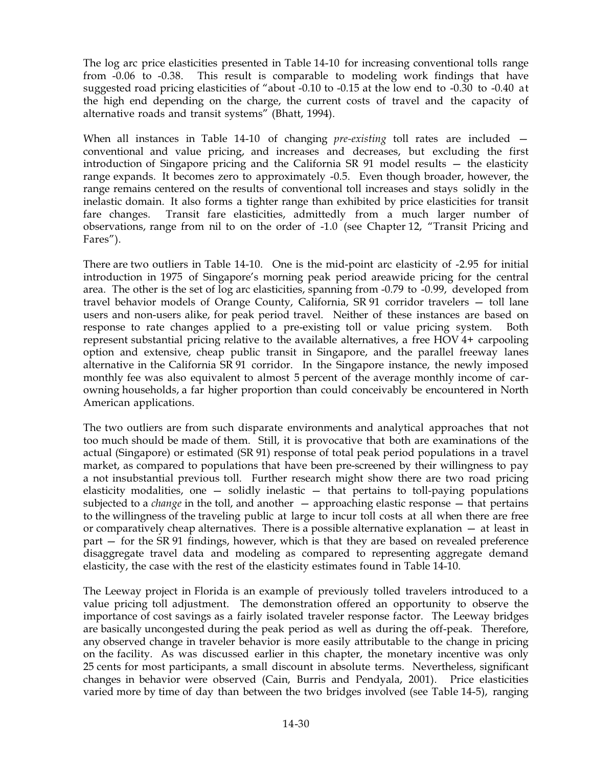The log arc price elasticities presented in Table 14-10 for increasing conventional tolls range from -0.06 to -0.38. This result is comparable to modeling work findings that have suggested road pricing elasticities of "about -0.10 to -0.15 at the low end to -0.30 to -0.40 at the high end depending on the charge, the current costs of travel and the capacity of alternative roads and transit systems" (Bhatt, 1994).

When all instances in Table 14-10 of changing *pre-existing* toll rates are included conventional and value pricing, and increases and decreases, but excluding the first introduction of Singapore pricing and the California SR 91 model results — the elasticity range expands. It becomes zero to approximately -0.5. Even though broader, however, the range remains centered on the results of conventional toll increases and stays solidly in the inelastic domain. It also forms a tighter range than exhibited by price elasticities for transit fare changes. Transit fare elasticities, admittedly from a much larger number of observations, range from nil to on the order of  $-1.0$  (see Chapter 12, "Transit Pricing and Fares").

There are two outliers in Table 14-10. One is the mid-point arc elasticity of -2.95 for initial introduction in 1975 of Singapore's morning peak period areawide pricing for the central area. The other is the set of log arc elasticities, spanning from -0.79 to -0.99, developed from travel behavior models of Orange County, California, SR 91 corridor travelers - toll lane users and non-users alike, for peak period travel. Neither of these instances are based on response to rate changes applied to a pre-existing toll or value pricing system. Both represent substantial pricing relative to the available alternatives, a free HOV  $4+$  carpooling option and extensive, cheap public transit in Singapore, and the parallel freeway lanes alternative in the California SR 91 corridor. In the Singapore instance, the newly imposed monthly fee was also equivalent to almost 5 percent of the average monthly income of carowning households, a far higher proportion than could conceivably be encountered in North American applications.

The two outliers are from such disparate environments and analytical approaches that not too much should be made of them. Still, it is provocative that both are examinations of the actual (Singapore) or estimated (SR 91) response of total peak period populations in a travel market, as compared to populations that have been pre-screened by their willingness to pay a not insubstantial previous toll. Further research might show there are two road pricing elasticity modalities, one  $-$  solidly inelastic  $-$  that pertains to toll-paying populations subjected to a *change* in the toll, and another — approaching elastic response — that pertains to the willingness of the traveling public at large to incur toll costs at all when there are free or comparatively cheap alternatives. There is a possible alternative explanation  $-$  at least in part – for the SR 91 findings, however, which is that they are based on revealed preference disaggregate travel data and modeling as compared to representing aggregate demand elasticity, the case with the rest of the elasticity estimates found in Table 14-10.

The Leeway project in Florida is an example of previously tolled travelers introduced to a value pricing toll adjustment. The demonstration offered an opportunity to observe the importance of cost savings as a fairly isolated traveler response factor. The Leeway bridges are basically uncongested during the peak period as well as during the off-peak. Therefore, any observed change in traveler behavior is more easily attributable to the change in pricing on the facility. As was discussed earlier in this chapter, the monetary incentive was only 25 cents for most participants, a small discount in absolute terms. Nevertheless, significant changes in behavior were observed (Cain, Burris and Pendyala, 2001). Price elasticities varied more by time of day than between the two bridges involved (see Table 14-5), ranging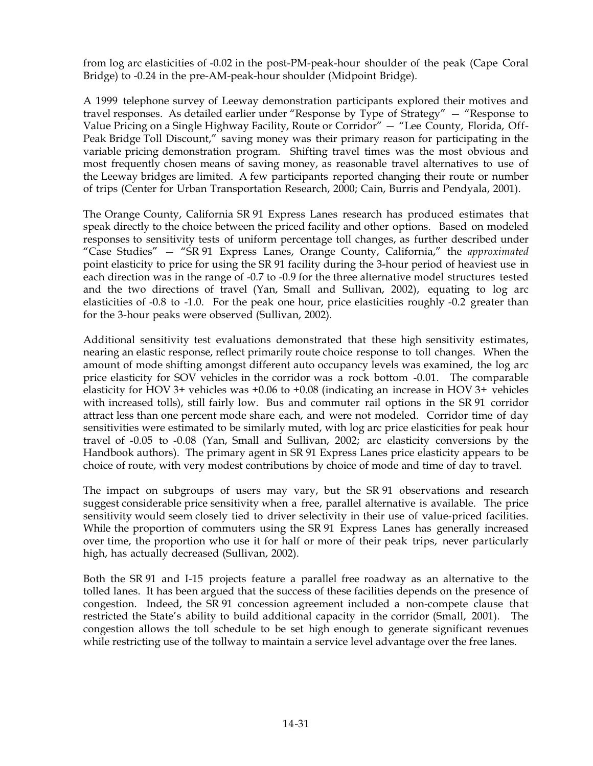from log arc elasticities of -0.02 in the post-PM-peak-hour shoulder of the peak (Cape Coral Bridge) to -0.24 in the pre-AM-peak-hour shoulder (Midpoint Bridge).

A 1999 telephone survey of Leeway demonstration participants explored their motives and travel responses. As detailed earlier under "Response by Type of Strategy" — "Response to Value Pricing on a Single Highway Facility, Route or Corridor" — "Lee County, Florida, Off-Peak Bridge Toll Discount," saving money was their primary reason for participating in the variable pricing demonstration program. Shifting travel times was the most obvious and most frequently chosen means of saving money, as reasonable travel alternatives to use of the Leeway bridges are limited. A few participants reported changing their route or number of trips (Center for Urban Transportation Research, 2000; Cain, Burris and Pendyala, 2001).

The Orange County, California SR 91 Express Lanes research has produced estimates that speak directly to the choice between the priced facility and other options. Based on modeled responses to sensitivity tests of uniform percentage toll changes, as further described under "Case Studies" — "SR691 Express Lanes, Orange County, California," the *approximated* point elasticity to price for using the SR 91 facility during the 3-hour period of heaviest use in each direction was in the range of -0.7 to -0.9 for the three alternative model structures tested and the two directions of travel (Yan, Small and Sullivan, 2002), equating to log arc elasticities of -0.8 to -1.0. For the peak one hour, price elasticities roughly -0.2 greater than for the 3-hour peaks were observed (Sullivan, 2002).

Additional sensitivity test evaluations demonstrated that these high sensitivity estimates, nearing an elastic response, reflect primarily route choice response to toll changes. When the amount of mode shifting amongst different auto occupancy levels was examined, the log arc price elasticity for SOV vehicles in the corridor was a rock bottom -0.01. The comparable elasticity for HOV 3+ vehicles was  $+0.06$  to  $+0.08$  (indicating an increase in HOV 3+ vehicles with increased tolls), still fairly low. Bus and commuter rail options in the SR 91 corridor attract less than one percent mode share each, and were not modeled. Corridor time of day sensitivities were estimated to be similarly muted, with log arc price elasticities for peak hour travel of -0.05 to -0.08 (Yan, Small and Sullivan, 2002; arc elasticity conversions by the Handbook authors). The primary agent in SR 91 Express Lanes price elasticity appears to be choice of route, with very modest contributions by choice of mode and time of day to travel.

The impact on subgroups of users may vary, but the SR 91 observations and research suggest considerable price sensitivity when a free, parallel alternative is available. The price sensitivity would seem closely tied to driver selectivity in their use of value-priced facilities. While the proportion of commuters using the SR 91 Express Lanes has generally increased over time, the proportion who use it for half or more of their peak trips, never particularly high, has actually decreased (Sullivan, 2002).

Both the SR 91 and I-15 projects feature a parallel free roadway as an alternative to the tolled lanes. It has been argued that the success of these facilities depends on the presence of congestion. Indeed, the SR 91 concession agreement included a non-compete clause that restricted the State's ability to build additional capacity in the corridor (Small, 2001). The congestion allows the toll schedule to be set high enough to generate significant revenues while restricting use of the tollway to maintain a service level advantage over the free lanes.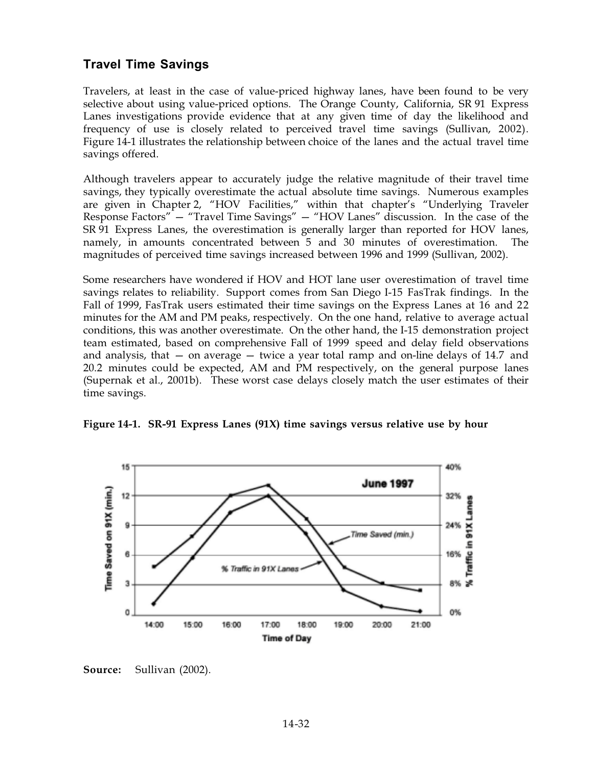# **Travel Time Savings**

Travelers, at least in the case of value-priced highway lanes, have been found to be very selective about using value-priced options. The Orange County, California, SR 91 Express Lanes investigations provide evidence that at any given time of day the likelihood and frequency of use is closely related to perceived travel time savings (Sullivan, 2002). Figure 14-1 illustrates the relationship between choice of the lanes and the actual travel time savings offered.

Although travelers appear to accurately judge the relative magnitude of their travel time savings, they typically overestimate the actual absolute time savings. Numerous examples are given in Chapter 2, "HOV Facilities," within that chapter's "Underlying Traveler Response Factors" — "Travel Time Savings" — "HOV Lanes" discussion. In the case of the SR 91 Express Lanes, the overestimation is generally larger than reported for HOV lanes, namely, in amounts concentrated between 5 and 30 minutes of overestimation. The magnitudes of perceived time savings increased between 1996 and 1999 (Sullivan, 2002).

Some researchers have wondered if HOV and HOT lane user overestimation of travel time savings relates to reliability. Support comes from San Diego I-15 FasTrak findings. In the Fall of 1999, FasTrak users estimated their time savings on the Express Lanes at 16 and 22 minutes for the AM and PM peaks, respectively. On the one hand, relative to average actual conditions, this was another overestimate. On the other hand, the I-15 demonstration project team estimated, based on comprehensive Fall of 1999 speed and delay field observations and analysis, that  $-$  on average  $-$  twice a year total ramp and on-line delays of 14.7 and 20.2 minutes could be expected, AM and PM respectively, on the general purpose lanes (Supernak et al., 2001b). These worst case delays closely match the user estimates of their time savings.

Figure 14-1. SR-91 Express Lanes (91X) time savings versus relative use by hour



**Source:** Sullivan (2002).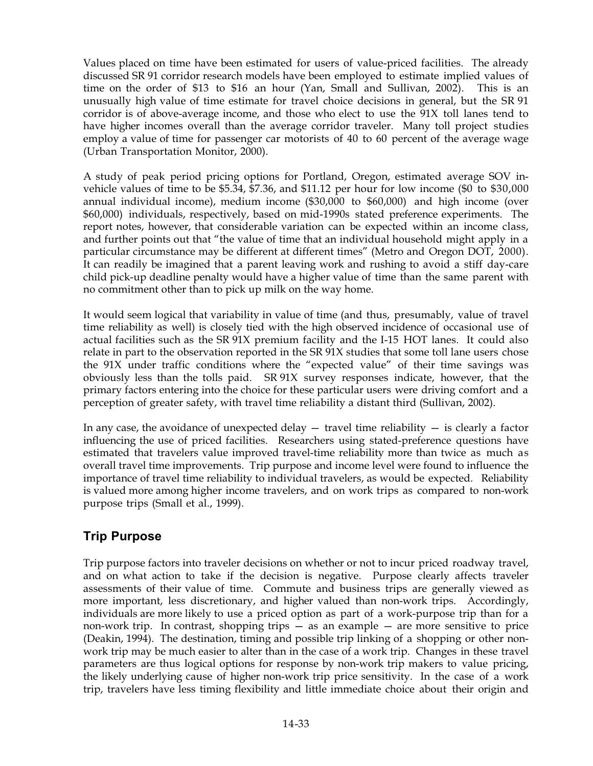Values placed on time have been estimated for users of value-priced facilities. The already discussed SR691 corridor research models have been employed to estimate implied values of time on the order of \$13 to \$16 an hour (Yan, Small and Sullivan, 2002). This is an unusually high value of time estimate for travel choice decisions in general, but the SR 91 corridor is of above-average income, and those who elect to use the 91X toll lanes tend to have higher incomes overall than the average corridor traveler. Many toll project studies employ a value of time for passenger car motorists of 40 to 60 percent of the average wage (Urban Transportation Monitor, 2000).

A study of peak period pricing options for Portland, Oregon, estimated average SOV invehicle values of time to be \$5.34, \$7.36, and \$11.12 per hour for low income (\$0 to \$30,000 annual individual income), medium income (\$30,000 to \$60,000) and high income (over \$60,000) individuals, respectively, based on mid-1990s stated preference experiments. The report notes, however, that considerable variation can be expected within an income class, and further points out that "the value of time that an individual household might apply in a particular circumstance may be different at different times" (Metro and Oregon DOT, 2000). It can readily be imagined that a parent leaving work and rushing to avoid a stiff day-care child pick-up deadline penalty would have a higher value of time than the same parent with no commitment other than to pick up milk on the way home.

It would seem logical that variability in value of time (and thus, presumably, value of travel time reliability as well) is closely tied with the high observed incidence of occasional use of actual facilities such as the SR 91X premium facility and the I-15 HOT lanes. It could also relate in part to the observation reported in the  $SR91X$  studies that some toll lane users chose the 91X under traffic conditions where the "expected value" of their time savings was obviously less than the tolls paid. SR 91X survey responses indicate, however, that the primary factors entering into the choice for these particular users were driving comfort and a perception of greater safety, with travel time reliability a distant third (Sullivan, 2002).

In any case, the avoidance of unexpected delay  $-$  travel time reliability  $-$  is clearly a factor influencing the use of priced facilities. Researchers using stated-preference questions have estimated that travelers value improved travel-time reliability more than twice as much as overall travel time improvements. Trip purpose and income level were found to influence the importance of travel time reliability to individual travelers, as would be expected. Reliability is valued more among higher income travelers, and on work trips as compared to non-work purpose trips (Small et al., 1999).

# **Trip Purpose**

Trip purpose factors into traveler decisions on whether or not to incur priced roadway travel, and on what action to take if the decision is negative. Purpose clearly affects traveler assessments of their value of time. Commute and business trips are generally viewed as more important, less discretionary, and higher valued than non-work trips. Accordingly, individuals are more likely to use a priced option as part of a work-purpose trip than for a non-work trip. In contrast, shopping trips  $-$  as an example  $-$  are more sensitive to price (Deakin, 1994). The destination, timing and possible trip linking of a shopping or other nonwork trip may be much easier to alter than in the case of a work trip. Changes in these travel parameters are thus logical options for response by non-work trip makers to value pricing, the likely underlying cause of higher non-work trip price sensitivity. In the case of a work trip, travelers have less timing flexibility and little immediate choice about their origin and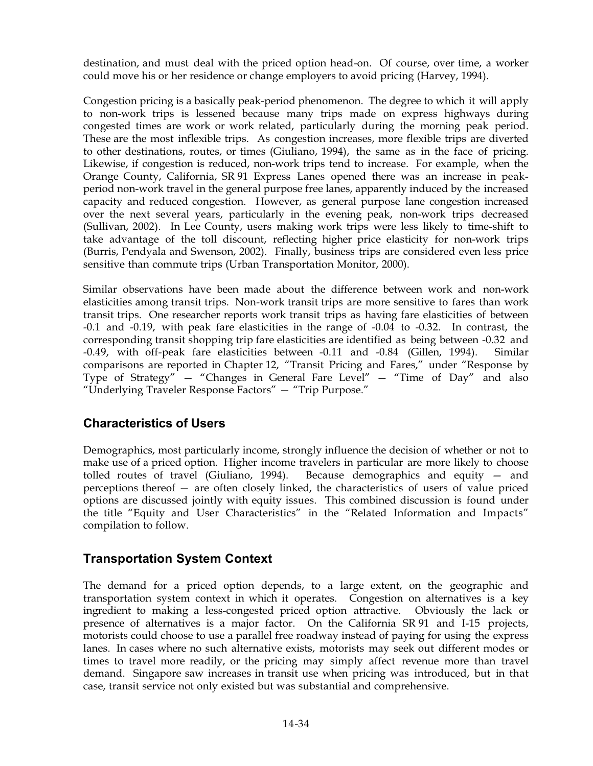destination, and must deal with the priced option head-on. Of course, over time, a worker could move his or her residence or change employers to avoid pricing (Harvey, 1994).

Congestion pricing is a basically peak-period phenomenon. The degree to which it will apply to non-work trips is lessened because many trips made on express highways during congested times are work or work related, particularly during the morning peak period. These are the most inflexible trips. As congestion increases, more flexible trips are diverted to other destinations, routes, or times (Giuliano, 1994), the same as in the face of pricing. Likewise, if congestion is reduced, non-work trips tend to increase. For example, when the Orange County, California, SR 91 Express Lanes opened there was an increase in peakperiod non-work travel in the general purpose free lanes, apparently induced by the increased capacity and reduced congestion. However, as general purpose lane congestion increased over the next several years, particularly in the evening peak, non-work trips decreased (Sullivan, 2002). In Lee County, users making work trips were less likely to time-shift to take advantage of the toll discount, reflecting higher price elasticity for non-work trips (Burris, Pendyala and Swenson, 2002). Finally, business trips are considered even less price sensitive than commute trips (Urban Transportation Monitor, 2000).

Similar observations have been made about the difference between work and non-work elasticities among transit trips. Non-work transit trips are more sensitive to fares than work transit trips. One researcher reports work transit trips as having fare elasticities of between -0.1 and -0.19, with peak fare elasticities in the range of -0.04 to -0.32. In contrast, the corresponding transit shopping trip fare elasticities are identified as being between -0.32 and -0.49, with off-peak fare elasticities between -0.11 and -0.84 (Gillen, 1994). Similar comparisons are reported in Chapter 12, "Transit Pricing and Fares," under "Response by Type of Strategy" — "Changes in General Fare Level" — "Time of Day" and also "Underlying Traveler Response Factors" — "Trip Purpose."

## **Characteristics of Users**

Demographics, most particularly income, strongly influence the decision of whether or not to make use of a priced option. Higher income travelers in particular are more likely to choose tolled routes of travel (Giuliano, 1994). Because demographics and equity — and perceptions thereof — are often closely linked, the characteristics of users of value priced options are discussed jointly with equity issues. This combined discussion is found under the title "Equity and User Characteristics" in the "Related Information and Impacts" compilation to follow.

# **Transportation System Context**

The demand for a priced option depends, to a large extent, on the geographic and transportation system context in which it operates. Congestion on alternatives is a key ingredient to making a less-congested priced option attractive. Obviously the lack or presence of alternatives is a major factor. On the California SR 91 and I-15 projects, motorists could choose to use a parallel free roadway instead of paying for using the express lanes. In cases where no such alternative exists, motorists may seek out different modes or times to travel more readily, or the pricing may simply affect revenue more than travel demand. Singapore saw increases in transit use when pricing was introduced, but in that case, transit service not only existed but was substantial and comprehensive.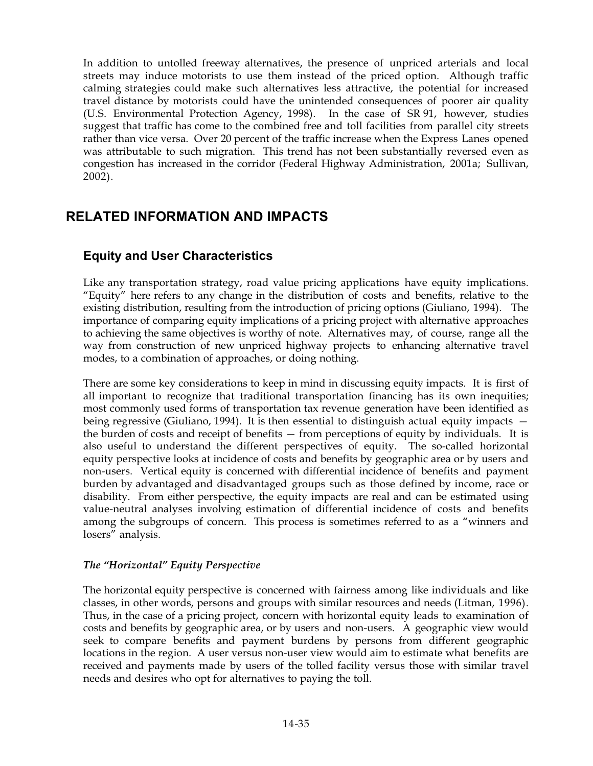In addition to untolled freeway alternatives, the presence of unpriced arterials and local streets may induce motorists to use them instead of the priced option. Although traffic calming strategies could make such alternatives less attractive, the potential for increased travel distance by motorists could have the unintended consequences of poorer air quality (U.S. Environmental Protection Agency, 1998). In the case of SR 91, however, studies suggest that traffic has come to the combined free and toll facilities from parallel city streets rather than vice versa. Over 20 percent of the traffic increase when the Express Lanes opened was attributable to such migration. This trend has not been substantially reversed even as congestion has increased in the corridor (Federal Highway Administration, 2001a; Sullivan, 2002).

# **RELATED INFORMATION AND IMPACTS**

## **Equity and User Characteristics**

Like any transportation strategy, road value pricing applications have equity implications. "Equity" here refers to any change in the distribution of costs and benefits, relative to the existing distribution, resulting from the introduction of pricing options (Giuliano, 1994). The importance of comparing equity implications of a pricing project with alternative approaches to achieving the same objectives is worthy of note. Alternatives may, of course, range all the way from construction of new unpriced highway projects to enhancing alternative travel modes, to a combination of approaches, or doing nothing.

There are some key considerations to keep in mind in discussing equity impacts. It is first of all important to recognize that traditional transportation financing has its own inequities; most commonly used forms of transportation tax revenue generation have been identified as being regressive (Giuliano, 1994). It is then essential to distinguish actual equity impacts the burden of costs and receipt of benefits — from perceptions of equity by individuals. It is also useful to understand the different perspectives of equity. The so-called horizontal equity perspective looks at incidence of costs and benefits by geographic area or by users and non-users. Vertical equity is concerned with differential incidence of benefits and payment burden by advantaged and disadvantaged groups such as those defined by income, race or disability. From either perspective, the equity impacts are real and can be estimated using value-neutral analyses involving estimation of differential incidence of costs and benefits among the subgroups of concern. This process is sometimes referred to as a "winners and losers" analysis.

#### *The "Horizontal" Equity Perspective*

The horizontal equity perspective is concerned with fairness among like individuals and like classes, in other words, persons and groups with similar resources and needs (Litman, 1996). Thus, in the case of a pricing project, concern with horizontal equity leads to examination of costs and benefits by geographic area, or by users and non-users. A geographic view would seek to compare benefits and payment burdens by persons from different geographic locations in the region. A user versus non-user view would aim to estimate what benefits are received and payments made by users of the tolled facility versus those with similar travel needs and desires who opt for alternatives to paying the toll.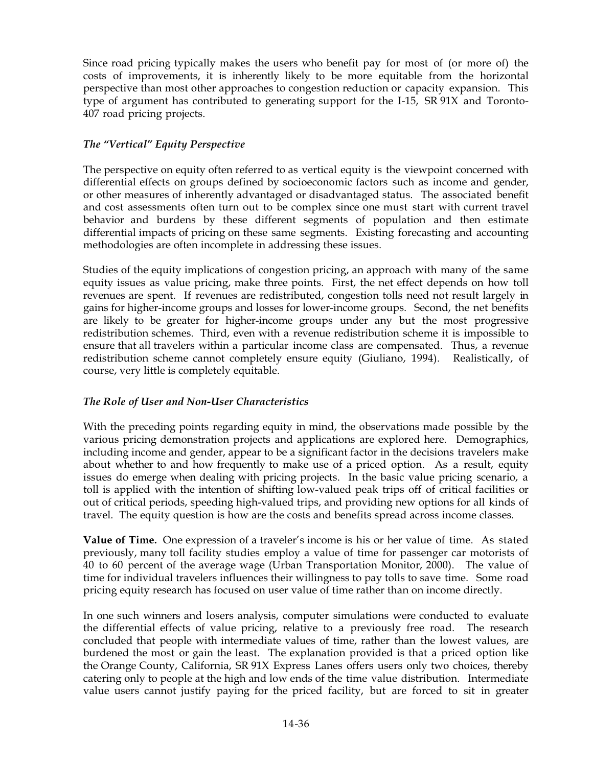Since road pricing typically makes the users who benefit pay for most of (or more of) the costs of improvements, it is inherently likely to be more equitable from the horizontal perspective than most other approaches to congestion reduction or capacity expansion. This type of argument has contributed to generating support for the I-15, SR 91X and Toronto-407 road pricing projects.

### *The "Vertical" Equity Perspective*

The perspective on equity often referred to as vertical equity is the viewpoint concerned with differential effects on groups defined by socioeconomic factors such as income and gender, or other measures of inherently advantaged or disadvantaged status. The associated benefit and cost assessments often turn out to be complex since one must start with current travel behavior and burdens by these different segments of population and then estimate differential impacts of pricing on these same segments. Existing forecasting and accounting methodologies are often incomplete in addressing these issues.

Studies of the equity implications of congestion pricing, an approach with many of the same equity issues as value pricing, make three points. First, the net effect depends on how toll revenues are spent. If revenues are redistributed, congestion tolls need not result largely in gains for higher-income groups and losses for lower-income groups. Second, the net benefits are likely to be greater for higher-income groups under any but the most progressive redistribution schemes. Third, even with a revenue redistribution scheme it is impossible to ensure that all travelers within a particular income class are compensated. Thus, a revenue redistribution scheme cannot completely ensure equity (Giuliano, 1994). Realistically, of course, very little is completely equitable.

## *The Role of User and Non-User Characteristics*

With the preceding points regarding equity in mind, the observations made possible by the various pricing demonstration projects and applications are explored here. Demographics, including income and gender, appear to be a significant factor in the decisions travelers make about whether to and how frequently to make use of a priced option. As a result, equity issues do emerge when dealing with pricing projects. In the basic value pricing scenario, a toll is applied with the intention of shifting low-valued peak trips off of critical facilities or out of critical periods, speeding high-valued trips, and providing new options for all kinds of travel. The equity question is how are the costs and benefits spread across income classes.

**Value of Time.** One expression of a traveler's income is his or her value of time. As stated previously, many toll facility studies employ a value of time for passenger car motorists of 40 to 60 percent of the average wage (Urban Transportation Monitor, 2000). The value of time for individual travelers influences their willingness to pay tolls to save time. Some road pricing equity research has focused on user value of time rather than on income directly.

In one such winners and losers analysis, computer simulations were conducted to evaluate the differential effects of value pricing, relative to a previously free road. The research concluded that people with intermediate values of time, rather than the lowest values, are burdened the most or gain the least. The explanation provided is that a priced option like the Orange County, California, SR 91X Express Lanes offers users only two choices, thereby catering only to people at the high and low ends of the time value distribution. Intermediate value users cannot justify paying for the priced facility, but are forced to sit in greater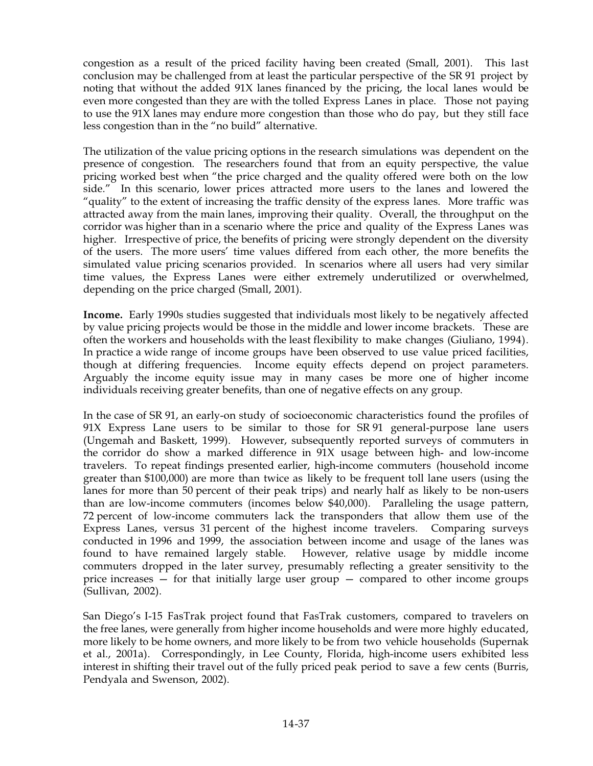congestion as a result of the priced facility having been created (Small, 2001). This last conclusion may be challenged from at least the particular perspective of the SR 91 project by noting that without the added 91X lanes financed by the pricing, the local lanes would be even more congested than they are with the tolled Express Lanes in place. Those not paying to use the 91X lanes may endure more congestion than those who do pay, but they still face less congestion than in the "no build" alternative.

The utilization of the value pricing options in the research simulations was dependent on the presence of congestion. The researchers found that from an equity perspective, the value pricing worked best when "the price charged and the quality offered were both on the low side." In this scenario, lower prices attracted more users to the lanes and lowered the "quality" to the extent of increasing the traffic density of the express lanes. More traffic was attracted away from the main lanes, improving their quality. Overall, the throughput on the corridor was higher than in a scenario where the price and quality of the Express Lanes was higher. Irrespective of price, the benefits of pricing were strongly dependent on the diversity of the users. The more users' time values differed from each other, the more benefits the simulated value pricing scenarios provided. In scenarios where all users had very similar time values, the Express Lanes were either extremely underutilized or overwhelmed, depending on the price charged (Small, 2001).

**Income.** Early 1990s studies suggested that individuals most likely to be negatively affected by value pricing projects would be those in the middle and lower income brackets. These are often the workers and households with the least flexibility to make changes (Giuliano, 1994). In practice a wide range of income groups have been observed to use value priced facilities, though at differing frequencies. Income equity effects depend on project parameters. Arguably the income equity issue may in many cases be more one of higher income individuals receiving greater benefits, than one of negative effects on any group.

In the case of SR 91, an early-on study of socioeconomic characteristics found the profiles of  $91X$  Express Lane users to be similar to those for SR $91$  general-purpose lane users (Ungemah and Baskett, 1999). However, subsequently reported surveys of commuters in the corridor do show a marked difference in 91X usage between high- and low-income travelers. To repeat findings presented earlier, high-income commuters (household income greater than \$100,000) are more than twice as likely to be frequent toll lane users (using the lanes for more than 50 percent of their peak trips) and nearly half as likely to be non-users than are low-income commuters (incomes below \$40,000). Paralleling the usage pattern, 72 percent of low-income commuters lack the transponders that allow them use of the Express Lanes, versus 31 percent of the highest income travelers. Comparing surveys conducted in 1996 and 1999, the association between income and usage of the lanes was found to have remained largely stable. However, relative usage by middle income commuters dropped in the later survey, presumably reflecting a greater sensitivity to the price increases  $-$  for that initially large user group  $-$  compared to other income groups (Sullivan, 2002).

San Diego's I-15 FasTrak project found that FasTrak customers, compared to travelers on the free lanes, were generally from higher income households and were more highly educated, more likely to be home owners, and more likely to be from two vehicle households (Supernak et al., 2001a). Correspondingly, in Lee County, Florida, high-income users exhibited less interest in shifting their travel out of the fully priced peak period to save a few cents (Burris, Pendyala and Swenson, 2002).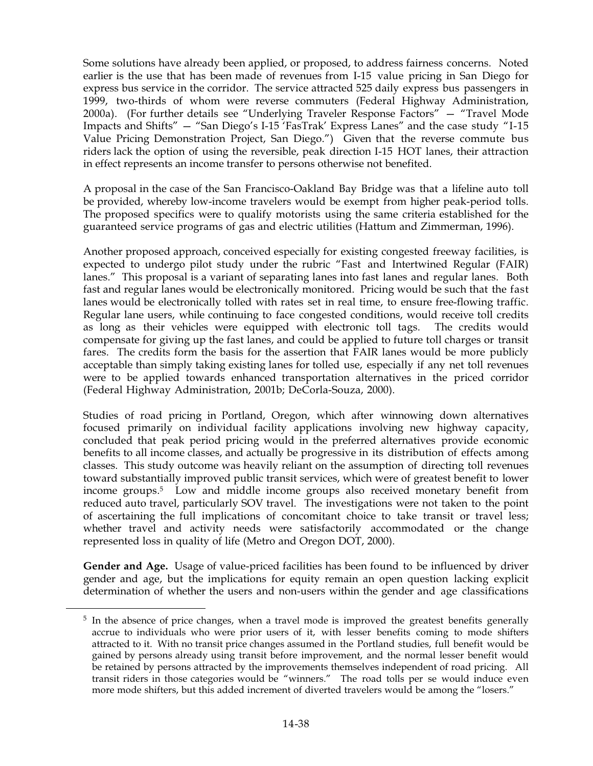Some solutions have already been applied, or proposed, to address fairness concerns. Noted earlier is the use that has been made of revenues from I-15 value pricing in San Diego for express bus service in the corridor. The service attracted 525 daily express bus passengers in 1999, two-thirds of whom were reverse commuters (Federal Highway Administration, 2000a). (For further details see "Underlying Traveler Response Factors" — "Travel Mode Impacts and Shifts" — "San Diego's I-15 'FasTrak' Express Lanes" and the case study "I-15 Value Pricing Demonstration Project, San Diego.") Given that the reverse commute bus riders lack the option of using the reversible, peak direction I-15 HOT lanes, their attraction in effect represents an income transfer to persons otherwise not benefited.

A proposal in the case of the San Francisco-Oakland Bay Bridge was that a lifeline auto toll be provided, whereby low-income travelers would be exempt from higher peak-period tolls. The proposed specifics were to qualify motorists using the same criteria established for the guaranteed service programs of gas and electric utilities (Hattum and Zimmerman, 1996).

Another proposed approach, conceived especially for existing congested freeway facilities, is expected to undergo pilot study under the rubric "Fast and Intertwined Regular (FAIR) lanes." This proposal is a variant of separating lanes into fast lanes and regular lanes. Both fast and regular lanes would be electronically monitored. Pricing would be such that the fast lanes would be electronically tolled with rates set in real time, to ensure free-flowing traffic. Regular lane users, while continuing to face congested conditions, would receive toll credits as long as their vehicles were equipped with electronic toll tags. The credits would compensate for giving up the fast lanes, and could be applied to future toll charges or transit fares. The credits form the basis for the assertion that FAIR lanes would be more publicly acceptable than simply taking existing lanes for tolled use, especially if any net toll revenues were to be applied towards enhanced transportation alternatives in the priced corridor (Federal Highway Administration, 2001b; DeCorla-Souza, 2000).

Studies of road pricing in Portland, Oregon, which after winnowing down alternatives focused primarily on individual facility applications involving new highway capacity, concluded that peak period pricing would in the preferred alternatives provide economic benefits to all income classes, and actually be progressive in its distribution of effects among classes. This study outcome was heavily reliant on the assumption of directing toll revenues toward substantially improved public transit services, which were of greatest benefit to lower income groups.5 Low and middle income groups also received monetary benefit from reduced auto travel, particularly SOV travel. The investigations were not taken to the point of ascertaining the full implications of concomitant choice to take transit or travel less; whether travel and activity needs were satisfactorily accommodated or the change represented loss in quality of life (Metro and Oregon DOT, 2000).

**Gender and Age.** Usage of value-priced facilities has been found to be influenced by driver gender and age, but the implications for equity remain an open question lacking explicit determination of whether the users and non-users within the gender and age classifications

<sup>&</sup>lt;sup>5</sup> In the absence of price changes, when a travel mode is improved the greatest benefits generally accrue to individuals who were prior users of it, with lesser benefits coming to mode shifters attracted to it. With no transit price changes assumed in the Portland studies, full benefit would be gained by persons already using transit before improvement, and the normal lesser benefit would be retained by persons attracted by the improvements themselves independent of road pricing. All transit riders in those categories would be "winners." The road tolls per se would induce even more mode shifters, but this added increment of diverted travelers would be among the "losers."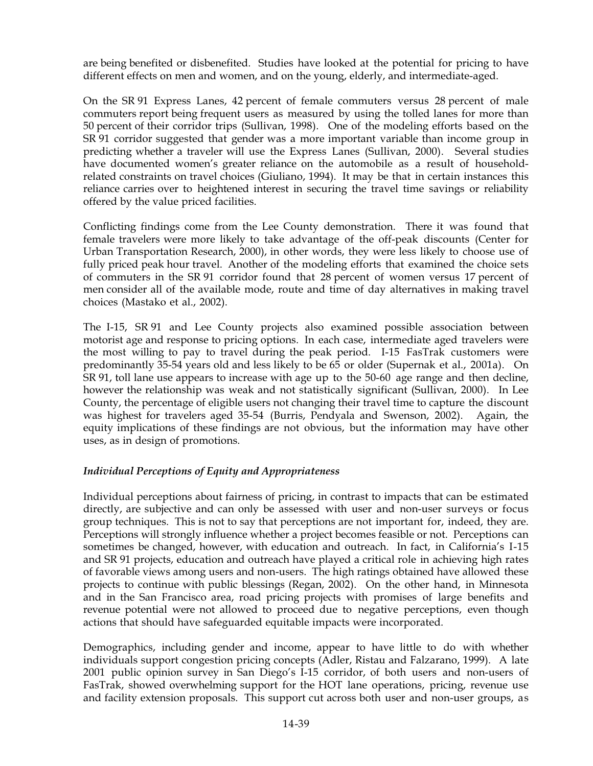are being benefited or disbenefited. Studies have looked at the potential for pricing to have different effects on men and women, and on the young, elderly, and intermediate-aged.

On the SR 91 Express Lanes, 42 percent of female commuters versus 28 percent of male commuters report being frequent users as measured by using the tolled lanes for more than 50 percent of their corridor trips (Sullivan, 1998). One of the modeling efforts based on the SR 91 corridor suggested that gender was a more important variable than income group in predicting whether a traveler will use the Express Lanes (Sullivan, 2000). Several studies have documented women's greater reliance on the automobile as a result of householdrelated constraints on travel choices (Giuliano, 1994). It may be that in certain instances this reliance carries over to heightened interest in securing the travel time savings or reliability offered by the value priced facilities.

Conflicting findings come from the Lee County demonstration. There it was found that female travelers were more likely to take advantage of the off-peak discounts (Center for Urban Transportation Research, 2000), in other words, they were less likely to choose use of fully priced peak hour travel. Another of the modeling efforts that examined the choice sets of commuters in the SR 91 corridor found that 28 percent of women versus 17 percent of men consider all of the available mode, route and time of day alternatives in making travel choices (Mastako et al., 2002).

The I-15, SR 91 and Lee County projects also examined possible association between motorist age and response to pricing options. In each case, intermediate aged travelers were the most willing to pay to travel during the peak period. I-15 FasTrak customers were predominantly 35-54 years old and less likely to be 65 or older (Supernak et al., 2001a). On SR 91, toll lane use appears to increase with age up to the 50-60 age range and then decline, however the relationship was weak and not statistically significant (Sullivan, 2000). In Lee County, the percentage of eligible users not changing their travel time to capture the discount was highest for travelers aged 35-54 (Burris, Pendyala and Swenson, 2002). Again, the equity implications of these findings are not obvious, but the information may have other uses, as in design of promotions.

#### *Individual Perceptions of Equity and Appropriateness*

Individual perceptions about fairness of pricing, in contrast to impacts that can be estimated directly, are subjective and can only be assessed with user and non-user surveys or focus group techniques. This is not to say that perceptions are not important for, indeed, they are. Perceptions will strongly influence whether a project becomes feasible or not. Perceptions can sometimes be changed, however, with education and outreach. In fact, in California's I-15 and SR 91 projects, education and outreach have played a critical role in achieving high rates of favorable views among users and non-users. The high ratings obtained have allowed these projects to continue with public blessings (Regan, 2002). On the other hand, in Minnesota and in the San Francisco area, road pricing projects with promises of large benefits and revenue potential were not allowed to proceed due to negative perceptions, even though actions that should have safeguarded equitable impacts were incorporated.

Demographics, including gender and income, appear to have little to do with whether individuals support congestion pricing concepts (Adler, Ristau and Falzarano, 1999). A late 2001 public opinion survey in San Diego's I-15 corridor, of both users and non-users of FasTrak, showed overwhelming support for the HOT lane operations, pricing, revenue use and facility extension proposals. This support cut across both user and non-user groups, as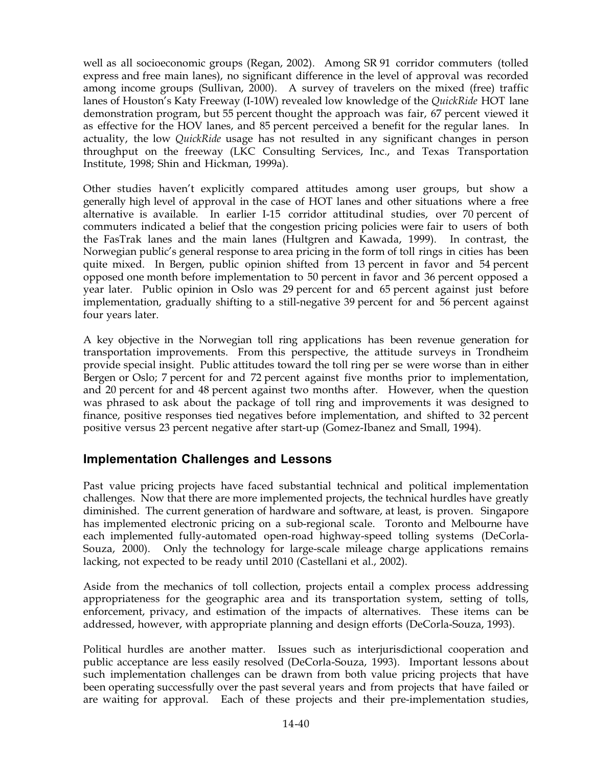well as all socioeconomic groups (Regan, 2002). Among SR 91 corridor commuters (tolled express and free main lanes), no significant difference in the level of approval was recorded among income groups (Sullivan, 2000). A survey of travelers on the mixed (free) traffic lanes of Houston's Katy Freeway (I-10W) revealed low knowledge of the *QuickRide* HOT lane demonstration program, but 55 percent thought the approach was fair, 67 percent viewed it as effective for the HOV lanes, and 85 percent perceived a benefit for the regular lanes. In actuality, the low *QuickRide* usage has not resulted in any significant changes in person throughput on the freeway (LKC Consulting Services, Inc., and Texas Transportation Institute, 1998; Shin and Hickman, 1999a).

Other studies haven't explicitly compared attitudes among user groups, but show a generally high level of approval in the case of HOT lanes and other situations where a free alternative is available. In earlier I-15 corridor attitudinal studies, over 70 percent of commuters indicated a belief that the congestion pricing policies were fair to users of both the FasTrak lanes and the main lanes (Hultgren and Kawada, 1999). In contrast, the Norwegian public's general response to area pricing in the form of toll rings in cities has been quite mixed. In Bergen, public opinion shifted from 13 percent in favor and 54 percent opposed one month before implementation to 50 percent in favor and 36 percent opposed a year later. Public opinion in Oslo was 29 percent for and 65 percent against just before implementation, gradually shifting to a still-negative 39 percent for and 56 percent against four years later.

A key objective in the Norwegian toll ring applications has been revenue generation for transportation improvements. From this perspective, the attitude surveys in Trondheim provide special insight. Public attitudes toward the toll ring per se were worse than in either Bergen or Oslo; 7 percent for and 72 percent against five months prior to implementation, and 20 percent for and 48 percent against two months after. However, when the question was phrased to ask about the package of toll ring and improvements it was designed to finance, positive responses tied negatives before implementation, and shifted to 32 percent positive versus 23 percent negative after start-up (Gomez-Ibanez and Small, 1994).

## **Implementation Challenges and Lessons**

Past value pricing projects have faced substantial technical and political implementation challenges. Now that there are more implemented projects, the technical hurdles have greatly diminished. The current generation of hardware and software, at least, is proven. Singapore has implemented electronic pricing on a sub-regional scale. Toronto and Melbourne have each implemented fully-automated open-road highway-speed tolling systems (DeCorla-Souza, 2000). Only the technology for large-scale mileage charge applications remains lacking, not expected to be ready until 2010 (Castellani et al., 2002).

Aside from the mechanics of toll collection, projects entail a complex process addressing appropriateness for the geographic area and its transportation system, setting of tolls, enforcement, privacy, and estimation of the impacts of alternatives. These items can be addressed, however, with appropriate planning and design efforts (DeCorla-Souza, 1993).

Political hurdles are another matter. Issues such as interjurisdictional cooperation and public acceptance are less easily resolved (DeCorla-Souza, 1993). Important lessons about such implementation challenges can be drawn from both value pricing projects that have been operating successfully over the past several years and from projects that have failed or are waiting for approval. Each of these projects and their pre-implementation studies,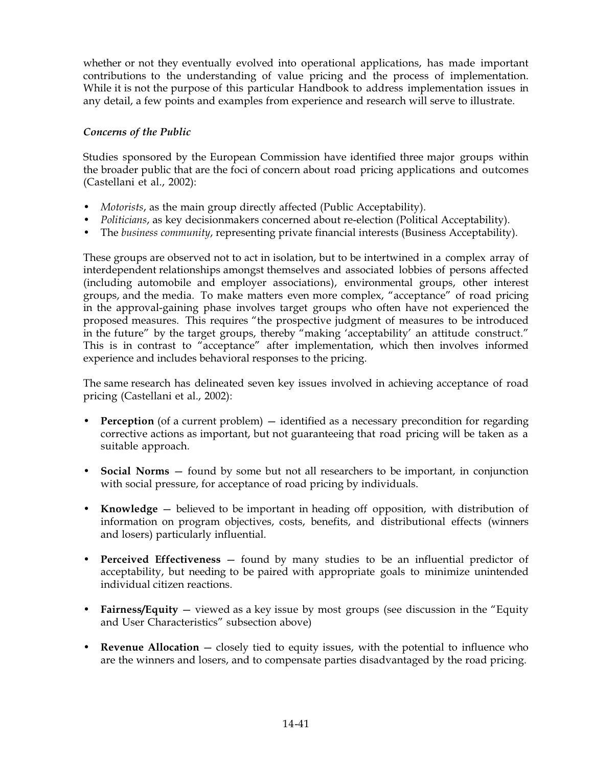whether or not they eventually evolved into operational applications, has made important contributions to the understanding of value pricing and the process of implementation. While it is not the purpose of this particular Handbook to address implementation issues in any detail, a few points and examples from experience and research will serve to illustrate.

### *Concerns of the Public*

Studies sponsored by the European Commission have identified three major groups within the broader public that are the foci of concern about road pricing applications and outcomes (Castellani et al., 2002):

- *Motorists*, as the main group directly affected (Public Acceptability).
- *Politicians*, as key decisionmakers concerned about re-election (Political Acceptability).
- The *business community*, representing private financial interests (Business Acceptability).

These groups are observed not to act in isolation, but to be intertwined in a complex array of interdependent relationships amongst themselves and associated lobbies of persons affected (including automobile and employer associations), environmental groups, other interest groups, and the media. To make matters even more complex, "acceptance" of road pricing in the approval-gaining phase involves target groups who often have not experienced the proposed measures. This requires "the prospective judgment of measures to be introduced in the future" by the target groups, thereby "making 'acceptability' an attitude construct." This is in contrast to "acceptance" after implementation, which then involves informed experience and includes behavioral responses to the pricing.

The same research has delineated seven key issues involved in achieving acceptance of road pricing (Castellani et al., 2002):

- **Perception** (of a current problem) identified as a necessary precondition for regarding corrective actions as important, but not guaranteeing that road pricing will be taken as a suitable approach.
- **Social Norms** found by some but not all researchers to be important, in conjunction with social pressure, for acceptance of road pricing by individuals.
- **Knowledge** believed to be important in heading off opposition, with distribution of information on program objectives, costs, benefits, and distributional effects (winners and losers) particularly influential.
- **Perceived Effectiveness** found by many studies to be an influential predictor of acceptability, but needing to be paired with appropriate goals to minimize unintended individual citizen reactions.
- **Fairness/Equity** viewed as a key issue by most groups (see discussion in the "Equity and User Characteristics" subsection above)
- **Revenue Allocation** closely tied to equity issues, with the potential to influence who are the winners and losers, and to compensate parties disadvantaged by the road pricing.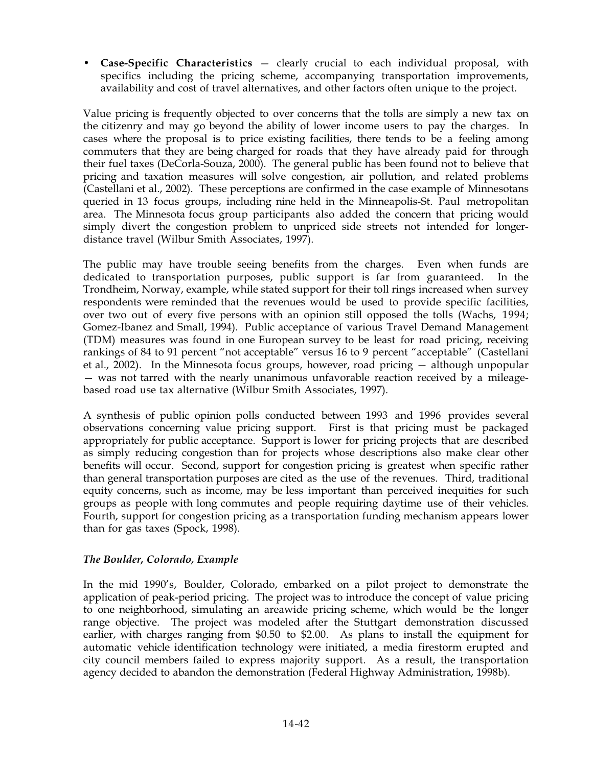• **Case-Specific Characteristics** — clearly crucial to each individual proposal, with specifics including the pricing scheme, accompanying transportation improvements, availability and cost of travel alternatives, and other factors often unique to the project.

Value pricing is frequently objected to over concerns that the tolls are simply a new tax on the citizenry and may go beyond the ability of lower income users to pay the charges. In cases where the proposal is to price existing facilities, there tends to be a feeling among commuters that they are being charged for roads that they have already paid for through their fuel taxes (DeCorla-Souza, 2000). The general public has been found not to believe that pricing and taxation measures will solve congestion, air pollution, and related problems (Castellani et al., 2002). These perceptions are confirmed in the case example of Minnesotans queried in 13 focus groups, including nine held in the Minneapolis-St. Paul metropolitan area. The Minnesota focus group participants also added the concern that pricing would simply divert the congestion problem to unpriced side streets not intended for longerdistance travel (Wilbur Smith Associates, 1997).

The public may have trouble seeing benefits from the charges. Even when funds are dedicated to transportation purposes, public support is far from guaranteed. In the Trondheim, Norway, example, while stated support for their toll rings increased when survey respondents were reminded that the revenues would be used to provide specific facilities, over two out of every five persons with an opinion still opposed the tolls (Wachs, 1994; Gomez-Ibanez and Small, 1994). Public acceptance of various Travel Demand Management (TDM) measures was found in one European survey to be least for road pricing, receiving rankings of 84 to 91 percent "not acceptable" versus 16 to 9 percent "acceptable" (Castellani et al., 2002). In the Minnesota focus groups, however, road pricing — although unpopular — was not tarred with the nearly unanimous unfavorable reaction received by a mileagebased road use tax alternative (Wilbur Smith Associates, 1997).

A synthesis of public opinion polls conducted between 1993 and 1996 provides several observations concerning value pricing support. First is that pricing must be packaged appropriately for public acceptance. Support is lower for pricing projects that are described as simply reducing congestion than for projects whose descriptions also make clear other benefits will occur. Second, support for congestion pricing is greatest when specific rather than general transportation purposes are cited as the use of the revenues. Third, traditional equity concerns, such as income, may be less important than perceived inequities for such groups as people with long commutes and people requiring daytime use of their vehicles. Fourth, support for congestion pricing as a transportation funding mechanism appears lower than for gas taxes (Spock, 1998).

#### *The Boulder, Colorado, Example*

In the mid 1990's, Boulder, Colorado, embarked on a pilot project to demonstrate the application of peak-period pricing. The project was to introduce the concept of value pricing to one neighborhood, simulating an areawide pricing scheme, which would be the longer range objective. The project was modeled after the Stuttgart demonstration discussed earlier, with charges ranging from \$0.50 to \$2.00. As plans to install the equipment for automatic vehicle identification technology were initiated, a media firestorm erupted and city council members failed to express majority support. As a result, the transportation agency decided to abandon the demonstration (Federal Highway Administration, 1998b).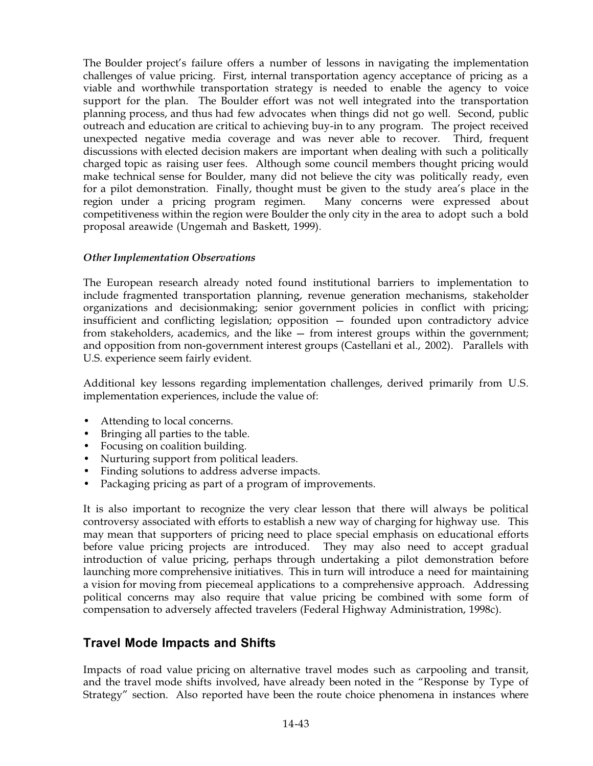The Boulder project's failure offers a number of lessons in navigating the implementation challenges of value pricing. First, internal transportation agency acceptance of pricing as a viable and worthwhile transportation strategy is needed to enable the agency to voice support for the plan. The Boulder effort was not well integrated into the transportation planning process, and thus had few advocates when things did not go well. Second, public outreach and education are critical to achieving buy-in to any program. The project received unexpected negative media coverage and was never able to recover. Third, frequent discussions with elected decision makers are important when dealing with such a politically charged topic as raising user fees. Although some council members thought pricing would make technical sense for Boulder, many did not believe the city was politically ready, even for a pilot demonstration. Finally, thought must be given to the study area's place in the region under a pricing program regimen. Many concerns were expressed about competitiveness within the region were Boulder the only city in the area to adopt such a bold proposal areawide (Ungemah and Baskett, 1999).

#### *Other Implementation Observations*

The European research already noted found institutional barriers to implementation to include fragmented transportation planning, revenue generation mechanisms, stakeholder organizations and decisionmaking; senior government policies in conflict with pricing; insufficient and conflicting legislation; opposition — founded upon contradictory advice from stakeholders, academics, and the like — from interest groups within the government; and opposition from non-government interest groups (Castellani et al., 2002). Parallels with U.S. experience seem fairly evident.

Additional key lessons regarding implementation challenges, derived primarily from U.S. implementation experiences, include the value of:

- Attending to local concerns.
- Bringing all parties to the table.
- Focusing on coalition building.
- Nurturing support from political leaders.
- Finding solutions to address adverse impacts.
- Packaging pricing as part of a program of improvements.

It is also important to recognize the very clear lesson that there will always be political controversy associated with efforts to establish a new way of charging for highway use. This may mean that supporters of pricing need to place special emphasis on educational efforts before value pricing projects are introduced. They may also need to accept gradual introduction of value pricing, perhaps through undertaking a pilot demonstration before launching more comprehensive initiatives. This in turn will introduce a need for maintaining a vision for moving from piecemeal applications to a comprehensive approach. Addressing political concerns may also require that value pricing be combined with some form of compensation to adversely affected travelers (Federal Highway Administration, 1998c).

## **Travel Mode Impacts and Shifts**

Impacts of road value pricing on alternative travel modes such as carpooling and transit, and the travel mode shifts involved, have already been noted in the "Response by Type of Strategy" section. Also reported have been the route choice phenomena in instances where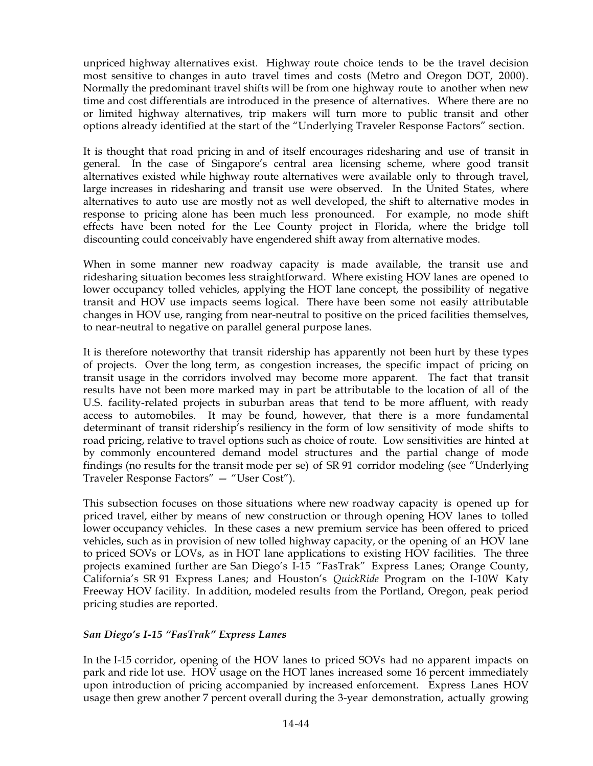unpriced highway alternatives exist. Highway route choice tends to be the travel decision most sensitive to changes in auto travel times and costs (Metro and Oregon DOT, 2000). Normally the predominant travel shifts will be from one highway route to another when new time and cost differentials are introduced in the presence of alternatives. Where there are no or limited highway alternatives, trip makers will turn more to public transit and other options already identified at the start of the "Underlying Traveler Response Factors" section.

It is thought that road pricing in and of itself encourages ridesharing and use of transit in general. In the case of Singapore's central area licensing scheme, where good transit alternatives existed while highway route alternatives were available only to through travel, large increases in ridesharing and transit use were observed. In the United States, where alternatives to auto use are mostly not as well developed, the shift to alternative modes in response to pricing alone has been much less pronounced. For example, no mode shift effects have been noted for the Lee County project in Florida, where the bridge toll discounting could conceivably have engendered shift away from alternative modes.

When in some manner new roadway capacity is made available, the transit use and ridesharing situation becomes less straightforward. Where existing HOV lanes are opened to lower occupancy tolled vehicles, applying the HOT lane concept, the possibility of negative transit and HOV use impacts seems logical. There have been some not easily attributable changes in HOV use, ranging from near-neutral to positive on the priced facilities themselves, to near-neutral to negative on parallel general purpose lanes.

It is therefore noteworthy that transit ridership has apparently not been hurt by these types of projects. Over the long term, as congestion increases, the specific impact of pricing on transit usage in the corridors involved may become more apparent. The fact that transit results have not been more marked may in part be attributable to the location of all of the U.S. facility-related projects in suburban areas that tend to be more affluent, with ready access to automobiles. It may be found, however, that there is a more fundamental determinant of transit ridership's resiliency in the form of low sensitivity of mode shifts to road pricing, relative to travel options such as choice of route. Low sensitivities are hinted at by commonly encountered demand model structures and the partial change of mode findings (no results for the transit mode per se) of SR 91 corridor modeling (see "Underlying Traveler Response Factors" — "User Cost").

This subsection focuses on those situations where new roadway capacity is opened up for priced travel, either by means of new construction or through opening HOV lanes to tolled lower occupancy vehicles. In these cases a new premium service has been offered to priced vehicles, such as in provision of new tolled highway capacity, or the opening of an HOV lane to priced SOVs or LOVs, as in HOT lane applications to existing HOV facilities. The three projects examined further are San Diego's I-15 "FasTrak" Express Lanes; Orange County, California's SR691 Express Lanes; and Houston's *QuickRide* Program on the I-10W Katy Freeway HOV facility. In addition, modeled results from the Portland, Oregon, peak period pricing studies are reported.

#### *San Diego's I-15 "FasTrak" Express Lanes*

In the I-15 corridor, opening of the HOV lanes to priced SOVs had no apparent impacts on park and ride lot use. HOV usage on the HOT lanes increased some 16 percent immediately upon introduction of pricing accompanied by increased enforcement. Express Lanes HOV usage then grew another 7 percent overall during the 3-year demonstration, actually growing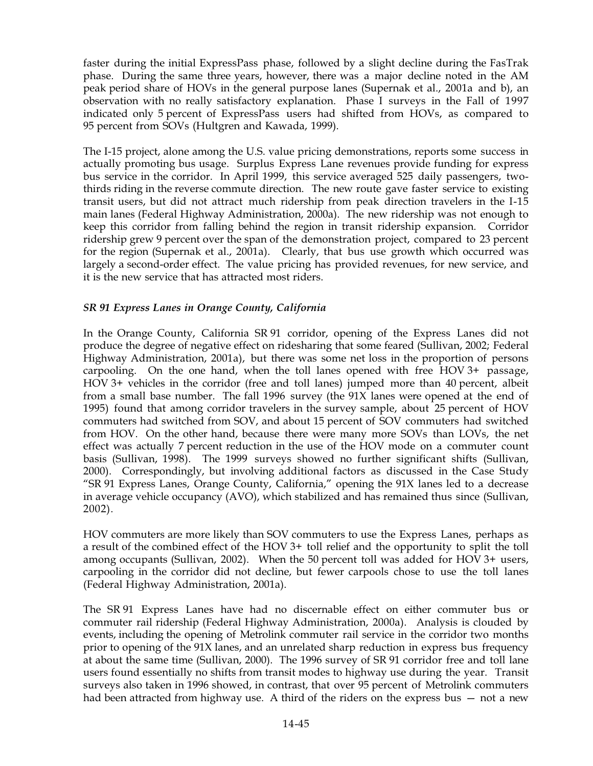faster during the initial ExpressPass phase, followed by a slight decline during the FasTrak phase. During the same three years, however, there was a major decline noted in the AM peak period share of HOVs in the general purpose lanes (Supernak et al., 2001a and b), an observation with no really satisfactory explanation. Phase I surveys in the Fall of 1997 indicated only 5 percent of ExpressPass users had shifted from HOVs, as compared to 95 percent from SOVs (Hultgren and Kawada, 1999).

The I-15 project, alone among the U.S. value pricing demonstrations, reports some success in actually promoting bus usage. Surplus Express Lane revenues provide funding for express bus service in the corridor. In April 1999, this service averaged 525 daily passengers, twothirds riding in the reverse commute direction. The new route gave faster service to existing transit users, but did not attract much ridership from peak direction travelers in the I-15 main lanes (Federal Highway Administration, 2000a). The new ridership was not enough to keep this corridor from falling behind the region in transit ridership expansion. Corridor ridership grew 9 percent over the span of the demonstration project, compared to 23 percent for the region (Supernak et al., 2001a). Clearly, that bus use growth which occurred was largely a second-order effect. The value pricing has provided revenues, for new service, and it is the new service that has attracted most riders.

#### *SR791 Express Lanes in Orange County, California*

In the Orange County, California SR 91 corridor, opening of the Express Lanes did not produce the degree of negative effect on ridesharing that some feared (Sullivan, 2002; Federal Highway Administration, 2001a), but there was some net loss in the proportion of persons carpooling. On the one hand, when the toll lanes opened with free HOV $3+$  passage, HOV  $3+$  vehicles in the corridor (free and toll lanes) jumped more than 40 percent, albeit from a small base number. The fall 1996 survey (the 91X lanes were opened at the end of 1995) found that among corridor travelers in the survey sample, about 25 percent of HOV commuters had switched from SOV, and about 15 percent of SOV commuters had switched from HOV. On the other hand, because there were many more SOVs than LOVs, the net effect was actually  $7$  percent reduction in the use of the HOV mode on a commuter count basis (Sullivan, 1998). The 1999 surveys showed no further significant shifts (Sullivan, 2000). Correspondingly, but involving additional factors as discussed in the Case Study "SR 91 Express Lanes, Orange County, California," opening the 91X lanes led to a decrease in average vehicle occupancy (AVO), which stabilized and has remained thus since (Sullivan, 2002).

HOV commuters are more likely than SOV commuters to use the Express Lanes, perhaps as a result of the combined effect of the HOV3+ toll relief and the opportunity to split the toll among occupants (Sullivan, 2002). When the 50 percent toll was added for HOV 3+ users, carpooling in the corridor did not decline, but fewer carpools chose to use the toll lanes (Federal Highway Administration, 2001a).

The SR 91 Express Lanes have had no discernable effect on either commuter bus or commuter rail ridership (Federal Highway Administration, 2000a). Analysis is clouded by events, including the opening of Metrolink commuter rail service in the corridor two months prior to opening of the 91X lanes, and an unrelated sharp reduction in express bus frequency at about the same time (Sullivan, 2000). The 1996 survey of SR 91 corridor free and toll lane users found essentially no shifts from transit modes to highway use during the year. Transit surveys also taken in 1996 showed, in contrast, that over 95 percent of Metrolink commuters had been attracted from highway use. A third of the riders on the express bus  $-$  not a new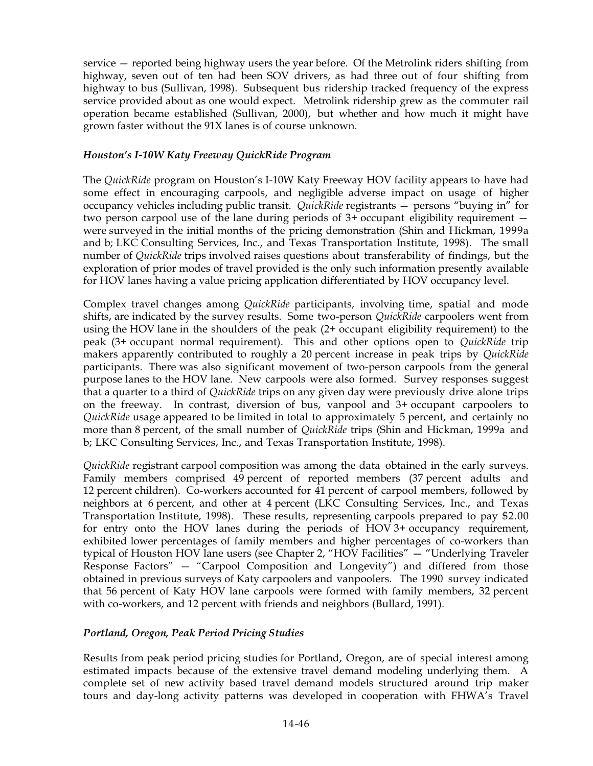service — reported being highway users the year before. Of the Metrolink riders shifting from highway, seven out of ten had been SOV drivers, as had three out of four shifting from highway to bus (Sullivan, 1998). Subsequent bus ridership tracked frequency of the express service provided about as one would expect. Metrolink ridership grew as the commuter rail operation became established (Sullivan, 2000), but whether and how much it might have grown faster without the 91X lanes is of course unknown.

### *Houston's I-10W Katy Freeway QuickRide Program*

The *QuickRide* program on Houston's I-10W Katy Freeway HOV facility appears to have had some effect in encouraging carpools, and negligible adverse impact on usage of higher occupancy vehicles including public transit. *QuickRide* registrants — persons "buying in" for two person carpool use of the lane during periods of  $3+$  occupant eligibility requirement  $$ were surveyed in the initial months of the pricing demonstration (Shin and Hickman, 1999a and b; LKC Consulting Services, Inc., and Texas Transportation Institute, 1998). The small number of *QuickRide* trips involved raises questions about transferability of findings, but the exploration of prior modes of travel provided is the only such information presently available for HOV lanes having a value pricing application differentiated by HOV occupancy level.

Complex travel changes among *QuickRide* participants, involving time, spatial and mode shifts, are indicated by the survey results. Some two-person *QuickRide* carpoolers went from using the HOV lane in the shoulders of the peak (2+ occupant eligibility requirement) to the peak (3+ occupant normal requirement). This and other options open to *QuickRide* trip makers apparently contributed to roughly a 20 percent increase in peak trips by *QuickRide* participants. There was also significant movement of two-person carpools from the general purpose lanes to the HOV lane. New carpools were also formed. Survey responses suggest that a quarter to a third of *QuickRide* trips on any given day were previously drive alone trips on the freeway. In contrast, diversion of bus, vanpool and  $3+$  occupant carpoolers to *QuickRide* usage appeared to be limited in total to approximately 5 percent, and certainly no more than 8 percent, of the small number of *QuickRide* trips (Shin and Hickman, 1999a and b; LKC Consulting Services, Inc., and Texas Transportation Institute, 1998).

*QuickRide* registrant carpool composition was among the data obtained in the early surveys. Family members comprised 49 percent of reported members (37 percent adults and 12 percent children). Co-workers accounted for 41 percent of carpool members, followed by neighbors at 6 percent, and other at 4 percent (LKC Consulting Services, Inc., and Texas Transportation Institute, 1998). These results, representing carpools prepared to pay \$2.00 for entry onto the HOV lanes during the periods of HOV  $3+$  occupancy requirement, exhibited lower percentages of family members and higher percentages of co-workers than typical of Houston HOV lane users (see Chapter 2, "HOV Facilities" — "Underlying Traveler Response Factors" — "Carpool Composition and Longevity") and differed from those obtained in previous surveys of Katy carpoolers and vanpoolers. The 1990 survey indicated that 56 percent of Katy HOV lane carpools were formed with family members, 32 percent with co-workers, and 12 percent with friends and neighbors (Bullard, 1991).

#### *Portland, Oregon, Peak Period Pricing Studies*

Results from peak period pricing studies for Portland, Oregon, are of special interest among estimated impacts because of the extensive travel demand modeling underlying them. A complete set of new activity based travel demand models structured around trip maker tours and day-long activity patterns was developed in cooperation with FHWA's Travel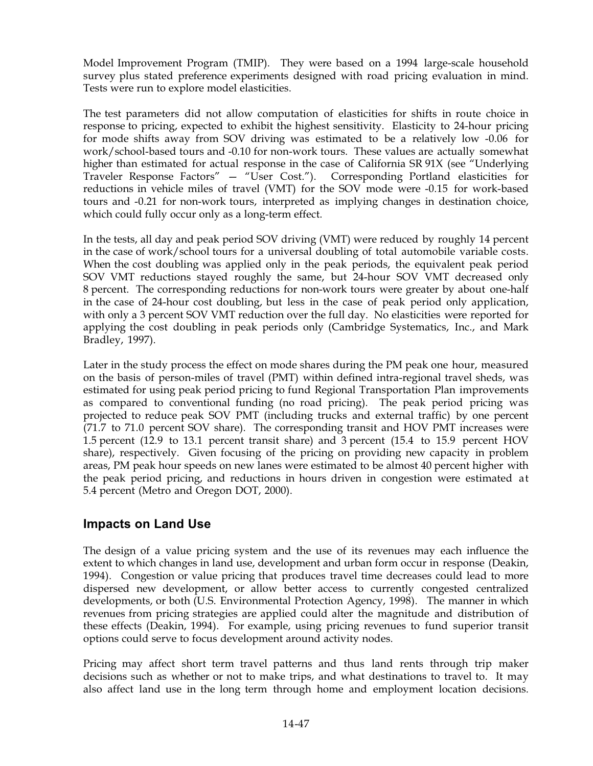Model Improvement Program (TMIP). They were based on a 1994 large-scale household survey plus stated preference experiments designed with road pricing evaluation in mind. Tests were run to explore model elasticities.

The test parameters did not allow computation of elasticities for shifts in route choice in response to pricing, expected to exhibit the highest sensitivity. Elasticity to 24-hour pricing for mode shifts away from SOV driving was estimated to be a relatively low -0.06 for work/school-based tours and -0.10 for non-work tours. These values are actually somewhat higher than estimated for actual response in the case of California  $SR91X$  (see "Underlying Traveler Response Factors" — "User Cost."). Corresponding Portland elasticities for reductions in vehicle miles of travel (VMT) for the SOV mode were -0.15 for work-based tours and -0.21 for non-work tours, interpreted as implying changes in destination choice, which could fully occur only as a long-term effect.

In the tests, all day and peak period SOV driving (VMT) were reduced by roughly 14 percent in the case of work/school tours for a universal doubling of total automobile variable costs. When the cost doubling was applied only in the peak periods, the equivalent peak period SOV VMT reductions stayed roughly the same, but 24-hour SOV VMT decreased only 8 percent. The corresponding reductions for non-work tours were greater by about one-half in the case of 24-hour cost doubling, but less in the case of peak period only application, with only a 3 percent SOV VMT reduction over the full day. No elasticities were reported for applying the cost doubling in peak periods only (Cambridge Systematics, Inc., and Mark Bradley, 1997).

Later in the study process the effect on mode shares during the PM peak one hour, measured on the basis of person-miles of travel (PMT) within defined intra-regional travel sheds, was estimated for using peak period pricing to fund Regional Transportation Plan improvements as compared to conventional funding (no road pricing). The peak period pricing was projected to reduce peak SOV PMT (including trucks and external traffic) by one percent (71.7 to 71.0 percent SOV share). The corresponding transit and HOV PMT increases were 1.5 percent (12.9 to 13.1 percent transit share) and 3 percent (15.4 to 15.9 percent HOV share), respectively. Given focusing of the pricing on providing new capacity in problem areas, PM peak hour speeds on new lanes were estimated to be almost 40 percent higher with the peak period pricing, and reductions in hours driven in congestion were estimated at 5.4 percent (Metro and Oregon DOT, 2000).

## **Impacts on Land Use**

The design of a value pricing system and the use of its revenues may each influence the extent to which changes in land use, development and urban form occur in response (Deakin, 1994). Congestion or value pricing that produces travel time decreases could lead to more dispersed new development, or allow better access to currently congested centralized developments, or both (U.S. Environmental Protection Agency, 1998). The manner in which revenues from pricing strategies are applied could alter the magnitude and distribution of these effects (Deakin, 1994). For example, using pricing revenues to fund superior transit options could serve to focus development around activity nodes.

Pricing may affect short term travel patterns and thus land rents through trip maker decisions such as whether or not to make trips, and what destinations to travel to. It may also affect land use in the long term through home and employment location decisions.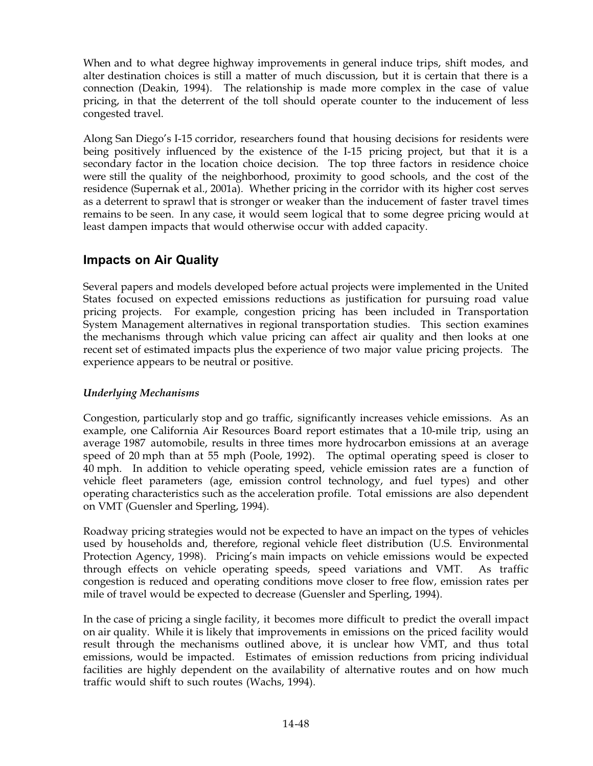When and to what degree highway improvements in general induce trips, shift modes, and alter destination choices is still a matter of much discussion, but it is certain that there is a connection (Deakin, 1994). The relationship is made more complex in the case of value pricing, in that the deterrent of the toll should operate counter to the inducement of less congested travel.

Along San Diego's I-15 corridor, researchers found that housing decisions for residents were being positively influenced by the existence of the I-15 pricing project, but that it is a secondary factor in the location choice decision. The top three factors in residence choice were still the quality of the neighborhood, proximity to good schools, and the cost of the residence (Supernak et al., 2001a). Whether pricing in the corridor with its higher cost serves as a deterrent to sprawl that is stronger or weaker than the inducement of faster travel times remains to be seen. In any case, it would seem logical that to some degree pricing would at least dampen impacts that would otherwise occur with added capacity.

## **Impacts on Air Quality**

Several papers and models developed before actual projects were implemented in the United States focused on expected emissions reductions as justification for pursuing road value pricing projects. For example, congestion pricing has been included in Transportation System Management alternatives in regional transportation studies. This section examines the mechanisms through which value pricing can affect air quality and then looks at one recent set of estimated impacts plus the experience of two major value pricing projects. The experience appears to be neutral or positive.

## *Underlying Mechanisms*

Congestion, particularly stop and go traffic, significantly increases vehicle emissions. As an example, one California Air Resources Board report estimates that a 10-mile trip, using an average 1987 automobile, results in three times more hydrocarbon emissions at an average speed of 20 mph than at 55 mph (Poole, 1992). The optimal operating speed is closer to 40 mph. In addition to vehicle operating speed, vehicle emission rates are a function of vehicle fleet parameters (age, emission control technology, and fuel types) and other operating characteristics such as the acceleration profile. Total emissions are also dependent on VMT (Guensler and Sperling, 1994).

Roadway pricing strategies would not be expected to have an impact on the types of vehicles used by households and, therefore, regional vehicle fleet distribution (U.S. Environmental Protection Agency, 1998). Pricing's main impacts on vehicle emissions would be expected through effects on vehicle operating speeds, speed variations and VMT. As traffic congestion is reduced and operating conditions move closer to free flow, emission rates per mile of travel would be expected to decrease (Guensler and Sperling, 1994).

In the case of pricing a single facility, it becomes more difficult to predict the overall impact on air quality. While it is likely that improvements in emissions on the priced facility would result through the mechanisms outlined above, it is unclear how VMT, and thus total emissions, would be impacted. Estimates of emission reductions from pricing individual facilities are highly dependent on the availability of alternative routes and on how much traffic would shift to such routes (Wachs, 1994).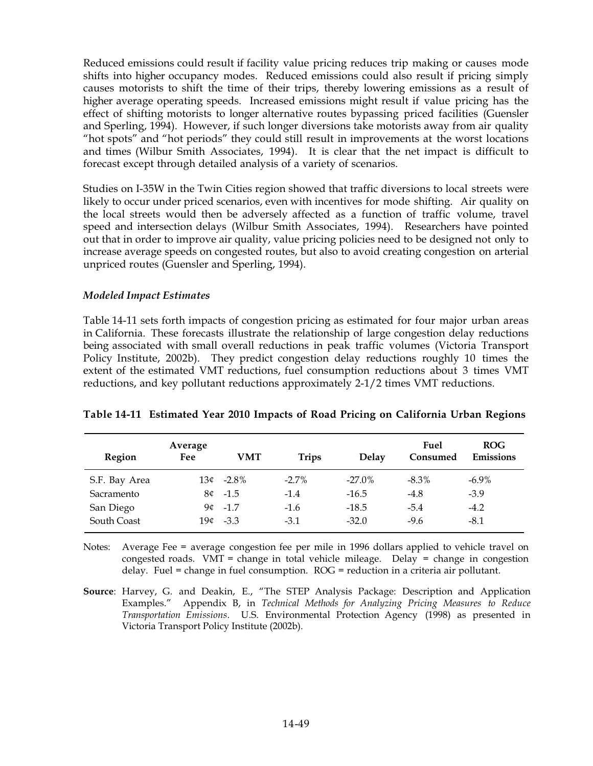Reduced emissions could result if facility value pricing reduces trip making or causes mode shifts into higher occupancy modes. Reduced emissions could also result if pricing simply causes motorists to shift the time of their trips, thereby lowering emissions as a result of higher average operating speeds. Increased emissions might result if value pricing has the effect of shifting motorists to longer alternative routes bypassing priced facilities (Guensler and Sperling, 1994). However, if such longer diversions take motorists away from air quality "hot spots" and "hot periods" they could still result in improvements at the worst locations and times (Wilbur Smith Associates, 1994). It is clear that the net impact is difficult to forecast except through detailed analysis of a variety of scenarios.

Studies on I-35W in the Twin Cities region showed that traffic diversions to local streets were likely to occur under priced scenarios, even with incentives for mode shifting. Air quality on the local streets would then be adversely affected as a function of traffic volume, travel speed and intersection delays (Wilbur Smith Associates, 1994). Researchers have pointed out that in order to improve air quality, value pricing policies need to be designed not only to increase average speeds on congested routes, but also to avoid creating congestion on arterial unpriced routes (Guensler and Sperling, 1994).

#### *Modeled Impact Estimates*

Table 14-11 sets forth impacts of congestion pricing as estimated for four major urban areas in California. These forecasts illustrate the relationship of large congestion delay reductions being associated with small overall reductions in peak traffic volumes (Victoria Transport Policy Institute, 2002b). They predict congestion delay reductions roughly 10 times the extent of the estimated VMT reductions, fuel consumption reductions about 3 times VMT reductions, and key pollutant reductions approximately 2-1/2 times VMT reductions.

| Region        | Average<br>Fee | VMT       | <b>Trips</b> | <b>Delay</b> | Fuel<br>Consumed | <b>ROG</b><br><b>Emissions</b> |
|---------------|----------------|-----------|--------------|--------------|------------------|--------------------------------|
| S.F. Bay Area | 13¢            | $-2.8\%$  | $-2.7\%$     | $-27.0\%$    | $-8.3\%$         | $-6.9\%$                       |
| Sacramento    |                | $8¢ -1.5$ | $-1.4$       | $-16.5$      | $-4.8$           | $-3.9$                         |
| San Diego     | 9¢             | $-1.7$    | $-1.6$       | $-18.5$      | $-5.4$           | $-4.2$                         |
| South Coast   | 19¢            | $-3.3$    | $-3.1$       | $-32.0$      | $-9.6$           | $-8.1$                         |

#### **Table'14-11 Estimated Year 2010 Impacts of Road Pricing on California Urban Regions**

Notes: Average Fee = average congestion fee per mile in 1996 dollars applied to vehicle travel on congested roads. VMT = change in total vehicle mileage. Delay = change in congestion delay. Fuel = change in fuel consumption. ROG = reduction in a criteria air pollutant.

**Source**: Harvey, G. and Deakin, E., "The STEP Analysis Package: Description and Application Examples." Appendix B, in *Technical Methods for Analyzing Pricing Measures to Reduce Transportation Emissions*. U.S. Environmental Protection Agency (1998) as presented in Victoria Transport Policy Institute (2002b).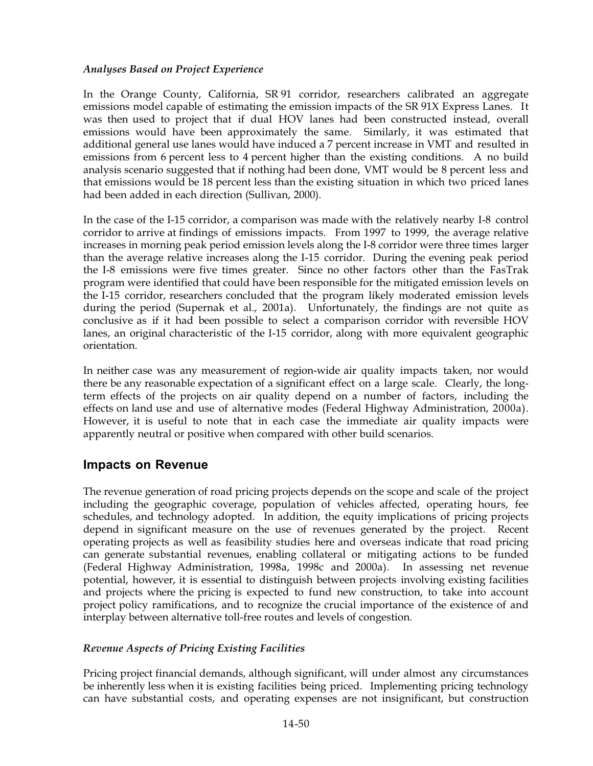#### *Analyses Based on Project Experience*

In the Orange County, California, SR 91 corridor, researchers calibrated an aggregate emissions model capable of estimating the emission impacts of the SR 91X Express Lanes. It was then used to project that if dual HOV lanes had been constructed instead, overall emissions would have been approximately the same. Similarly, it was estimated that additional general use lanes would have induced a 7 percent increase in VMT and resulted in emissions from 6 percent less to 4 percent higher than the existing conditions. A no build analysis scenario suggested that if nothing had been done, VMT would be 8 percent less and that emissions would be 18 percent less than the existing situation in which two priced lanes had been added in each direction (Sullivan, 2000).

In the case of the I-15 corridor, a comparison was made with the relatively nearby I-8 control corridor to arrive at findings of emissions impacts. From 1997 to 1999, the average relative increases in morning peak period emission levels along the I-8 corridor were three times larger than the average relative increases along the I-15 corridor. During the evening peak period the I-8 emissions were five times greater. Since no other factors other than the FasTrak program were identified that could have been responsible for the mitigated emission levels on the I-15 corridor, researchers concluded that the program likely moderated emission levels during the period (Supernak et al., 2001a). Unfortunately, the findings are not quite as conclusive as if it had been possible to select a comparison corridor with reversible HOV lanes, an original characteristic of the I-15 corridor, along with more equivalent geographic orientation.

In neither case was any measurement of region-wide air quality impacts taken, nor would there be any reasonable expectation of a significant effect on a large scale. Clearly, the longterm effects of the projects on air quality depend on a number of factors, including the effects on land use and use of alternative modes (Federal Highway Administration, 2000a). However, it is useful to note that in each case the immediate air quality impacts were apparently neutral or positive when compared with other build scenarios.

## **Impacts on Revenue**

The revenue generation of road pricing projects depends on the scope and scale of the project including the geographic coverage, population of vehicles affected, operating hours, fee schedules, and technology adopted. In addition, the equity implications of pricing projects depend in significant measure on the use of revenues generated by the project. Recent operating projects as well as feasibility studies here and overseas indicate that road pricing can generate substantial revenues, enabling collateral or mitigating actions to be funded (Federal Highway Administration, 1998a, 1998c and 2000a). In assessing net revenue potential, however, it is essential to distinguish between projects involving existing facilities and projects where the pricing is expected to fund new construction, to take into account project policy ramifications, and to recognize the crucial importance of the existence of and interplay between alternative toll-free routes and levels of congestion.

#### *Revenue Aspects of Pricing Existing Facilities*

Pricing project financial demands, although significant, will under almost any circumstances be inherently less when it is existing facilities being priced. Implementing pricing technology can have substantial costs, and operating expenses are not insignificant, but construction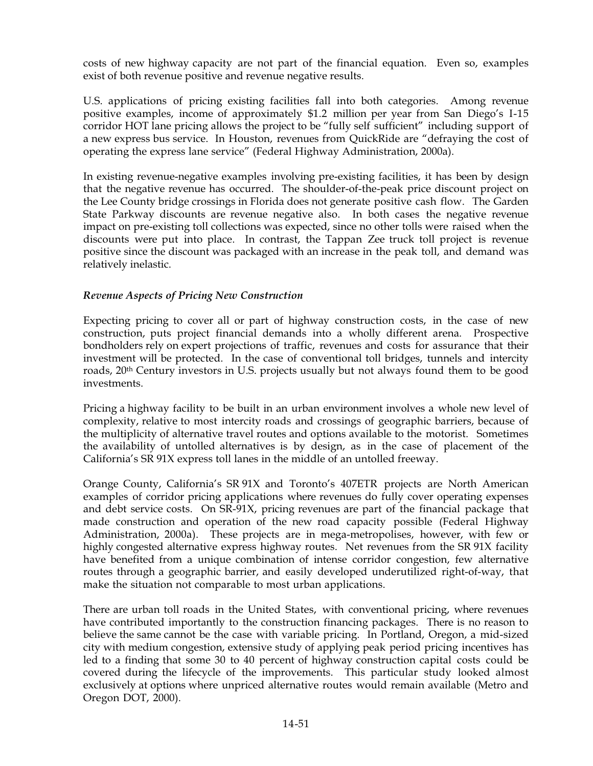costs of new highway capacity are not part of the financial equation. Even so, examples exist of both revenue positive and revenue negative results.

U.S. applications of pricing existing facilities fall into both categories. Among revenue positive examples, income of approximately \$1.2 million per year from San Diego's I-15 corridor HOT lane pricing allows the project to be "fully self sufficient" including support of a new express bus service. In Houston, revenues from QuickRide are "defraying the cost of operating the express lane service" (Federal Highway Administration, 2000a).

In existing revenue-negative examples involving pre-existing facilities, it has been by design that the negative revenue has occurred. The shoulder-of-the-peak price discount project on the Lee County bridge crossings in Florida does not generate positive cash flow. The Garden State Parkway discounts are revenue negative also. In both cases the negative revenue impact on pre-existing toll collections was expected, since no other tolls were raised when the discounts were put into place. In contrast, the Tappan Zee truck toll project is revenue positive since the discount was packaged with an increase in the peak toll, and demand was relatively inelastic.

#### *Revenue Aspects of Pricing New Construction*

Expecting pricing to cover all or part of highway construction costs, in the case of new construction, puts project financial demands into a wholly different arena. Prospective bondholders rely on expert projections of traffic, revenues and costs for assurance that their investment will be protected. In the case of conventional toll bridges, tunnels and intercity roads, 20<sup>th</sup> Century investors in U.S. projects usually but not always found them to be good investments.

Pricing a highway facility to be built in an urban environment involves a whole new level of complexity, relative to most intercity roads and crossings of geographic barriers, because of the multiplicity of alternative travel routes and options available to the motorist. Sometimes the availability of untolled alternatives is by design, as in the case of placement of the California's SR 91X express toll lanes in the middle of an untolled freeway.

Orange County, California's SR 91X and Toronto's 407ETR projects are North American examples of corridor pricing applications where revenues do fully cover operating expenses and debt service costs. On SR-91X, pricing revenues are part of the financial package that made construction and operation of the new road capacity possible (Federal Highway Administration, 2000a). These projects are in mega-metropolises, however, with few or highly congested alternative express highway routes. Net revenues from the SR 91X facility have benefited from a unique combination of intense corridor congestion, few alternative routes through a geographic barrier, and easily developed underutilized right-of-way, that make the situation not comparable to most urban applications.

There are urban toll roads in the United States, with conventional pricing, where revenues have contributed importantly to the construction financing packages. There is no reason to believe the same cannot be the case with variable pricing. In Portland, Oregon, a mid-sized city with medium congestion, extensive study of applying peak period pricing incentives has led to a finding that some 30 to 40 percent of highway construction capital costs could be covered during the lifecycle of the improvements. This particular study looked almost exclusively at options where unpriced alternative routes would remain available (Metro and Oregon DOT, 2000).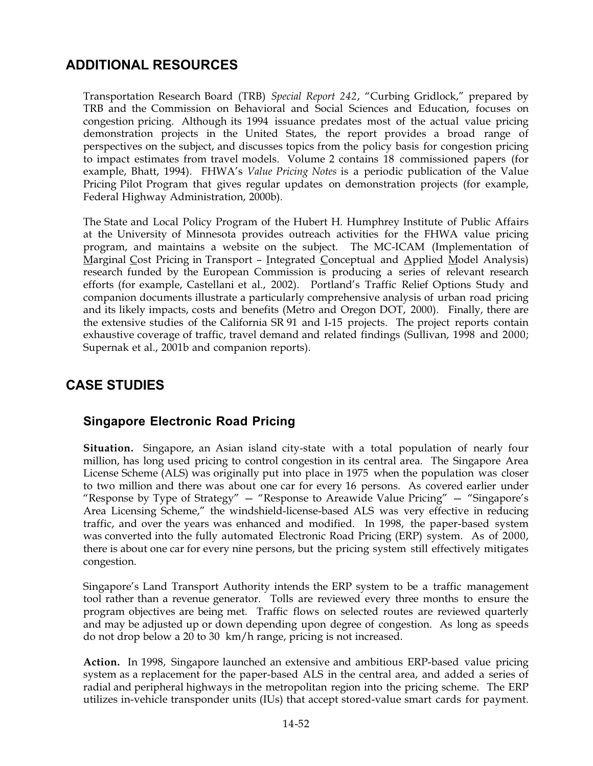# **ADDITIONAL RESOURCES**

Transportation Research Board (TRB) *Special Report 242*, "Curbing Gridlock," prepared by TRB and the Commission on Behavioral and Social Sciences and Education, focuses on congestion pricing. Although its 1994 issuance predates most of the actual value pricing demonstration projects in the United States, the report provides a broad range of perspectives on the subject, and discusses topics from the policy basis for congestion pricing to impact estimates from travel models. Volume 2 contains 18 commissioned papers (for example, Bhatt, 1994). FHWA's *Value Pricing Notes* is a periodic publication of the Value Pricing Pilot Program that gives regular updates on demonstration projects (for example, Federal Highway Administration, 2000b).

The State and Local Policy Program of the Hubert H. Humphrey Institute of Public Affairs at the University of Minnesota provides outreach activities for the FHWA value pricing program, and maintains a website on the subject. The MC-ICAM (Implementation of Marginal Cost Pricing in Transport – Integrated Conceptual and Applied Model Analysis) research funded by the European Commission is producing a series of relevant research efforts (for example, Castellani et al., 2002). Portland's Traffic Relief Options Study and companion documents illustrate a particularly comprehensive analysis of urban road pricing and its likely impacts, costs and benefits (Metro and Oregon DOT, 2000). Finally, there are the extensive studies of the California SR 91 and I-15 projects. The project reports contain exhaustive coverage of traffic, travel demand and related findings (Sullivan, 1998 and 2000; Supernak et al., 2001b and companion reports).

# **CASE STUDIES**

# **Singapore Electronic Road Pricing**

**Situation.** Singapore, an Asian island city-state with a total population of nearly four million, has long used pricing to control congestion in its central area. The Singapore Area License Scheme (ALS) was originally put into place in 1975 when the population was closer to two million and there was about one car for every 16 persons. As covered earlier under "Response by Type of Strategy" — "Response to Areawide Value Pricing" — "Singapore's Area Licensing Scheme," the windshield-license-based ALS was very effective in reducing traffic, and over the years was enhanced and modified. In 1998, the paper-based system was converted into the fully automated Electronic Road Pricing (ERP) system. As of 2000, there is about one car for every nine persons, but the pricing system still effectively mitigates congestion.

Singapore's Land Transport Authority intends the ERP system to be a traffic management tool rather than a revenue generator. Tolls are reviewed every three months to ensure the program objectives are being met. Traffic flows on selected routes are reviewed quarterly and may be adjusted up or down depending upon degree of congestion. As long as speeds do not drop below a 20 to 30 km/h range, pricing is not increased.

**Action.** In 1998, Singapore launched an extensive and ambitious ERP-based value pricing system as a replacement for the paper-based ALS in the central area, and added a series of radial and peripheral highways in the metropolitan region into the pricing scheme. The ERP utilizes in-vehicle transponder units (IUs) that accept stored-value smart cards for payment.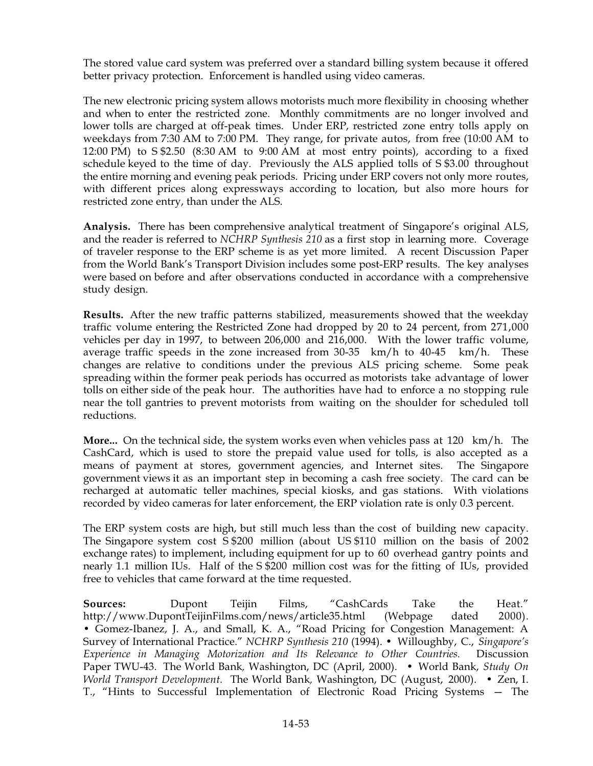The stored value card system was preferred over a standard billing system because it offered better privacy protection. Enforcement is handled using video cameras.

The new electronic pricing system allows motorists much more flexibility in choosing whether and when to enter the restricted zone. Monthly commitments are no longer involved and lower tolls are charged at off-peak times. Under ERP, restricted zone entry tolls apply on weekdays from 7:30 AM to 7:00 PM. They range, for private autos, from free (10:00 AM to 12:00 PM) to  $S$2.50$  (8:30 AM to 9:00 AM at most entry points), according to a fixed schedule keyed to the time of day. Previously the ALS applied tolls of S\$3.00 throughout the entire morning and evening peak periods. Pricing under ERP covers not only more routes, with different prices along expressways according to location, but also more hours for restricted zone entry, than under the ALS.

**Analysis.** There has been comprehensive analytical treatment of Singapore's original ALS, and the reader is referred to *NCHRP Synthesis 210* as a first stop in learning more. Coverage of traveler response to the ERP scheme is as yet more limited. A recent Discussion Paper from the World Bank's Transport Division includes some post-ERP results. The key analyses were based on before and after observations conducted in accordance with a comprehensive study design.

**Results.** After the new traffic patterns stabilized, measurements showed that the weekday traffic volume entering the Restricted Zone had dropped by 20 to 24 percent, from 271,000 vehicles per day in 1997, to between 206,000 and 216,000. With the lower traffic volume, average traffic speeds in the zone increased from 30-35 km/h to 40-45 km/h. These changes are relative to conditions under the previous ALS pricing scheme. Some peak spreading within the former peak periods has occurred as motorists take advantage of lower tolls on either side of the peak hour. The authorities have had to enforce a no stopping rule near the toll gantries to prevent motorists from waiting on the shoulder for scheduled toll reductions.

**More...** On the technical side, the system works even when vehicles pass at 120 km/h. The CashCard, which is used to store the prepaid value used for tolls, is also accepted as a means of payment at stores, government agencies, and Internet sites. The Singapore government views it as an important step in becoming a cash free society. The card can be recharged at automatic teller machines, special kiosks, and gas stations. With violations recorded by video cameras for later enforcement, the ERP violation rate is only 0.3 percent.

The ERP system costs are high, but still much less than the cost of building new capacity. The Singapore system cost  $\frac{1}{5}$  \$200 million (about US \$110 million on the basis of 2002 exchange rates) to implement, including equipment for up to 60 overhead gantry points and nearly 1.1 million IUs. Half of the  $\frac{1}{200}$  million cost was for the fitting of IUs, provided free to vehicles that came forward at the time requested.

**Sources:** Dupont Teijin Films, "CashCards Take the Heat." http://www.DupontTeijinFilms.com/news/article35.html (Webpage dated 2000). • Gomez-Ibanez, J. A., and Small, K. A., "Road Pricing for Congestion Management: A Survey of International Practice." *NCHRP Synthesis 210* (1994). • Willoughby, C., *Singapore's Experience in Managing Motorization and Its Relevance to Other Countries.* Discussion Paper TWU-43. The World Bank, Washington, DC (April, 2000). • World Bank, *Study On World Transport Development.* The World Bank, Washington, DC (August, 2000). • Zen, I. T., "Hints to Successful Implementation of Electronic Road Pricing Systems — The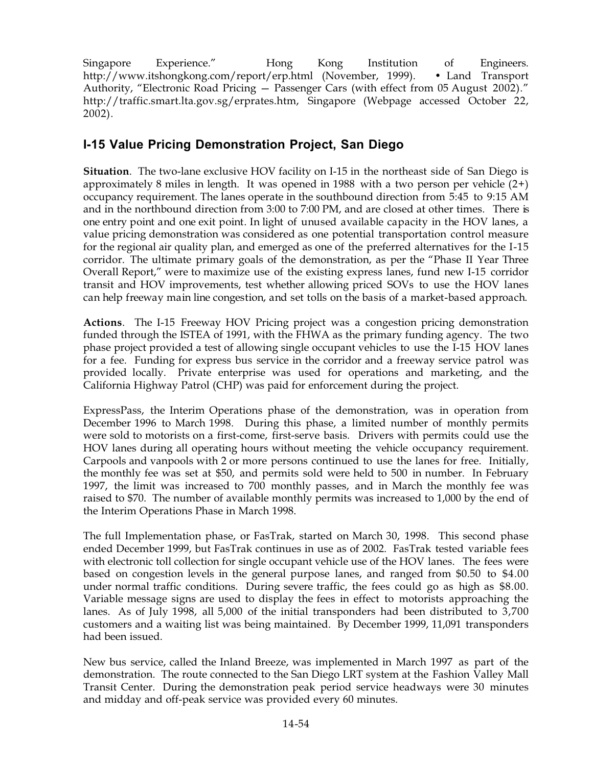Singapore Experience." Hong Kong Institution of Engineers. http://www.itshongkong.com/report/erp.html (November, 1999). • Land Transport Authority, "Electronic Road Pricing – Passenger Cars (with effect from 05 August 2002)." http://traffic.smart.lta.gov.sg/erprates.htm, Singapore (Webpage accessed October 22, 2002).

# **I-15 Value Pricing Demonstration Project, San Diego**

**Situation**. The two-lane exclusive HOV facility on I-15 in the northeast side of San Diego is approximately 8 miles in length. It was opened in 1988 with a two person per vehicle  $(2+)$ occupancy requirement. The lanes operate in the southbound direction from 5:45 to 9:156AM and in the northbound direction from 3:00 to 7:00 PM, and are closed at other times. There is one entry point and one exit point. In light of unused available capacity in the HOV lanes, a value pricing demonstration was considered as one potential transportation control measure for the regional air quality plan, and emerged as one of the preferred alternatives for the I-15 corridor. The ultimate primary goals of the demonstration, as per the "Phase II Year Three Overall Report," were to maximize use of the existing express lanes, fund new I-15 corridor transit and HOV improvements, test whether allowing priced SOVs to use the HOV lanes can help freeway main line congestion, and set tolls on the basis of a market-based approach.

**Actions**. The I-15 Freeway HOV Pricing project was a congestion pricing demonstration funded through the ISTEA of 1991, with the FHWA as the primary funding agency. The two phase project provided a test of allowing single occupant vehicles to use the I-15 HOV lanes for a fee. Funding for express bus service in the corridor and a freeway service patrol was provided locally. Private enterprise was used for operations and marketing, and the California Highway Patrol (CHP) was paid for enforcement during the project.

ExpressPass, the Interim Operations phase of the demonstration, was in operation from December 1996 to March 1998. During this phase, a limited number of monthly permits were sold to motorists on a first-come, first-serve basis. Drivers with permits could use the HOV lanes during all operating hours without meeting the vehicle occupancy requirement. Carpools and vanpools with 2 or more persons continued to use the lanes for free. Initially, the monthly fee was set at \$50, and permits sold were held to 500 in number. In February 1997, the limit was increased to 700 monthly passes, and in March the monthly fee was raised to \$70. The number of available monthly permits was increased to 1,000 by the end of the Interim Operations Phase in March 1998.

The full Implementation phase, or FasTrak, started on March 30, 1998. This second phase ended December 1999, but FasTrak continues in use as of 2002. FasTrak tested variable fees with electronic toll collection for single occupant vehicle use of the HOV lanes. The fees were based on congestion levels in the general purpose lanes, and ranged from \$0.50 to \$4.00 under normal traffic conditions. During severe traffic, the fees could go as high as \$8.00. Variable message signs are used to display the fees in effect to motorists approaching the lanes. As of July 1998, all 5,000 of the initial transponders had been distributed to 3,700 customers and a waiting list was being maintained. By December 1999, 11,091 transponders had been issued.

New bus service, called the Inland Breeze, was implemented in March 1997 as part of the demonstration. The route connected to the San Diego LRT system at the Fashion Valley Mall Transit Center. During the demonstration peak period service headways were 30 minutes and midday and off-peak service was provided every 60 minutes.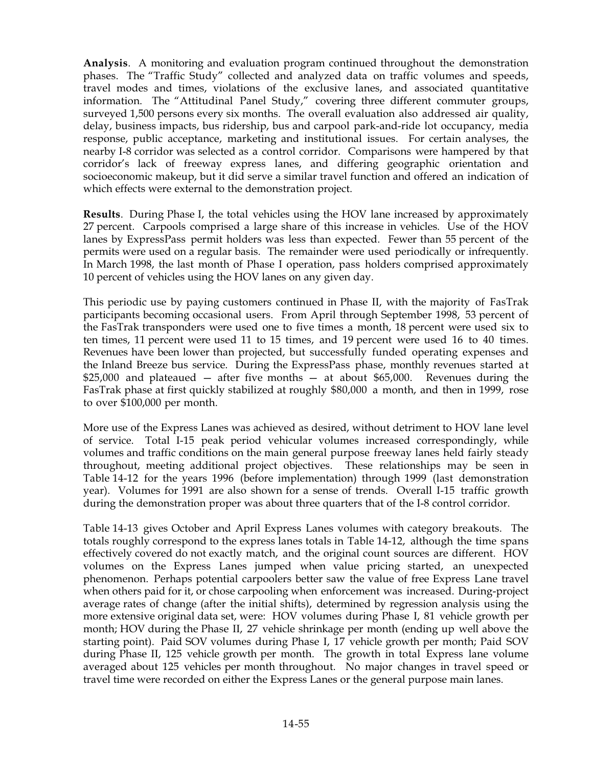**Analysis**. A monitoring and evaluation program continued throughout the demonstration phases. The "Traffic Study" collected and analyzed data on traffic volumes and speeds, travel modes and times, violations of the exclusive lanes, and associated quantitative information. The "Attitudinal Panel Study," covering three different commuter groups, surveyed 1,500 persons every six months. The overall evaluation also addressed air quality, delay, business impacts, bus ridership, bus and carpool park-and-ride lot occupancy, media response, public acceptance, marketing and institutional issues. For certain analyses, the nearby I-8 corridor was selected as a control corridor. Comparisons were hampered by that corridor's lack of freeway express lanes, and differing geographic orientation and socioeconomic makeup, but it did serve a similar travel function and offered an indication of which effects were external to the demonstration project.

**Results**. During Phase I, the total vehicles using the HOV lane increased by approximately 27 percent. Carpools comprised a large share of this increase in vehicles. Use of the HOV lanes by ExpressPass permit holders was less than expected. Fewer than 55 percent of the permits were used on a regular basis. The remainder were used periodically or infrequently. In March 1998, the last month of Phase I operation, pass holders comprised approximately 10 percent of vehicles using the HOV lanes on any given day.

This periodic use by paying customers continued in Phase II, with the majority of FasTrak participants becoming occasional users. From April through September 1998, 53 percent of the FasTrak transponders were used one to five times a month, 18 percent were used six to ten times, 11 percent were used 11 to 15 times, and 19 percent were used 16 to 40 times. Revenues have been lower than projected, but successfully funded operating expenses and the Inland Breeze bus service. During the ExpressPass phase, monthly revenues started at \$25,000 and plateaued — after five months — at about \$65,000. Revenues during the FasTrak phase at first quickly stabilized at roughly \$80,000 a month, and then in 1999, rose to over \$100,000 per month.

More use of the Express Lanes was achieved as desired, without detriment to HOV lane level of service. Total I-15 peak period vehicular volumes increased correspondingly, while volumes and traffic conditions on the main general purpose freeway lanes held fairly steady throughout, meeting additional project objectives. These relationships may be seen in Table 14-12 for the years 1996 (before implementation) through 1999 (last demonstration year). Volumes for 1991 are also shown for a sense of trends. Overall I-15 traffic growth during the demonstration proper was about three quarters that of the I-8 control corridor.

Table 14-13 gives October and April Express Lanes volumes with category breakouts. The totals roughly correspond to the express lanes totals in Table 14-12, although the time spans effectively covered do not exactly match, and the original count sources are different. HOV volumes on the Express Lanes jumped when value pricing started, an unexpected phenomenon. Perhaps potential carpoolers better saw the value of free Express Lane travel when others paid for it, or chose carpooling when enforcement was increased. During-project average rates of change (after the initial shifts), determined by regression analysis using the more extensive original data set, were: HOV volumes during Phase I, 81 vehicle growth per month; HOV during the Phase II, 27 vehicle shrinkage per month (ending up well above the starting point). Paid SOV volumes during Phase I, 17 vehicle growth per month; Paid SOV during Phase II, 125 vehicle growth per month. The growth in total Express lane volume averaged about 125 vehicles per month throughout. No major changes in travel speed or travel time were recorded on either the Express Lanes or the general purpose main lanes.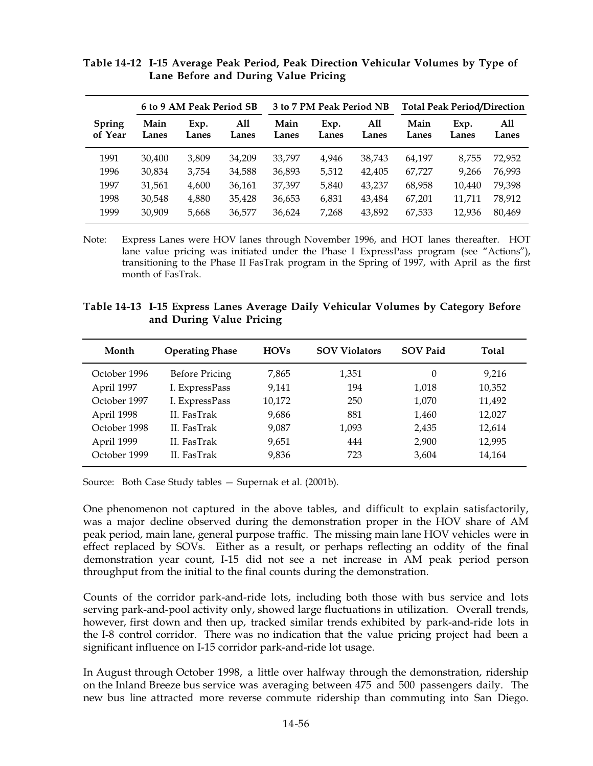|                          | 6 to 9 AM Peak Period SB |               |              |               |               |              | 3 to 7 PM Peak Period NB |               |              |  | <b>Total Peak Period/Direction</b> |  |
|--------------------------|--------------------------|---------------|--------------|---------------|---------------|--------------|--------------------------|---------------|--------------|--|------------------------------------|--|
| <b>Spring</b><br>of Year | Main<br>Lanes            | Exp.<br>Lanes | All<br>Lanes | Main<br>Lanes | Exp.<br>Lanes | All<br>Lanes | Main<br>Lanes            | Exp.<br>Lanes | All<br>Lanes |  |                                    |  |
| 1991                     | 30,400                   | 3.809         | 34.209       | 33,797        | 4.946         | 38,743       | 64,197                   | 8.755         | 72.952       |  |                                    |  |
| 1996                     | 30.834                   | 3.754         | 34,588       | 36,893        | 5,512         | 42.405       | 67,727                   | 9.266         | 76,993       |  |                                    |  |
| 1997                     | 31,561                   | 4,600         | 36,161       | 37,397        | 5,840         | 43.237       | 68,958                   | 10.440        | 79,398       |  |                                    |  |
| 1998                     | 30.548                   | 4,880         | 35,428       | 36,653        | 6,831         | 43.484       | 67,201                   | 11,711        | 78,912       |  |                                    |  |
| 1999                     | 30,909                   | 5,668         | 36,577       | 36,624        | 7.268         | 43,892       | 67,533                   | 12,936        | 80,469       |  |                                    |  |

**Table'14-12 I-15 Average Peak Period, Peak Direction Vehicular Volumes by Type of Lane Before and During Value Pricing**

Note: Express Lanes were HOV lanes through November 1996, and HOT lanes thereafter. HOT lane value pricing was initiated under the Phase I ExpressPass program (see "Actions"), transitioning to the Phase II FasTrak program in the Spring of 1997, with April as the first month of FasTrak.

| Table 14-13 I-15 Express Lanes Average Daily Vehicular Volumes by Category Before |  |  |  |  |
|-----------------------------------------------------------------------------------|--|--|--|--|
| and During Value Pricing                                                          |  |  |  |  |

| Month        | <b>Operating Phase</b> | <b>HOVs</b> | <b>SOV Violators</b> | <b>SOV Paid</b> | Total  |
|--------------|------------------------|-------------|----------------------|-----------------|--------|
| October 1996 | <b>Before Pricing</b>  | 7,865       | 1,351                | 0               | 9,216  |
| April 1997   | I. ExpressPass         | 9,141       | 194                  | 1,018           | 10,352 |
| October 1997 | I. ExpressPass         | 10,172      | 250                  | 1.070           | 11,492 |
| April 1998   | II. FasTrak            | 9,686       | 881                  | 1,460           | 12,027 |
| October 1998 | II. FasTrak            | 9,087       | 1,093                | 2,435           | 12,614 |
| April 1999   | II. FasTrak            | 9,651       | 444                  | 2,900           | 12,995 |
| October 1999 | II. FasTrak            | 9,836       | 723                  | 3,604           | 14,164 |

Source: Both Case Study tables — Supernak et al. (2001b).

One phenomenon not captured in the above tables, and difficult to explain satisfactorily, was a major decline observed during the demonstration proper in the HOV share of AM peak period, main lane, general purpose traffic. The missing main lane HOV vehicles were in effect replaced by SOVs. Either as a result, or perhaps reflecting an oddity of the final demonstration year count, I-15 did not see a net increase in AM peak period person throughput from the initial to the final counts during the demonstration.

Counts of the corridor park-and-ride lots, including both those with bus service and lots serving park-and-pool activity only, showed large fluctuations in utilization. Overall trends, however, first down and then up, tracked similar trends exhibited by park-and-ride lots in the I-8 control corridor. There was no indication that the value pricing project had been a significant influence on I-15 corridor park-and-ride lot usage.

In August through October 1998, a little over halfway through the demonstration, ridership on the Inland Breeze bus service was averaging between 475 and 500 passengers daily. The new bus line attracted more reverse commute ridership than commuting into San Diego.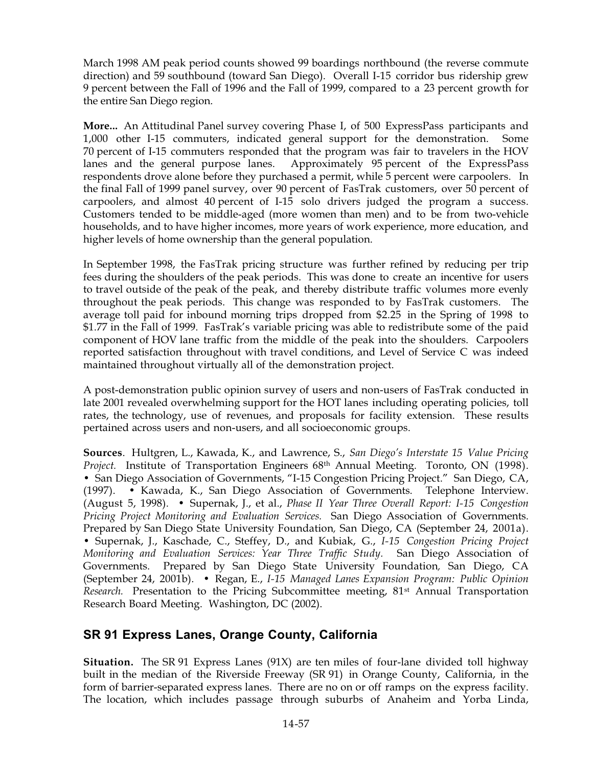March 1998 AM peak period counts showed 99 boardings northbound (the reverse commute direction) and 59 southbound (toward San Diego). Overall I-15 corridor bus ridership grew 9 percent between the Fall of 1996 and the Fall of 1999, compared to a 23 percent growth for the entire San Diego region.

**More...** An Attitudinal Panel survey covering Phase I, of 500 ExpressPass participants and 1,000 other I-15 commuters, indicated general support for the demonstration. Some 70 percent of I-15 commuters responded that the program was fair to travelers in the HOV lanes and the general purpose lanes. Approximately 95 percent of the ExpressPass respondents drove alone before they purchased a permit, while 5 percent were carpoolers. In the final Fall of 1999 panel survey, over 90 percent of FasTrak customers, over 50 percent of carpoolers, and almost 40 percent of I-15 solo drivers judged the program a success. Customers tended to be middle-aged (more women than men) and to be from two-vehicle households, and to have higher incomes, more years of work experience, more education, and higher levels of home ownership than the general population.

In September 1998, the FasTrak pricing structure was further refined by reducing per trip fees during the shoulders of the peak periods. This was done to create an incentive for users to travel outside of the peak of the peak, and thereby distribute traffic volumes more evenly throughout the peak periods. This change was responded to by FasTrak customers. The average toll paid for inbound morning trips dropped from \$2.25 in the Spring of 1998 to \$1.77 in the Fall of 1999. FasTrak's variable pricing was able to redistribute some of the paid component of HOV lane traffic from the middle of the peak into the shoulders. Carpoolers reported satisfaction throughout with travel conditions, and Level of Service C was indeed maintained throughout virtually all of the demonstration project.

A post-demonstration public opinion survey of users and non-users of FasTrak conducted in late 2001 revealed overwhelming support for the HOT lanes including operating policies, toll rates, the technology, use of revenues, and proposals for facility extension. These results pertained across users and non-users, and all socioeconomic groups.

**Sources**. Hultgren, L., Kawada, K., and Lawrence, S., *San Diego's Interstate 15 Value Pricing Project.* Institute of Transportation Engineers 68th Annual Meeting. Toronto, ON (1998). • San Diego Association of Governments, "I-15 Congestion Pricing Project." San Diego, CA,  $(1997)$ . • Kawada, K., San Diego Association of Governments. Telephone Interview. (August 5, 1998). • Supernak, J., et al., *Phase II Year Three Overall Report: I-15 Congestion Pricing Project Monitoring and Evaluation Services.* San Diego Association of Governments. Prepared by San Diego State University Foundation*,* San Diego, CA (September 24, 2001a). •66Supernak, J., Kaschade, C., Steffey, D., and Kubiak, G., *I-15 Congestion Pricing Project Monitoring and Evaluation Services: Year Three Traffic Study.* San Diego Association of Governments. Prepared by San Diego State University Foundation*,* San Diego, CA (September 24, 2001b). • Regan, E., *I-15 Managed Lanes Expansion Program: Public Opinion Research.* Presentation to the Pricing Subcommittee meeting, 81<sup>st</sup> Annual Transportation Research Board Meeting. Washington, DC (2002).

## **SR 91 Express Lanes, Orange County, California**

**Situation.** The SR 91 Express Lanes (91X) are ten miles of four-lane divided toll highway built in the median of the Riverside Freeway (SR91) in Orange County, California, in the form of barrier-separated express lanes. There are no on or off ramps on the express facility. The location, which includes passage through suburbs of Anaheim and Yorba Linda,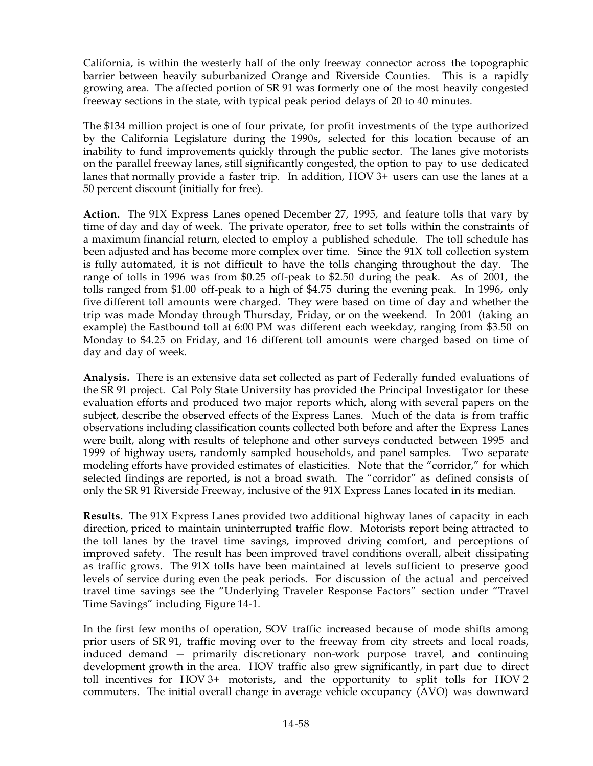California, is within the westerly half of the only freeway connector across the topographic barrier between heavily suburbanized Orange and Riverside Counties. This is a rapidly growing area. The affected portion of SR 91 was formerly one of the most heavily congested freeway sections in the state, with typical peak period delays of 20 to 40 minutes.

The \$134 million project is one of four private, for profit investments of the type authorized by the California Legislature during the 1990s, selected for this location because of an inability to fund improvements quickly through the public sector. The lanes give motorists on the parallel freeway lanes, still significantly congested, the option to pay to use dedicated lanes that normally provide a faster trip. In addition,  $HOV3+$  users can use the lanes at a 50 percent discount (initially for free).

**Action.** The 91X Express Lanes opened December 27, 1995, and feature tolls that vary by time of day and day of week. The private operator, free to set tolls within the constraints of a maximum financial return, elected to employ a published schedule. The toll schedule has been adjusted and has become more complex over time. Since the 91X toll collection system is fully automated, it is not difficult to have the tolls changing throughout the day. The range of tolls in 1996 was from \$0.25 off-peak to \$2.50 during the peak. As of 2001, the tolls ranged from \$1.00 off-peak to a high of \$4.75 during the evening peak. In 1996, only five different toll amounts were charged. They were based on time of day and whether the trip was made Monday through Thursday, Friday, or on the weekend. In 2001 (taking an example) the Eastbound toll at 6:00 PM was different each weekday, ranging from \$3.50 on Monday to \$4.25 on Friday, and 16 different toll amounts were charged based on time of day and day of week.

**Analysis.** There is an extensive data set collected as part of Federally funded evaluations of the SR 91 project. Cal Poly State University has provided the Principal Investigator for these evaluation efforts and produced two major reports which, along with several papers on the subject, describe the observed effects of the Express Lanes. Much of the data is from traffic observations including classification counts collected both before and after the Express Lanes were built, along with results of telephone and other surveys conducted between 1995 and 1999 of highway users, randomly sampled households, and panel samples. Two separate modeling efforts have provided estimates of elasticities. Note that the "corridor," for which selected findings are reported, is not a broad swath. The "corridor" as defined consists of only the SR691 Riverside Freeway, inclusive of the 91X Express Lanes located in its median.

**Results.** The 91X Express Lanes provided two additional highway lanes of capacity in each direction, priced to maintain uninterrupted traffic flow. Motorists report being attracted to the toll lanes by the travel time savings, improved driving comfort, and perceptions of improved safety. The result has been improved travel conditions overall, albeit dissipating as traffic grows. The 91X tolls have been maintained at levels sufficient to preserve good levels of service during even the peak periods. For discussion of the actual and perceived travel time savings see the "Underlying Traveler Response Factors" section under "Travel Time Savings" including Figure 14-1.

In the first few months of operation, SOV traffic increased because of mode shifts among prior users of SR691, traffic moving over to the freeway from city streets and local roads, induced demand — primarily discretionary non-work purpose travel, and continuing development growth in the area. HOV traffic also grew significantly, in part due to direct toll incentives for HOV3+ motorists, and the opportunity to split tolls for HOV2 commuters. The initial overall change in average vehicle occupancy (AVO) was downward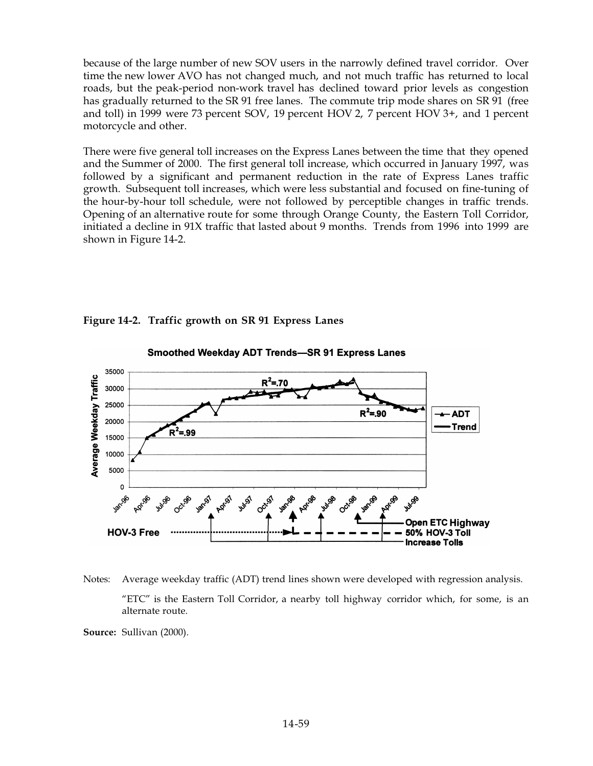because of the large number of new SOV users in the narrowly defined travel corridor. Over time the new lower AVO has not changed much, and not much traffic has returned to local roads, but the peak-period non-work travel has declined toward prior levels as congestion has gradually returned to the SR 91 free lanes. The commute trip mode shares on SR 91 (free and toll) in 1999 were 73 percent SOV, 19 percent HOV 2, 7 percent HOV 3+, and 1 percent motorcycle and other.

There were five general toll increases on the Express Lanes between the time that they opened and the Summer of 2000. The first general toll increase, which occurred in January 1997, was followed by a significant and permanent reduction in the rate of Express Lanes traffic growth. Subsequent toll increases, which were less substantial and focused on fine-tuning of the hour-by-hour toll schedule, were not followed by perceptible changes in traffic trends. Opening of an alternative route for some through Orange County, the Eastern Toll Corridor, initiated a decline in 91X traffic that lasted about 9 months. Trends from 1996 into 1999 are shown in Figure 14-2.



**Figure'14-2. Traffic growth on SR'91 Express Lanes**

Notes: Average weekday traffic (ADT) trend lines shown were developed with regression analysis. "ETC" is the Eastern Toll Corridor, a nearby toll highway corridor which, for some, is an alternate route.

**Source:** Sullivan (2000).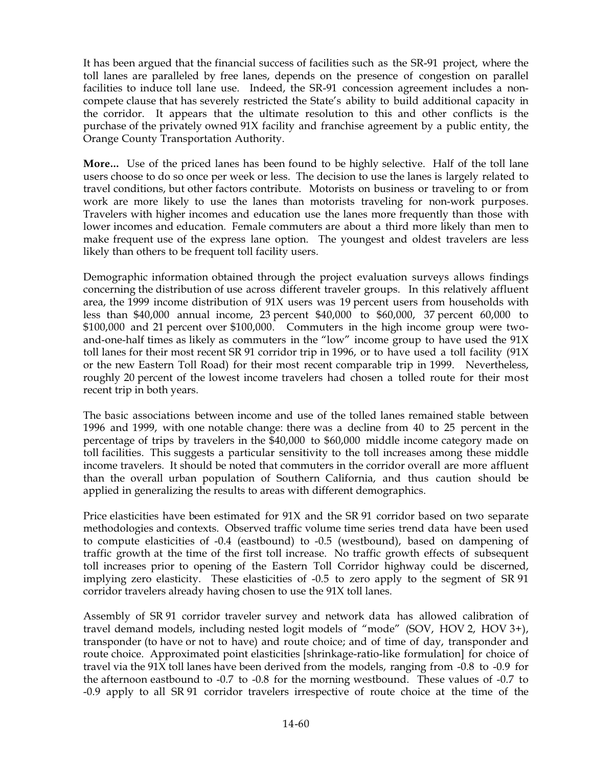It has been argued that the financial success of facilities such as the SR-91 project, where the toll lanes are paralleled by free lanes, depends on the presence of congestion on parallel facilities to induce toll lane use. Indeed, the SR-91 concession agreement includes a noncompete clause that has severely restricted the State's ability to build additional capacity in the corridor. It appears that the ultimate resolution to this and other conflicts is the purchase of the privately owned 91X facility and franchise agreement by a public entity, the Orange County Transportation Authority.

**More...** Use of the priced lanes has been found to be highly selective. Half of the toll lane users choose to do so once per week or less. The decision to use the lanes is largely related to travel conditions, but other factors contribute. Motorists on business or traveling to or from work are more likely to use the lanes than motorists traveling for non-work purposes. Travelers with higher incomes and education use the lanes more frequently than those with lower incomes and education. Female commuters are about a third more likely than men to make frequent use of the express lane option. The youngest and oldest travelers are less likely than others to be frequent toll facility users.

Demographic information obtained through the project evaluation surveys allows findings concerning the distribution of use across different traveler groups. In this relatively affluent area, the 1999 income distribution of 91X users was 19 percent users from households with less than  $$40,000$  annual income, 23 percent  $$40,000$  to  $$60,000$ , 37 percent 60,000 to \$100,000 and 21 percent over \$100,000. Commuters in the high income group were twoand-one-half times as likely as commuters in the "low" income group to have used the 91X toll lanes for their most recent SR 91 corridor trip in 1996, or to have used a toll facility  $(91X)$ or the new Eastern Toll Road) for their most recent comparable trip in 1999. Nevertheless, roughly 20 percent of the lowest income travelers had chosen a tolled route for their most recent trip in both years.

The basic associations between income and use of the tolled lanes remained stable between 1996 and 1999, with one notable change: there was a decline from 40 to 25 percent in the percentage of trips by travelers in the \$40,000 to \$60,000 middle income category made on toll facilities. This suggests a particular sensitivity to the toll increases among these middle income travelers. It should be noted that commuters in the corridor overall are more affluent than the overall urban population of Southern California, and thus caution should be applied in generalizing the results to areas with different demographics.

Price elasticities have been estimated for  $91X$  and the SR $91$  corridor based on two separate methodologies and contexts. Observed traffic volume time series trend data have been used to compute elasticities of -0.4 (eastbound) to -0.5 (westbound), based on dampening of traffic growth at the time of the first toll increase. No traffic growth effects of subsequent toll increases prior to opening of the Eastern Toll Corridor highway could be discerned, implying zero elasticity. These elasticities of  $-0.5$  to zero apply to the segment of SR91 corridor travelers already having chosen to use the 91X toll lanes.

Assembly of SR 91 corridor traveler survey and network data has allowed calibration of travel demand models, including nested logit models of "mode" (SOV, HOV 2, HOV 3+), transponder (to have or not to have) and route choice; and of time of day, transponder and route choice. Approximated point elasticities [shrinkage-ratio-like formulation] for choice of travel via the 91X toll lanes have been derived from the models, ranging from -0.8 to -0.9 for the afternoon eastbound to -0.7 to -0.8 for the morning westbound. These values of -0.7 to -0.9 apply to all SR691 corridor travelers irrespective of route choice at the time of the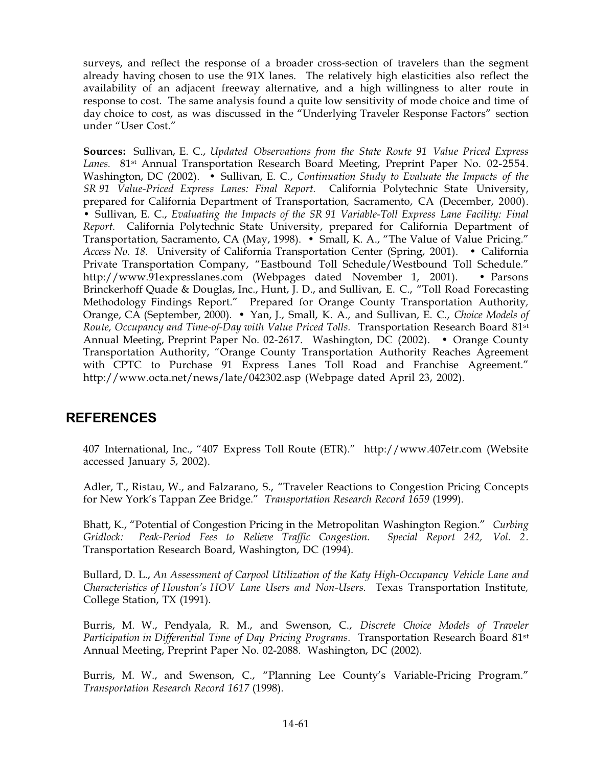surveys, and reflect the response of a broader cross-section of travelers than the segment already having chosen to use the 91X lanes. The relatively high elasticities also reflect the availability of an adjacent freeway alternative, and a high willingness to alter route in response to cost. The same analysis found a quite low sensitivity of mode choice and time of day choice to cost, as was discussed in the "Underlying Traveler Response Factors" section under "User Cost."

**Sources:** Sullivan, E. C., *Updated Observations from the State Route 91 Value Priced Express* Lanes. 81<sup>st</sup> Annual Transportation Research Board Meeting, Preprint Paper No. 02-2554. Washington, DC (2002). • Sullivan, E. C., *Continuation Study to Evaluate the Impacts of the SR991 Value-Priced Express Lanes: Final Report.* California Polytechnic State University, prepared for California Department of Transportation*,* Sacramento, CA (December, 2000). •66Sullivan, E. C., *Evaluating the Impacts of the SR991 Variable-Toll Express Lane Facility: Final Report.* California Polytechnic State University, prepared for California Department of Transportation, Sacramento, CA (May, 1998). • Small, K. A., "The Value of Value Pricing." *Access No. 18.* University of California Transportation Center (Spring, 2001). • California Private Transportation Company, "Eastbound Toll Schedule/Westbound Toll Schedule." http://www.91expresslanes.com (Webpages dated November 1, 2001). • Parsons Brinckerhoff Quade & Douglas, Inc., Hunt, J. D., and Sullivan, E. C., "Toll Road Forecasting Methodology Findings Report." Prepared for Orange County Transportation Authority*,* Orange, CA (September, 2000). • Yan, J., Small, K. A., and Sullivan, E. C., *Choice Models of Route, Occupancy and Time-of-Day with Value Priced Tolls.* Transportation Research Board 81st Annual Meeting, Preprint Paper No. 02-2617. Washington, DC (2002). • Orange County Transportation Authority, "Orange County Transportation Authority Reaches Agreement with CPTC to Purchase 91 Express Lanes Toll Road and Franchise Agreement." http://www.octa.net/news/late/042302.asp (Webpage dated April 23, 2002).

# **REFERENCES**

407 International, Inc., "407 Express Toll Route (ETR)." http://www.407etr.com (Website accessed January 5, 2002).

Adler, T., Ristau, W., and Falzarano, S., "Traveler Reactions to Congestion Pricing Concepts for New York's Tappan Zee Bridge." *Transportation Research Record 1659* (1999).

Bhatt, K., "Potential of Congestion Pricing in the Metropolitan Washington Region." *Curbing Gridlock: Peak-Period Fees to Relieve Traffic Congestion. Special Report 242, Vol. 2.* Transportation Research Board, Washington, DC (1994).

Bullard, D. L., *An Assessment of Carpool Utilization of the Katy High-Occupancy Vehicle Lane and Characteristics of Houston's HOV Lane Users and Non-Users.* Texas Transportation Institute*,* College Station, TX (1991).

Burris, M. W., Pendyala, R. M., and Swenson, C., *Discrete Choice Models of Traveler Participation in Differential Time of Day Pricing Programs.* Transportation Research Board 81st Annual Meeting, Preprint Paper No. 02-2088. Washington, DC (2002).

Burris, M. W., and Swenson, C., "Planning Lee County's Variable-Pricing Program." *Transportation Research Record 1617* (1998).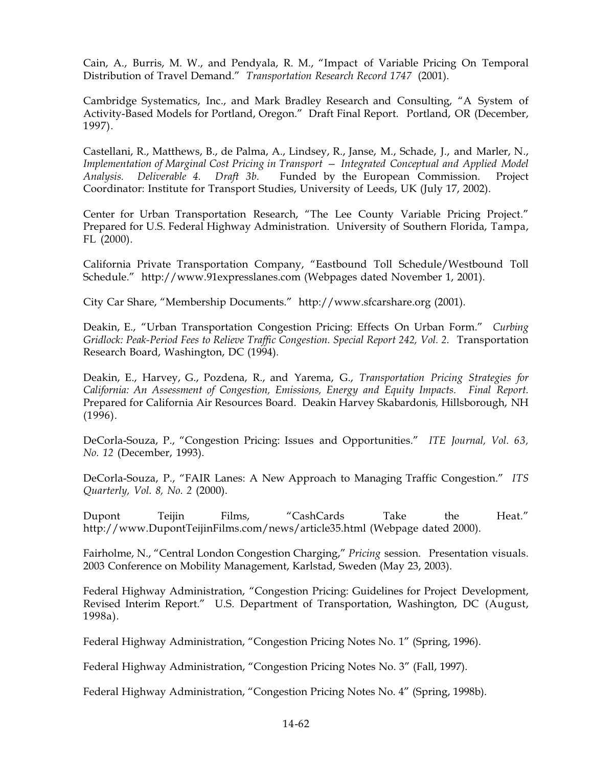Cain, A., Burris, M. W., and Pendyala, R. M., "Impact of Variable Pricing On Temporal Distribution of Travel Demand." *Transportation Research Record 1747* (2001).

Cambridge Systematics, Inc., and Mark Bradley Research and Consulting, "A System of Activity-Based Models for Portland, Oregon." Draft Final Report. Portland, OR (December, 1997).

Castellani, R., Matthews, B., de Palma, A., Lindsey, R., Janse, M., Schade, J., and Marler, N., *Implementation of Marginal Cost Pricing in Transport — Integrated Conceptual and Applied Model Analysis. Deliverable 4. Draft 3b.* Funded by the European Commission. Project Coordinator: Institute for Transport Studies, University of Leeds, UK (July 17, 2002).

Center for Urban Transportation Research, "The Lee County Variable Pricing Project." Prepared for U.S. Federal Highway Administration. University of Southern Florida, Tampa, FL (2000).

California Private Transportation Company, "Eastbound Toll Schedule/Westbound Toll Schedule." http://www.91expresslanes.com (Webpages dated November 1, 2001).

City Car Share, "Membership Documents." http://www.sfcarshare.org (2001).

Deakin, E., "Urban Transportation Congestion Pricing: Effects On Urban Form." *Curbing Gridlock: Peak-Period Fees to Relieve Traffic Congestion. Special Report 242, Vol. 2.* Transportation Research Board, Washington, DC (1994).

Deakin, E., Harvey, G., Pozdena, R., and Yarema, G., *Transportation Pricing Strategies for California: An Assessment of Congestion, Emissions, Energy and Equity Impacts. Final Report.* Prepared for California Air Resources Board. Deakin Harvey Skabardonis*,* Hillsborough, NH (1996).

DeCorla-Souza, P., "Congestion Pricing: Issues and Opportunities." *ITE Journal, Vol. 63, No. 12* (December, 1993).

DeCorla-Souza, P., "FAIR Lanes: A New Approach to Managing Traffic Congestion." *ITS Quarterly, Vol. 8, No. 2* (2000).

Dupont Teijin Films, "CashCards Take the Heat." http://www.DupontTeijinFilms.com/news/article35.html (Webpage dated 2000).

Fairholme, N., "Central London Congestion Charging," *Pricing* session. Presentation visuals. 2003 Conference on Mobility Management, Karlstad, Sweden (May 23, 2003).

Federal Highway Administration, "Congestion Pricing: Guidelines for Project Development, Revised Interim Report." U.S. Department of Transportation, Washington, DC (August, 1998a).

Federal Highway Administration, "Congestion Pricing Notes No. 1" (Spring, 1996).

Federal Highway Administration, "Congestion Pricing Notes No. 3" (Fall, 1997).

Federal Highway Administration, "Congestion Pricing Notes No. 4" (Spring, 1998b).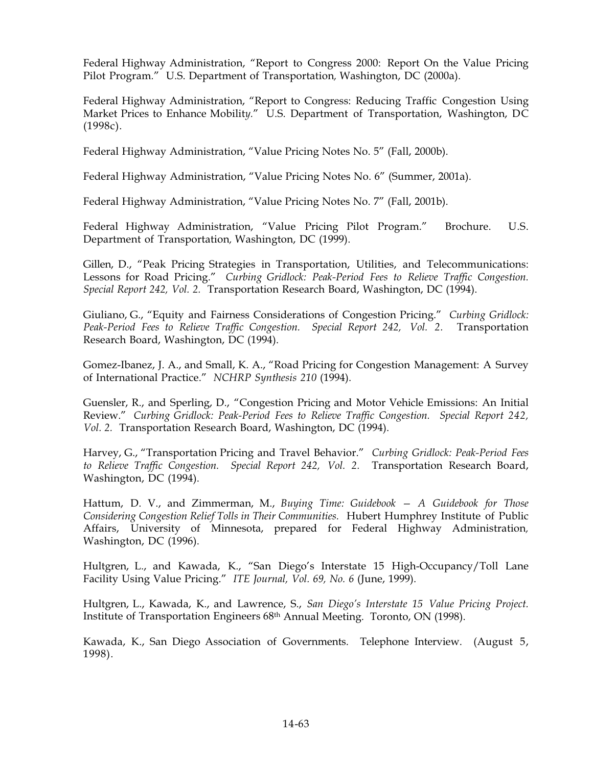Federal Highway Administration, "Report to Congress 2000: Report On the Value Pricing Pilot Program*.*" U.S. Department of Transportation*,* Washington, DC (2000a).

Federal Highway Administration, "Report to Congress: Reducing Traffic Congestion Using Market Prices to Enhance Mobilit*y.*" U.S. Department of Transportation, Washington, DC (1998c).

Federal Highway Administration, "Value Pricing Notes No. 5" (Fall, 2000b).

Federal Highway Administration, "Value Pricing Notes No. 6" (Summer, 2001a).

Federal Highway Administration, "Value Pricing Notes No. 7" (Fall, 2001b).

Federal Highway Administration, "Value Pricing Pilot Program." Brochure. U.S. Department of Transportation*,* Washington, DC (1999).

Gillen, D., "Peak Pricing Strategies in Transportation, Utilities, and Telecommunications: Lessons for Road Pricing." *Curbing Gridlock: Peak-Period Fees to Relieve Traffic Congestion. Special Report 242, Vol. 2.* Transportation Research Board, Washington, DC (1994).

Giuliano, G., "Equity and Fairness Considerations of Congestion Pricing." *Curbing Gridlock: Peak-Period Fees to Relieve Traffic Congestion. Special Report 242, Vol. 2.* Transportation Research Board, Washington, DC (1994).

Gomez-Ibanez, J. A., and Small, K. A., "Road Pricing for Congestion Management: A Survey of International Practice." *NCHRP Synthesis 210* (1994).

Guensler, R., and Sperling, D., "Congestion Pricing and Motor Vehicle Emissions: An Initial Review." *Curbing Gridlock: Peak-Period Fees to Relieve Traffic Congestion. Special Report 242, Vol.92.* Transportation Research Board, Washington, DC (1994).

Harvey, G., "Transportation Pricing and Travel Behavior." *Curbing Gridlock: Peak-Period Fees to Relieve Traffic Congestion. Special Report 242, Vol. 2.* Transportation Research Board, Washington, DC (1994).

Hattum, D. V., and Zimmerman, M., *Buying Time: Guidebook — A Guidebook for Those Considering Congestion Relief Tolls in Their Communities.* Hubert Humphrey Institute of Public Affairs, University of Minnesota, prepared for Federal Highway Administration*,* Washington, DC (1996).

Hultgren, L., and Kawada, K., "San Diego's Interstate 15 High-Occupancy/Toll Lane Facility Using Value Pricing." *ITE Journal, Vol. 69, No. 6* (June, 1999).

Hultgren, L., Kawada, K., and Lawrence, S., *San Diego's Interstate 15 Value Pricing Project.* Institute of Transportation Engineers 68th Annual Meeting. Toronto, ON (1998).

Kawada, K., San Diego Association of Governments. Telephone Interview. (August 5, 1998).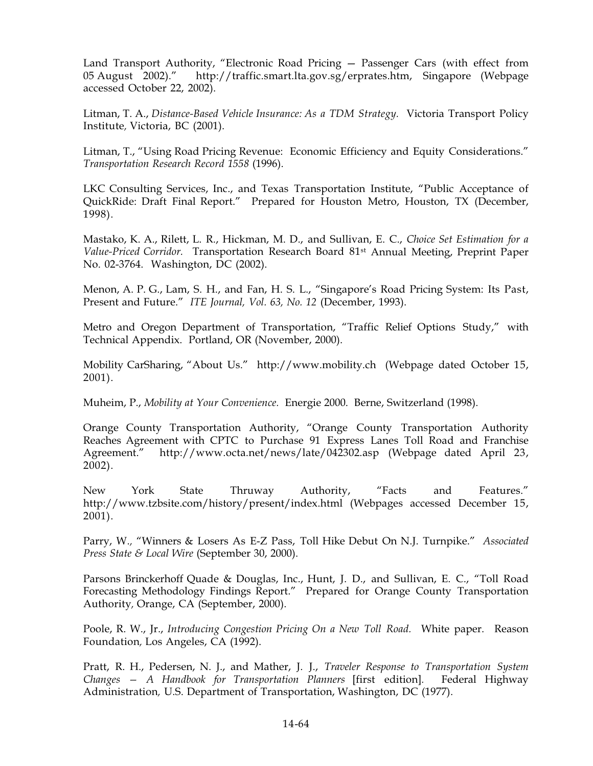Land Transport Authority, "Electronic Road Pricing — Passenger Cars (with effect from 05 August 2002)." http://traffic.smart.lta.gov.sg/erprates.htm, Singapore (Webpage accessed October 22, 2002).

Litman, T. A., *Distance-Based Vehicle Insurance: As a TDM Strategy.* Victoria Transport Policy Institute*,* Victoria, BC (2001).

Litman, T., "Using Road Pricing Revenue: Economic Efficiency and Equity Considerations." *Transportation Research Record 1558* (1996).

LKC Consulting Services, Inc., and Texas Transportation Institute, "Public Acceptance of QuickRide: Draft Final Report." Prepared for Houston Metro, Houston, TX (December, 1998).

Mastako, K. A., Rilett, L. R., Hickman, M. D., and Sullivan, E. C., *Choice Set Estimation for a Value-Priced Corridor.* Transportation Research Board 81st Annual Meeting, Preprint Paper No. 02-3764. Washington, DC (2002).

Menon, A. P. G., Lam, S. H., and Fan, H. S. L., "Singapore's Road Pricing System: Its Past, Present and Future." *ITE Journal, Vol. 63, No. 12* (December, 1993).

Metro and Oregon Department of Transportation, "Traffic Relief Options Study," with Technical Appendix. Portland, OR (November, 2000).

Mobility CarSharing, "About Us." http://www.mobility.ch (Webpage dated October 15, 2001).

Muheim, P., *Mobility at Your Convenience.* Energie 2000. Berne, Switzerland (1998).

Orange County Transportation Authority, "Orange County Transportation Authority Reaches Agreement with CPTC to Purchase 91 Express Lanes Toll Road and Franchise Agreement." http://www.octa.net/news/late/042302.asp (Webpage dated April 23, 2002).

New York State Thruway Authority, "Facts and Features." http://www.tzbsite.com/history/present/index.html (Webpages accessed December 15, 2001).

Parry, W.*,* "Winners & Losers As E-Z Pass, Toll Hike Debut On N.J. Turnpike." *Associated Press State & Local Wire* (September 30, 2000).

Parsons Brinckerhoff Quade & Douglas, Inc., Hunt, J. D., and Sullivan, E. C., "Toll Road Forecasting Methodology Findings Report." Prepared for Orange County Transportation Authority*,* Orange, CA (September, 2000).

Poole, R. W., Jr., *Introducing Congestion Pricing On a New Toll Road.* White paper. Reason Foundation*,* Los Angeles, CA (1992).

Pratt, R. H., Pedersen, N. J., and Mather, J. J., *Traveler Response to Transportation System Changes — A Handbook for Transportation Planners* [first edition]*.* Federal Highway Administration*,* U.S. Department of Transportation, Washington, DC (1977).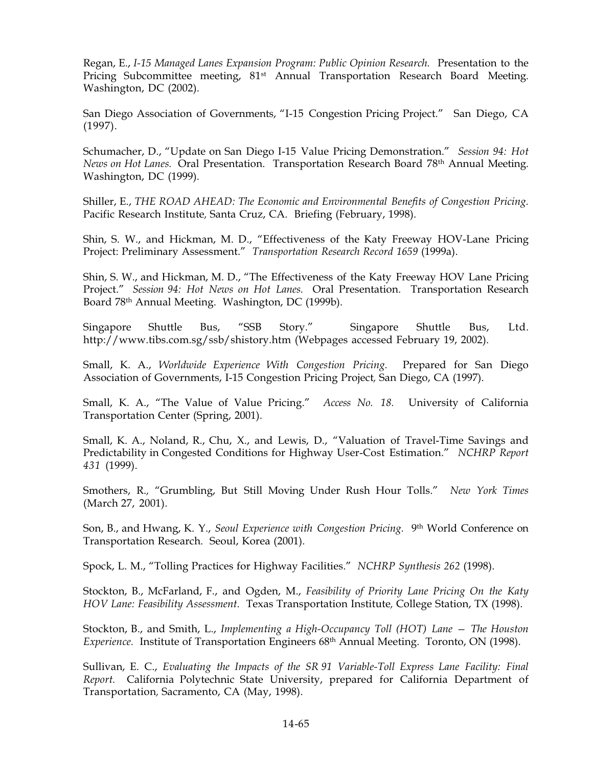Regan, E., *I-15 Managed Lanes Expansion Program: Public Opinion Research.* Presentation to the Pricing Subcommittee meeting, 81<sup>st</sup> Annual Transportation Research Board Meeting. Washington, DC (2002).

San Diego Association of Governments, "I-15 Congestion Pricing Project." San Diego, CA (1997).

Schumacher, D., "Update on San Diego I-15 Value Pricing Demonstration." *Session 94: Hot News on Hot Lanes.* Oral Presentation. Transportation Research Board 78th Annual Meeting. Washington, DC (1999).

Shiller, E., *THE ROAD AHEAD: The Economic and Environmental Benefits of Congestion Pricing.* Pacific Research Institute*,* Santa Cruz, CA. Briefing (February, 1998).

Shin, S. W., and Hickman, M. D., "Effectiveness of the Katy Freeway HOV-Lane Pricing Project: Preliminary Assessment." *Transportation Research Record 1659* (1999a).

Shin, S. W., and Hickman, M. D., "The Effectiveness of the Katy Freeway HOV Lane Pricing Project." *Session 94: Hot News on Hot Lanes.* Oral Presentation. Transportation Research Board 78th Annual Meeting. Washington, DC (1999b).

Singapore Shuttle Bus, "SSB Story." Singapore Shuttle Bus, Ltd. http://www.tibs.com.sg/ssb/shistory.htm (Webpages accessed February 19, 2002).

Small, K. A., *Worldwide Experience With Congestion Pricing.* Prepared for San Diego Association of Governments, I-15 Congestion Pricing Project*,* San Diego, CA (1997).

Small, K. A., "The Value of Value Pricing." *Access No. 18.* University of California Transportation Center (Spring, 2001).

Small, K. A., Noland, R., Chu, X., and Lewis, D., "Valuation of Travel-Time Savings and Predictability in Congested Conditions for Highway User-Cost Estimation." *NCHRP Report 431* (1999).

Smothers, R.*,* "Grumbling, But Still Moving Under Rush Hour Tolls." *New York Times* (March 27, 2001).

Son, B., and Hwang, K. Y., *Seoul Experience with Congestion Pricing.* 9th World Conference on Transportation Research. Seoul, Korea (2001).

Spock, L. M., "Tolling Practices for Highway Facilities." *NCHRP Synthesis 262* (1998).

Stockton, B., McFarland, F., and Ogden, M., *Feasibility of Priority Lane Pricing On the Katy HOV Lane: Feasibility Assessment.* Texas Transportation Institute*,* College Station, TX (1998).

Stockton, B., and Smith, L., *Implementing a High-Occupancy Toll (HOT) Lane — The Houston Experience.* Institute of Transportation Engineers 68<sup>th</sup> Annual Meeting. Toronto, ON (1998).

Sullivan, E. C., *Evaluating the Impacts of the SR991 Variable-Toll Express Lane Facility: Final Report.* California Polytechnic State University, prepared for California Department of Transportation*,* Sacramento, CA (May, 1998).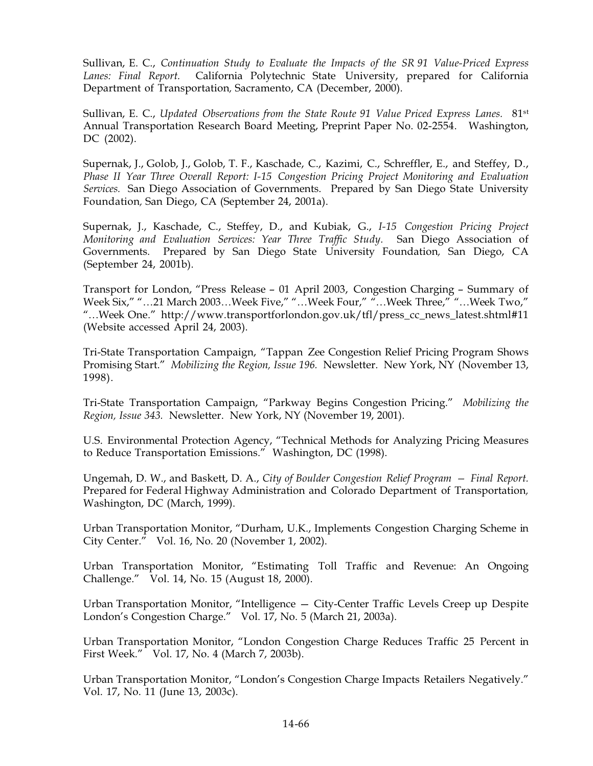Sullivan, E. C., *Continuation Study to Evaluate the Impacts of the SR991 Value-Priced Express Lanes: Final Report.* California Polytechnic State University, prepared for California Department of Transportation*,* Sacramento, CA (December, 2000).

Sullivan, E. C., *Updated Observations from the State Route 91 Value Priced Express Lanes.* 81st Annual Transportation Research Board Meeting, Preprint Paper No. 02-2554. Washington, DC (2002).

Supernak, J., Golob, J., Golob, T. F., Kaschade, C., Kazimi, C., Schreffler, E., and Steffey, D., *Phase II Year Three Overall Report: I-15 Congestion Pricing Project Monitoring and Evaluation Services.* San Diego Association of Governments. Prepared by San Diego State University Foundation*,* San Diego, CA (September 24, 2001a).

Supernak, J., Kaschade, C., Steffey, D., and Kubiak, G., *I-15 Congestion Pricing Project Monitoring and Evaluation Services: Year Three Traffic Study.* San Diego Association of Governments. Prepared by San Diego State University Foundation*,* San Diego, CA (September 24, 2001b).

Transport for London, "Press Release – 01 April 2003, Congestion Charging – Summary of Week Six," "…21 March 2003…Week Five," "…Week Four," "…Week Three," "…Week Two," "…Week One." http://www.transportforlondon.gov.uk/tfl/press\_cc\_news\_latest.shtml#11 (Website accessed April 24, 2003).

Tri-State Transportation Campaign, "Tappan Zee Congestion Relief Pricing Program Shows Promising Start." *Mobilizing the Region, Issue 196.* Newsletter. New York, NY (November 13, 1998).

Tri-State Transportation Campaign, "Parkway Begins Congestion Pricing." *Mobilizing the Region, Issue 343.* Newsletter. New York, NY (November 19, 2001).

U.S. Environmental Protection Agency, "Technical Methods for Analyzing Pricing Measures to Reduce Transportation Emissions." Washington, DC (1998).

Ungemah, D. W., and Baskett, D. A., *City of Boulder Congestion Relief Program — Final Report.* Prepared for Federal Highway Administration and Colorado Department of Transportation*,* Washington, DC (March, 1999).

Urban Transportation Monitor, "Durham, U.K., Implements Congestion Charging Scheme in City Center." Vol. 16, No. 20 (November 1, 2002).

Urban Transportation Monitor, "Estimating Toll Traffic and Revenue: An Ongoing Challenge." Vol. 14, No. 15 (August 18, 2000).

Urban Transportation Monitor, "Intelligence — City-Center Traffic Levels Creep up Despite London's Congestion Charge." Vol. 17, No. 5 (March 21, 2003a).

Urban Transportation Monitor, "London Congestion Charge Reduces Traffic 25 Percent in First Week." Vol. 17, No. 4 (March 7, 2003b).

Urban Transportation Monitor, "London's Congestion Charge Impacts Retailers Negatively." Vol. 17, No. 11 (June 13, 2003c).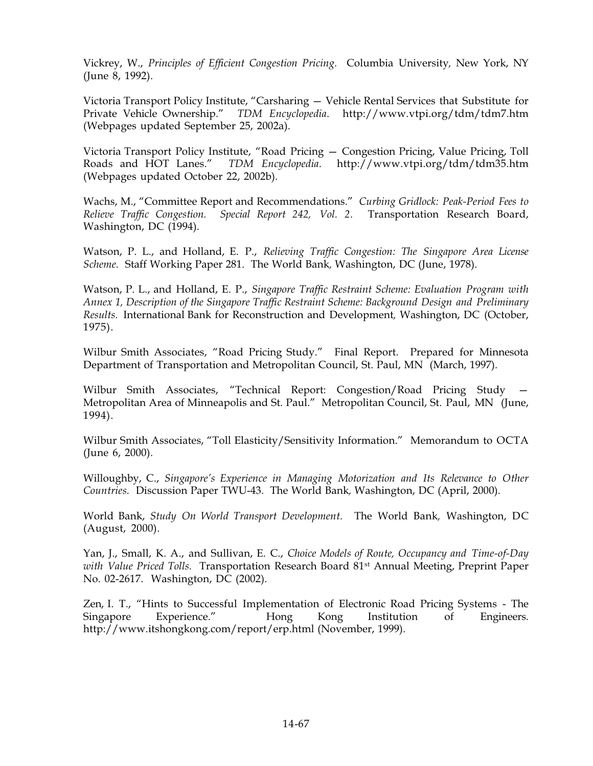Vickrey, W., *Principles of Efficient Congestion Pricing.* Columbia University*,* New York, NY (June 8, 1992).

Victoria Transport Policy Institute, "Carsharing — Vehicle Rental Services that Substitute for Private Vehicle Ownership." *TDM Encyclopedia*. http://www.vtpi.org/tdm/tdm7.htm (Webpages updated September 25, 2002a).

Victoria Transport Policy Institute, "Road Pricing — Congestion Pricing, Value Pricing, Toll Roads and HOT Lanes." *TDM Encyclopedia*. http://www.vtpi.org/tdm/tdm35.htm (Webpages updated October 22, 2002b).

Wachs, M., "Committee Report and Recommendations." *Curbing Gridlock: Peak-Period Fees to Relieve Traffic Congestion. Special Report 242, Vol. 2.* Transportation Research Board, Washington, DC (1994).

Watson, P. L., and Holland, E. P., *Relieving Traffic Congestion: The Singapore Area License Scheme.* Staff Working Paper 281. The World Bank*,* Washington, DC (June, 1978).

Watson, P. L., and Holland, E. P., *Singapore Traffic Restraint Scheme: Evaluation Program with Annex 1, Description of the Singapore Traffic Restraint Scheme: Background Design and Preliminary Results.* International Bank for Reconstruction and Development*,* Washington, DC (October, 1975).

Wilbur Smith Associates, "Road Pricing Study." Final Report. Prepared for Minnesota Department of Transportation and Metropolitan Council, St. Paul, MN (March, 1997).

Wilbur Smith Associates, "Technical Report: Congestion/Road Pricing Study — Metropolitan Area of Minneapolis and St. Paul." Metropolitan Council, St. Paul, MN (June, 1994).

Wilbur Smith Associates, "Toll Elasticity/Sensitivity Information." Memorandum to OCTA (June 6, 2000).

Willoughby, C., *Singapore's Experience in Managing Motorization and Its Relevance to Other Countries.* Discussion Paper TWU-43. The World Bank*,* Washington, DC (April, 2000).

World Bank, *Study On World Transport Development.* The World Bank*,* Washington, DC (August, 2000).

Yan, J., Small, K. A., and Sullivan, E. C., *Choice Models of Route, Occupancy and Time-of-Day with Value Priced Tolls.* Transportation Research Board 81st Annual Meeting, Preprint Paper No. 02-2617. Washington, DC (2002).

Zen, I. T., "Hints to Successful Implementation of Electronic Road Pricing Systems - The Singapore Experience." Hong Kong Institution of Engineers. http://www.itshongkong.com/report/erp.html (November, 1999).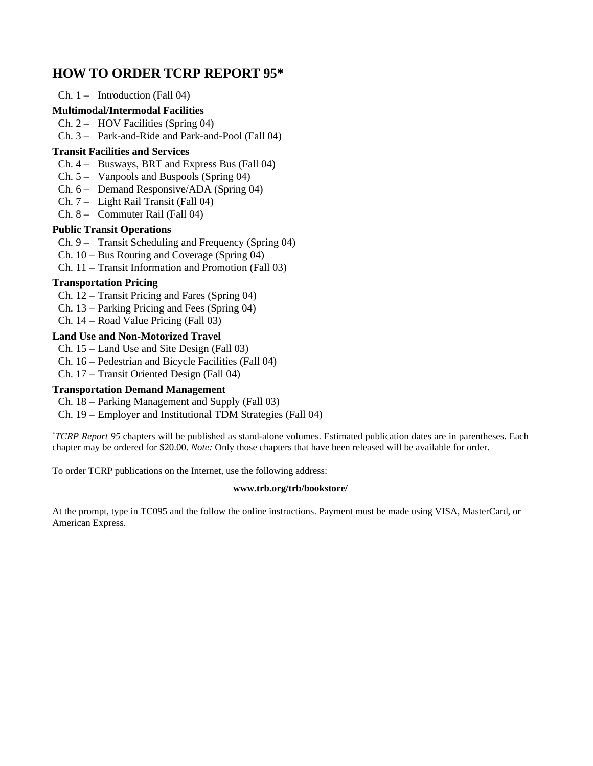# **HOW TO ORDER TCRP REPORT 95\***

## $Ch. 1 - Introduction (Fall 04)$

## **Multimodal/Intermodal Facilities**

## Ch. 2 – HOV Facilities (Spring 04)

Ch. 3 – Park-and-Ride and Park-and-Pool (Fall 04)

### **Transit Facilities and Services**

- Ch. 4 Busways, BRT and Express Bus (Fall 04)
- Ch. 5 Vanpools and Buspools (Spring 04)
- Ch. 6 Demand Responsive/ADA (Spring 04)
- Ch. 7 Light Rail Transit (Fall 04)
- Ch. 8 Commuter Rail (Fall 04)

### **Public Transit Operations**

- Ch. 9 Transit Scheduling and Frequency (Spring 04)
- Ch. 10 Bus Routing and Coverage (Spring 04)
- Ch. 11 Transit Information and Promotion (Fall 03)

## **Transportation Pricing**

- Ch. 12 Transit Pricing and Fares (Spring 04)
- Ch. 13 Parking Pricing and Fees (Spring 04)
- Ch. 14 Road Value Pricing (Fall 03)

### **Land Use and Non-Motorized Travel**

- Ch. 15 Land Use and Site Design (Fall 03)
- Ch. 16 Pedestrian and Bicycle Facilities (Fall 04)
- Ch. 17 Transit Oriented Design (Fall 04)

### **Transportation Demand Management**

- Ch. 18 Parking Management and Supply (Fall 03)
- Ch. 19 Employer and Institutional TDM Strategies (Fall 04)

*\* TCRP Report 95* chapters will be published as stand-alone volumes. Estimated publication dates are in parentheses. Each chapter may be ordered for \$20.00. *Note:* Only those chapters that have been released will be available for order.

To order TCRP publications on the Internet, use the following address:

#### **www.trb.org/trb/bookstore/**

At the prompt, type in TC095 and the follow the online instructions. Payment must be made using VISA, MasterCard, or American Express.